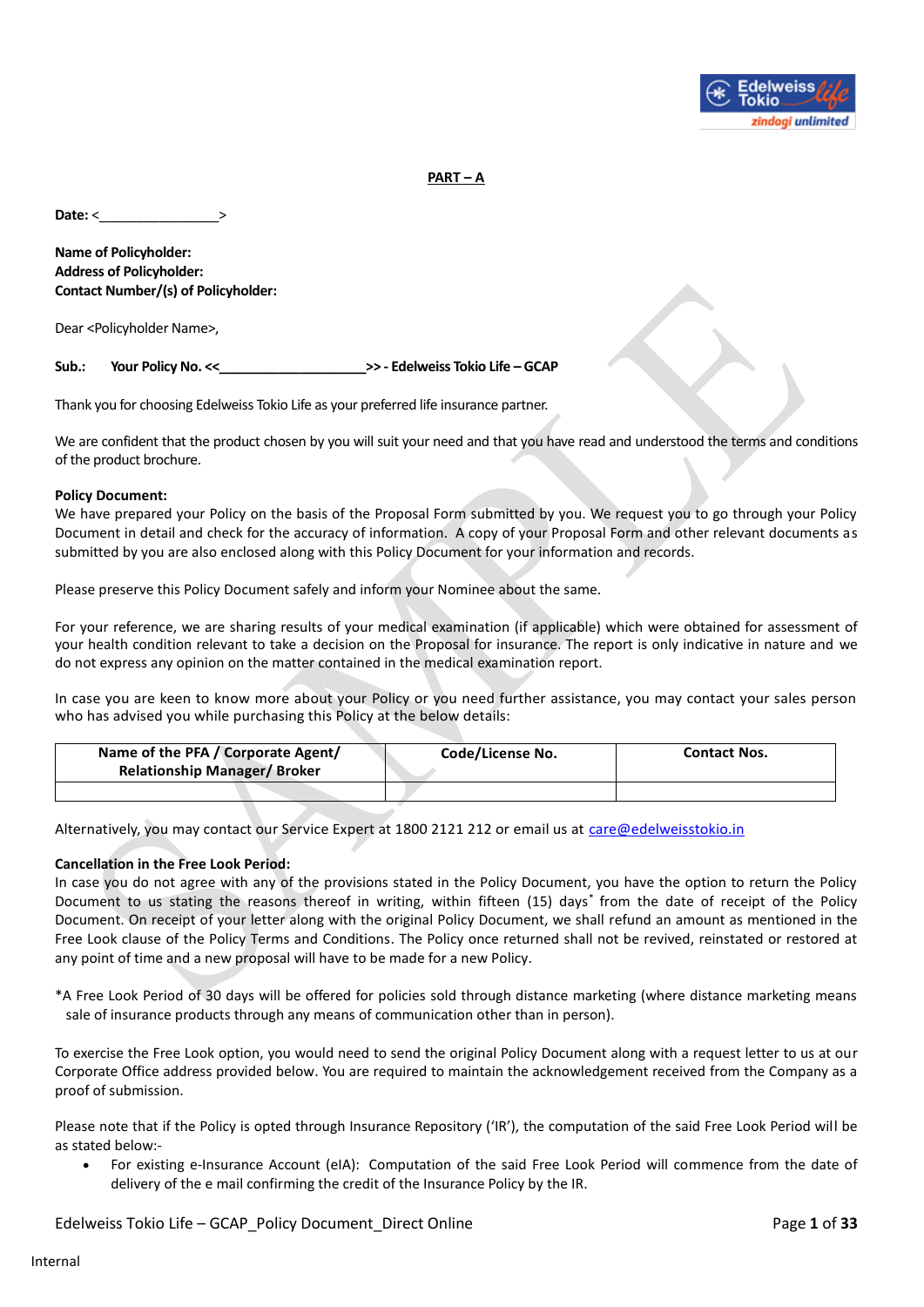

**PART – A**

**Date:** <

**Name of Policyholder: Address of Policyholder: Contact Number/(s) of Policyholder:**

Dear <Policyholder Name>,

**Sub.: Your Policy No. <<\_\_\_\_\_\_\_\_\_\_\_\_\_\_\_\_\_\_\_\_>> - Edelweiss Tokio Life – GCAP**

Thank you for choosing Edelweiss Tokio Life as your preferred life insurance partner.

We are confident that the product chosen by you will suit your need and that you have read and understood the terms and conditions of the product brochure.

#### **Policy Document:**

We have prepared your Policy on the basis of the Proposal Form submitted by you. We request you to go through your Policy Document in detail and check for the accuracy of information. A copy of your Proposal Form and other relevant documents as submitted by you are also enclosed along with this Policy Document for your information and records.

Please preserve this Policy Document safely and inform your Nominee about the same.

For your reference, we are sharing results of your medical examination (if applicable) which were obtained for assessment of your health condition relevant to take a decision on the Proposal for insurance. The report is only indicative in nature and we do not express any opinion on the matter contained in the medical examination report.

In case you are keen to know more about your Policy or you need further assistance, you may contact your sales person who has advised you while purchasing this Policy at the below details:

| Name of the PFA / Corporate Agent/<br><b>Relationship Manager/Broker</b> | Code/License No. | <b>Contact Nos.</b> |
|--------------------------------------------------------------------------|------------------|---------------------|
|                                                                          |                  |                     |

Alternatively, you may contact our Service Expert at 1800 2121 212 or email us at [care@edelweisstokio.in](mailto:care@edelweisstokio.in)

#### **Cancellation in the Free Look Period:**

In case you do not agree with any of the provisions stated in the Policy Document, you have the option to return the Policy Document to us stating the reasons thereof in writing, within fifteen (15) days\* from the date of receipt of the Policy Document. On receipt of your letter along with the original Policy Document, we shall refund an amount as mentioned in the Free Look clause of the Policy Terms and Conditions. The Policy once returned shall not be revived, reinstated or restored at any point of time and a new proposal will have to be made for a new Policy.

\*A Free Look Period of 30 days will be offered for policies sold through distance marketing (where distance marketing means sale of insurance products through any means of communication other than in person).

To exercise the Free Look option, you would need to send the original Policy Document along with a request letter to us at our Corporate Office address provided below. You are required to maintain the acknowledgement received from the Company as a proof of submission.

Please note that if the Policy is opted through Insurance Repository ('IR'), the computation of the said Free Look Period will be as stated below:-

• For existing e-Insurance Account (eIA): Computation of the said Free Look Period will commence from the date of delivery of the e mail confirming the credit of the Insurance Policy by the IR.

Edelweiss Tokio Life – GCAP\_Policy Document\_Direct Online Page **1** of **33**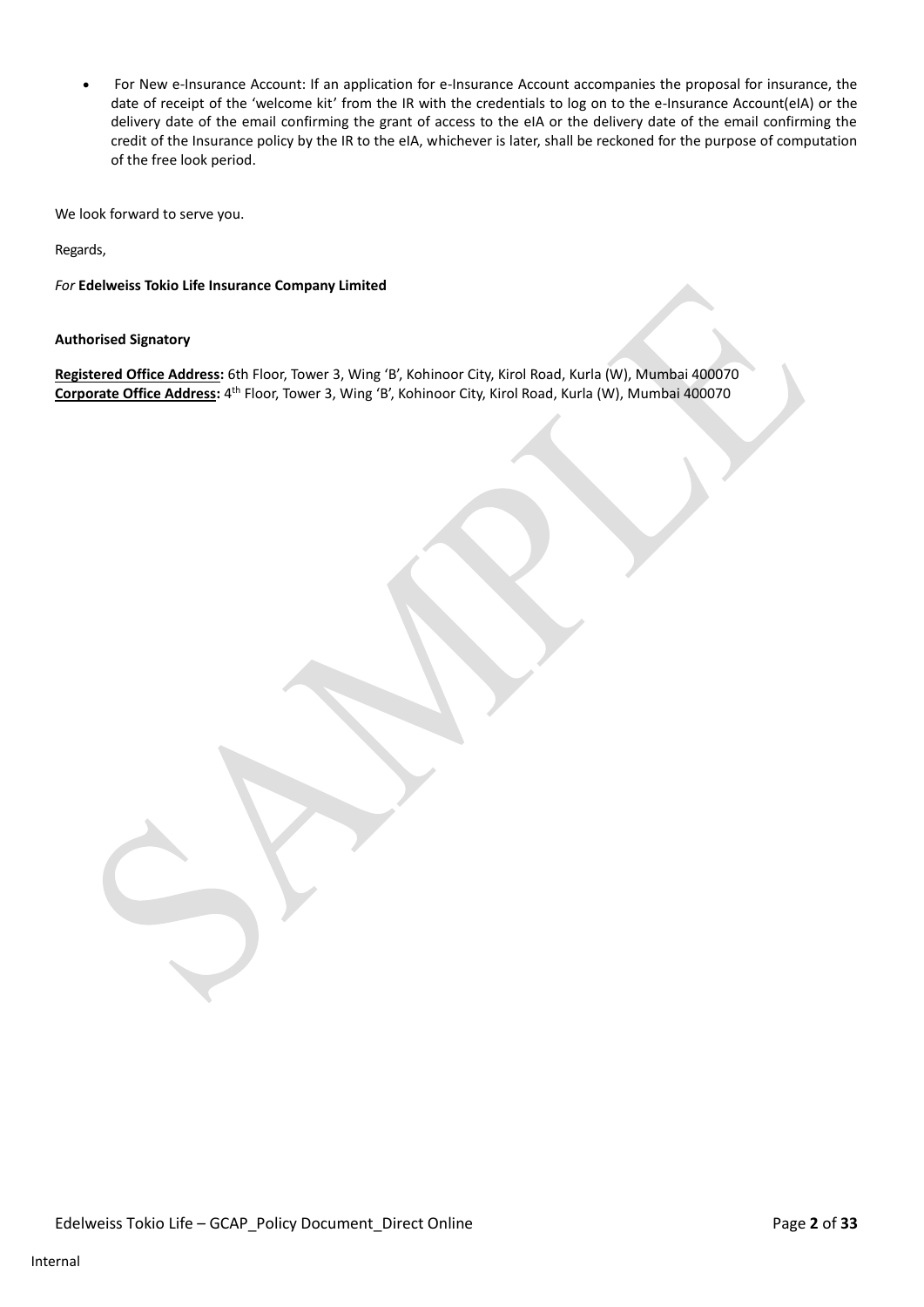• For New e-Insurance Account: If an application for e-Insurance Account accompanies the proposal for insurance, the date of receipt of the 'welcome kit' from the IR with the credentials to log on to the e-Insurance Account(eIA) or the delivery date of the email confirming the grant of access to the eIA or the delivery date of the email confirming the credit of the Insurance policy by the IR to the eIA, whichever is later, shall be reckoned for the purpose of computation of the free look period.

We look forward to serve you.

Regards,

*For* **Edelweiss Tokio Life Insurance Company Limited**

**Authorised Signatory**

**Registered Office Address:** 6th Floor, Tower 3, Wing 'B', Kohinoor City, Kirol Road, Kurla (W), Mumbai 400070 **Corporate Office Address:** 4 th Floor, Tower 3, Wing 'B', Kohinoor City, Kirol Road, Kurla (W), Mumbai 400070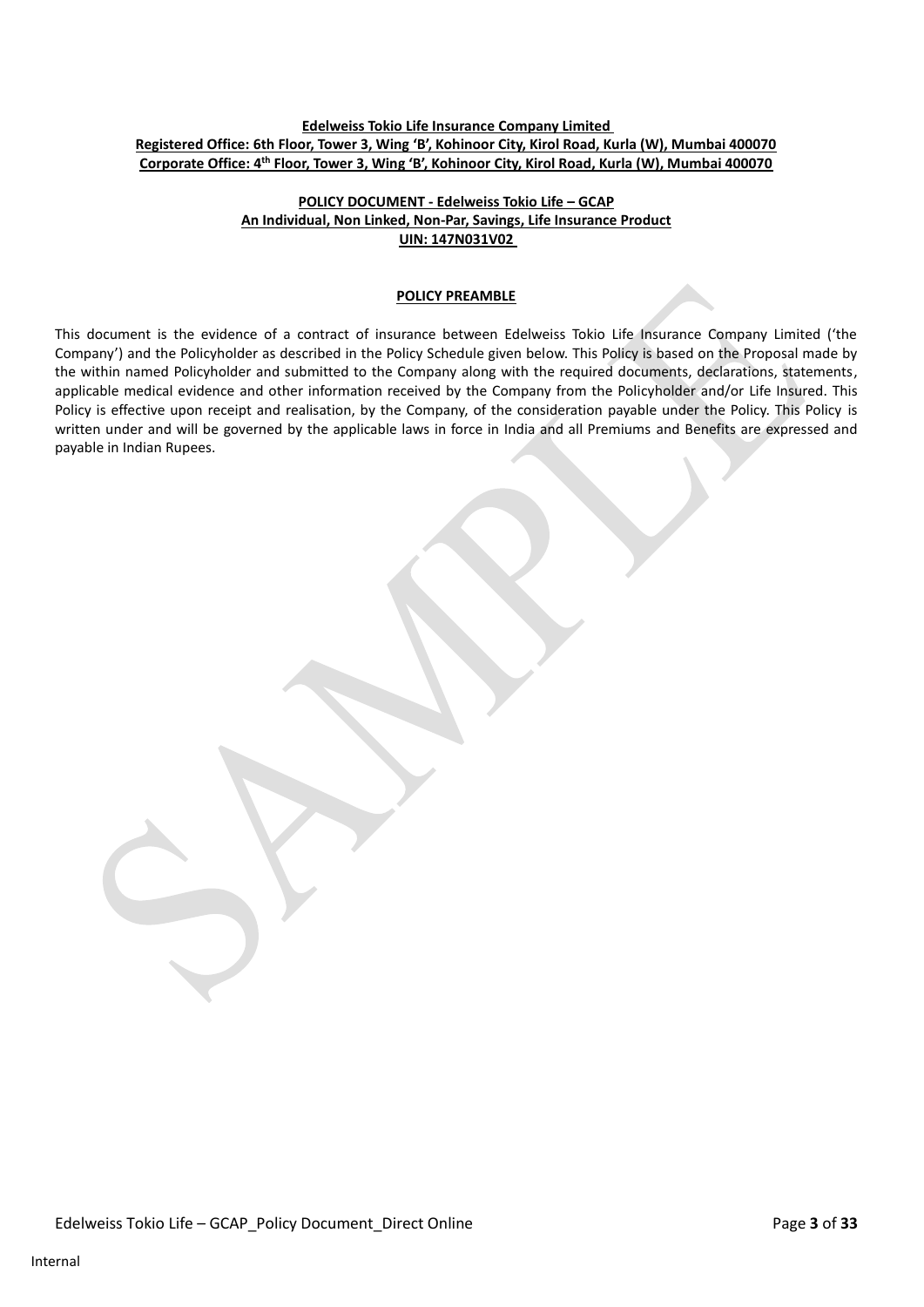## **Edelweiss Tokio Life Insurance Company Limited Registered Office: 6th Floor, Tower 3, Wing 'B', Kohinoor City, Kirol Road, Kurla (W), Mumbai 400070 Corporate Office: 4th Floor, Tower 3, Wing 'B', Kohinoor City, Kirol Road, Kurla (W), Mumbai 400070**

## **POLICY DOCUMENT - Edelweiss Tokio Life – GCAP An Individual, Non Linked, Non-Par, Savings, Life Insurance Product UIN: 147N031V02**

### **POLICY PREAMBLE**

This document is the evidence of a contract of insurance between Edelweiss Tokio Life Insurance Company Limited ('the Company') and the Policyholder as described in the Policy Schedule given below. This Policy is based on the Proposal made by the within named Policyholder and submitted to the Company along with the required documents, declarations, statements, applicable medical evidence and other information received by the Company from the Policyholder and/or Life Insured. This Policy is effective upon receipt and realisation, by the Company, of the consideration payable under the Policy. This Policy is written under and will be governed by the applicable laws in force in India and all Premiums and Benefits are expressed and payable in Indian Rupees.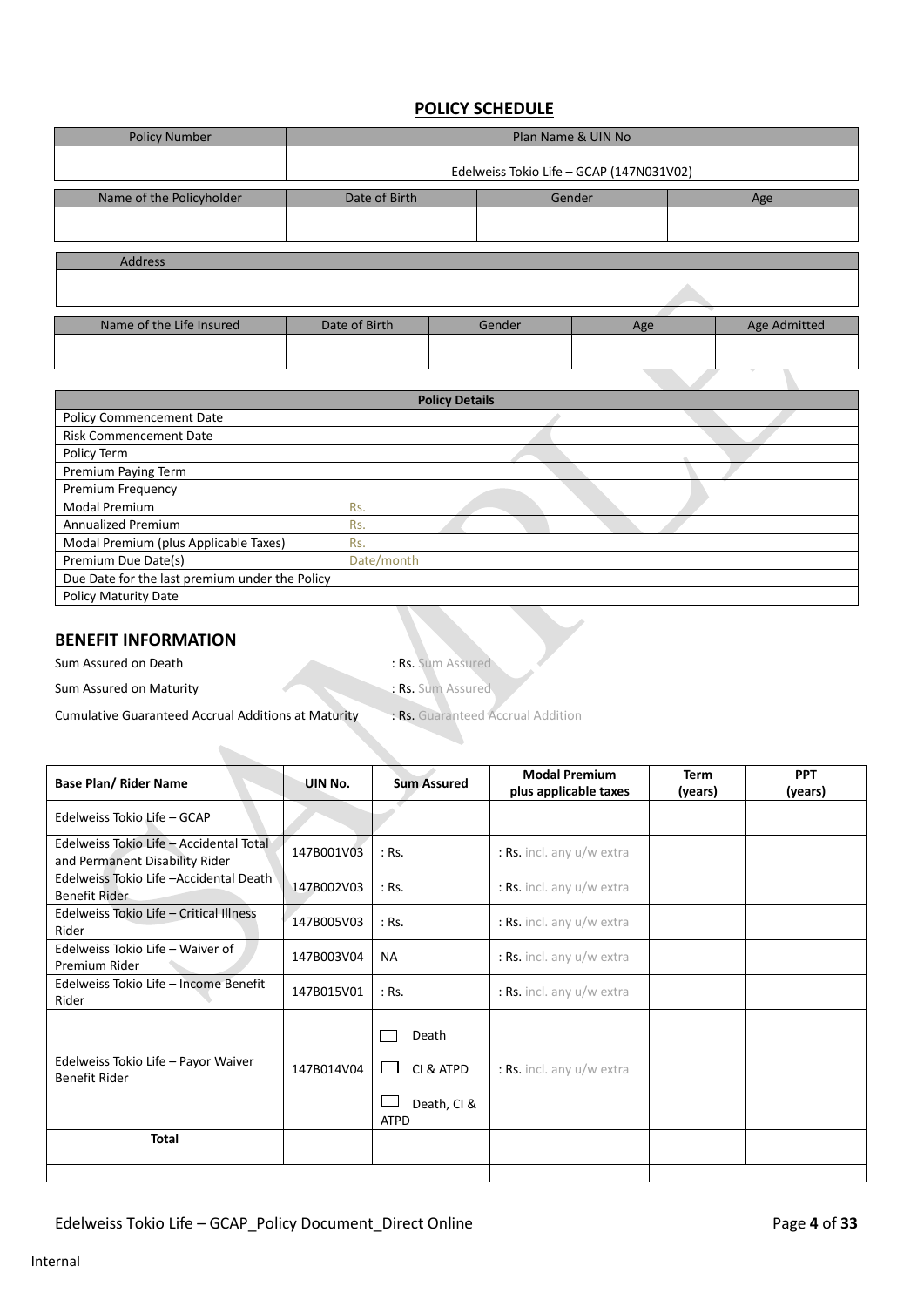# **POLICY SCHEDULE**

| <b>Policy Number</b>     | Plan Name & UIN No                       |               |        |     |  |              |  |
|--------------------------|------------------------------------------|---------------|--------|-----|--|--------------|--|
|                          | Edelweiss Tokio Life - GCAP (147N031V02) |               |        |     |  |              |  |
| Name of the Policyholder | Date of Birth                            | Gender<br>Age |        |     |  |              |  |
|                          |                                          |               |        |     |  |              |  |
| <b>Address</b>           |                                          |               |        |     |  |              |  |
|                          |                                          |               |        |     |  |              |  |
| Name of the Life Insured | Date of Birth                            |               | Gender | Age |  | Age Admitted |  |
|                          |                                          |               |        |     |  |              |  |

|                                                | <b>Policy Details</b> |  |
|------------------------------------------------|-----------------------|--|
| <b>Policy Commencement Date</b>                |                       |  |
| <b>Risk Commencement Date</b>                  |                       |  |
| Policy Term                                    |                       |  |
| Premium Paying Term                            |                       |  |
| Premium Frequency                              |                       |  |
| <b>Modal Premium</b>                           | Rs.                   |  |
| Annualized Premium                             | Rs.                   |  |
| Modal Premium (plus Applicable Taxes)          | Rs.                   |  |
| Premium Due Date(s)                            | Date/month            |  |
| Due Date for the last premium under the Policy |                       |  |
| Policy Maturity Date                           |                       |  |

# **BENEFIT INFORMATION**

Sum Assured on Death : Rs. Sum Assured

Sum Assured on Maturity : Rs. Sum Assured

Cumulative Guaranteed Accrual Additions at Maturity : Rs. Guaranteed Accrual Addition

| <b>Base Plan/ Rider Name</b>                                              | UIN No.    | <b>Sum Assured</b>                               | <b>Modal Premium</b><br>plus applicable taxes | Term<br>(years) | <b>PPT</b><br>(years) |
|---------------------------------------------------------------------------|------------|--------------------------------------------------|-----------------------------------------------|-----------------|-----------------------|
| Edelweiss Tokio Life - GCAP                                               |            |                                                  |                                               |                 |                       |
| Edelweiss Tokio Life - Accidental Total<br>and Permanent Disability Rider | 147B001V03 | $:$ Rs.                                          | : Rs. incl. any u/w extra                     |                 |                       |
| Edelweiss Tokio Life - Accidental Death<br>Benefit Rider                  | 147B002V03 | $:$ Rs.                                          | : Rs. incl. any u/w extra                     |                 |                       |
| Edelweiss Tokio Life - Critical Illness<br>Rider                          | 147B005V03 | $:$ Rs.                                          | : Rs. incl. any $u/w$ extra                   |                 |                       |
| Edelweiss Tokio Life - Waiver of<br>Premium Rider                         | 147B003V04 | <b>NA</b>                                        | : Rs. incl. any u/w extra                     |                 |                       |
| Edelweiss Tokio Life - Income Benefit<br>Rider                            | 147B015V01 | $:$ Rs.                                          | : Rs. incl. any $u/w$ extra                   |                 |                       |
| Edelweiss Tokio Life - Payor Waiver<br><b>Benefit Rider</b>               | 147B014V04 | Death<br>CI & ATPD<br>Death, CI &<br><b>ATPD</b> | : Rs. incl. any $u/w$ extra                   |                 |                       |
| <b>Total</b>                                                              |            |                                                  |                                               |                 |                       |
|                                                                           |            |                                                  |                                               |                 |                       |

 $\mathcal{L}$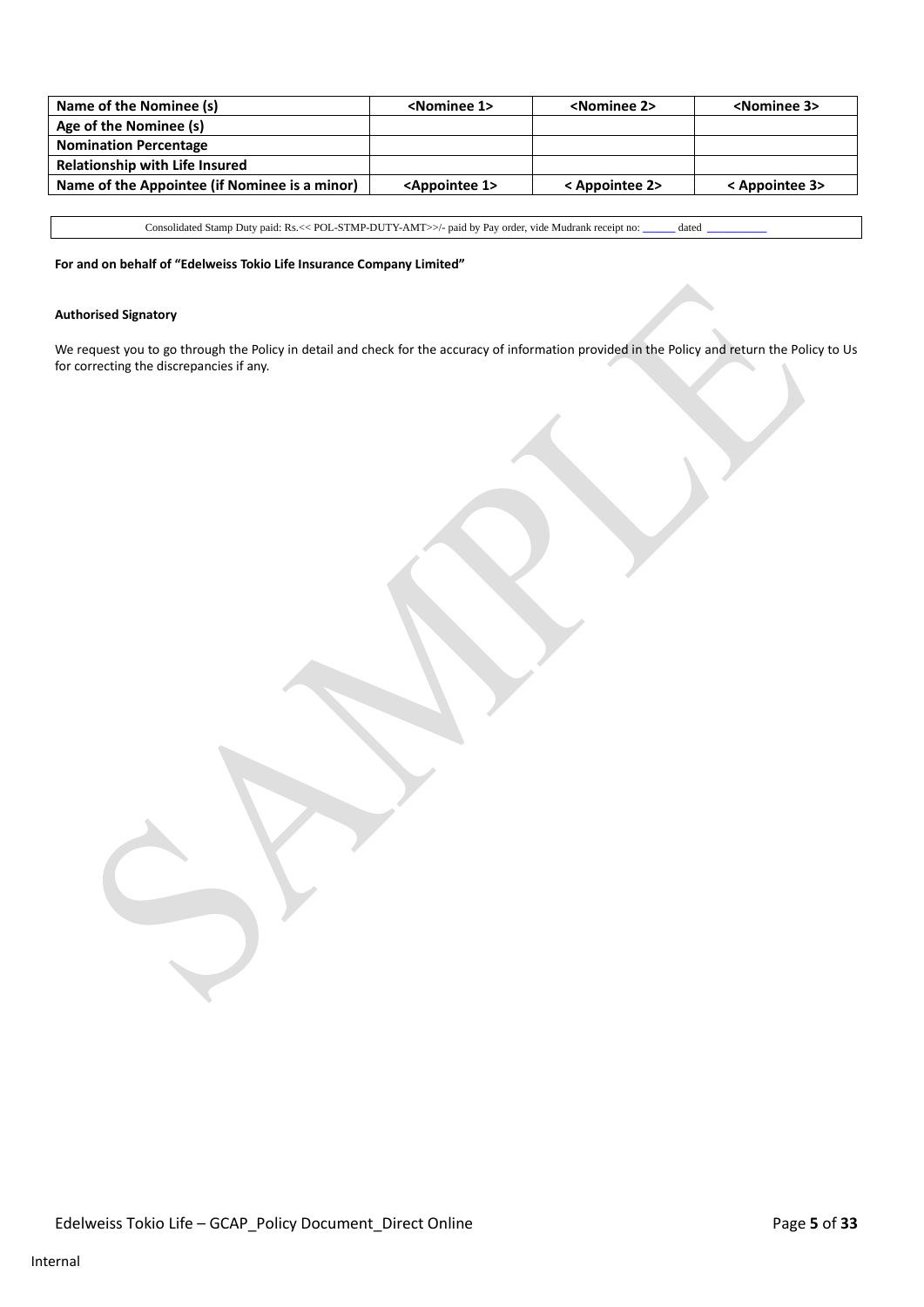| Name of the Nominee (s)                       | <nominee 1=""></nominee>     | <nominee 2=""></nominee> | <nominee 3=""></nominee> |
|-----------------------------------------------|------------------------------|--------------------------|--------------------------|
| Age of the Nominee (s)                        |                              |                          |                          |
| <b>Nomination Percentage</b>                  |                              |                          |                          |
| <b>Relationship with Life Insured</b>         |                              |                          |                          |
| Name of the Appointee (if Nominee is a minor) | <appointee 1=""></appointee> | < Appointee 2>           | < Appointee 3>           |

Consolidated Stamp Duty paid: Rs.<< POL-STMP-DUTY-AMT>>/- paid by Pay order, vide Mudrank receipt no: **\_\_\_\_\_\_** dated **\_\_\_\_\_\_\_\_\_\_\_**

**For and on behalf of "Edelweiss Tokio Life Insurance Company Limited"** 

#### **Authorised Signatory**

We request you to go through the Policy in detail and check for the accuracy of information provided in the Policy and return the Policy to Us for correcting the discrepancies if any.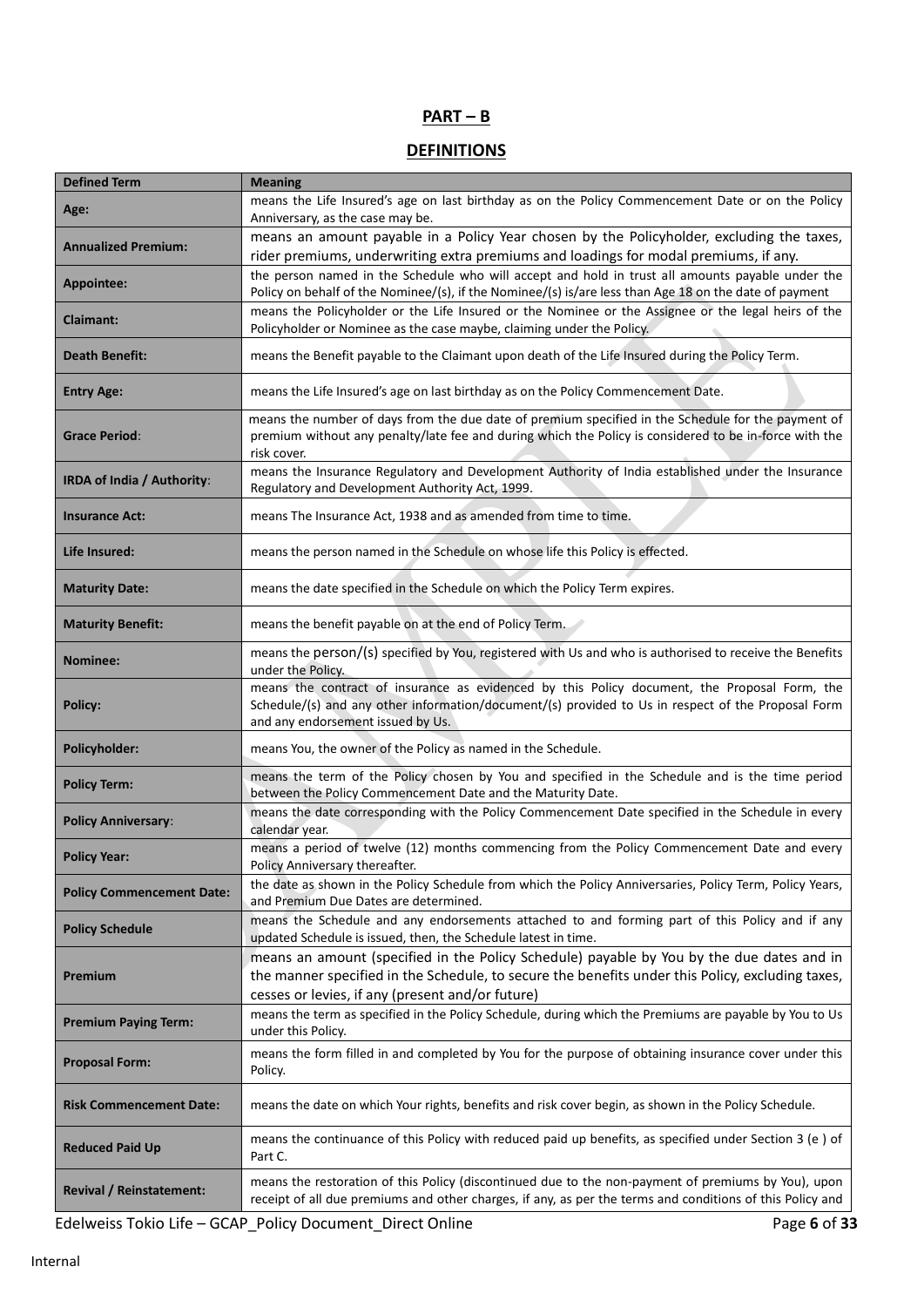# **PART – B**

# **DEFINITIONS**

| <b>Defined Term</b>              | <b>Meaning</b>                                                                                                                                                                                                                                    |
|----------------------------------|---------------------------------------------------------------------------------------------------------------------------------------------------------------------------------------------------------------------------------------------------|
| Age:                             | means the Life Insured's age on last birthday as on the Policy Commencement Date or on the Policy<br>Anniversary, as the case may be.                                                                                                             |
| <b>Annualized Premium:</b>       | means an amount payable in a Policy Year chosen by the Policyholder, excluding the taxes,<br>rider premiums, underwriting extra premiums and loadings for modal premiums, if any.                                                                 |
| Appointee:                       | the person named in the Schedule who will accept and hold in trust all amounts payable under the<br>Policy on behalf of the Nominee/(s), if the Nominee/(s) is/are less than Age 18 on the date of payment                                        |
| <b>Claimant:</b>                 | means the Policyholder or the Life Insured or the Nominee or the Assignee or the legal heirs of the<br>Policyholder or Nominee as the case maybe, claiming under the Policy.                                                                      |
| <b>Death Benefit:</b>            | means the Benefit payable to the Claimant upon death of the Life Insured during the Policy Term.                                                                                                                                                  |
| <b>Entry Age:</b>                | means the Life Insured's age on last birthday as on the Policy Commencement Date.                                                                                                                                                                 |
| <b>Grace Period:</b>             | means the number of days from the due date of premium specified in the Schedule for the payment of<br>premium without any penalty/late fee and during which the Policy is considered to be in-force with the<br>risk cover.                       |
| IRDA of India / Authority:       | means the Insurance Regulatory and Development Authority of India established under the Insurance<br>Regulatory and Development Authority Act, 1999.                                                                                              |
| <b>Insurance Act:</b>            | means The Insurance Act, 1938 and as amended from time to time.                                                                                                                                                                                   |
| Life Insured:                    | means the person named in the Schedule on whose life this Policy is effected.                                                                                                                                                                     |
| <b>Maturity Date:</b>            | means the date specified in the Schedule on which the Policy Term expires.                                                                                                                                                                        |
| <b>Maturity Benefit:</b>         | means the benefit payable on at the end of Policy Term.                                                                                                                                                                                           |
| Nominee:                         | means the person/(s) specified by You, registered with Us and who is authorised to receive the Benefits<br>under the Policy.                                                                                                                      |
| <b>Policy:</b>                   | means the contract of insurance as evidenced by this Policy document, the Proposal Form, the<br>Schedule/(s) and any other information/document/(s) provided to Us in respect of the Proposal Form<br>and any endorsement issued by Us.           |
| Policyholder:                    | means You, the owner of the Policy as named in the Schedule.                                                                                                                                                                                      |
| <b>Policy Term:</b>              | means the term of the Policy chosen by You and specified in the Schedule and is the time period<br>between the Policy Commencement Date and the Maturity Date.                                                                                    |
| <b>Policy Anniversary:</b>       | means the date corresponding with the Policy Commencement Date specified in the Schedule in every<br>calendar year.                                                                                                                               |
| <b>Policy Year:</b>              | means a period of twelve (12) months commencing from the Policy Commencement Date and every<br>Policy Anniversary thereafter.                                                                                                                     |
| <b>Policy Commencement Date:</b> | the date as shown in the Policy Schedule from which the Policy Anniversaries, Policy Term, Policy Years,<br>and Premium Due Dates are determined.                                                                                                 |
| <b>Policy Schedule</b>           | means the Schedule and any endorsements attached to and forming part of this Policy and if any<br>updated Schedule is issued, then, the Schedule latest in time.                                                                                  |
| Premium                          | means an amount (specified in the Policy Schedule) payable by You by the due dates and in<br>the manner specified in the Schedule, to secure the benefits under this Policy, excluding taxes,<br>cesses or levies, if any (present and/or future) |
| <b>Premium Paying Term:</b>      | means the term as specified in the Policy Schedule, during which the Premiums are payable by You to Us<br>under this Policy.                                                                                                                      |
| <b>Proposal Form:</b>            | means the form filled in and completed by You for the purpose of obtaining insurance cover under this<br>Policy.                                                                                                                                  |
| <b>Risk Commencement Date:</b>   | means the date on which Your rights, benefits and risk cover begin, as shown in the Policy Schedule.                                                                                                                                              |
| <b>Reduced Paid Up</b>           | means the continuance of this Policy with reduced paid up benefits, as specified under Section 3 (e) of<br>Part C.                                                                                                                                |
| <b>Revival / Reinstatement:</b>  | means the restoration of this Policy (discontinued due to the non-payment of premiums by You), upon<br>receipt of all due premiums and other charges, if any, as per the terms and conditions of this Policy and                                  |

Edelweiss Tokio Life – GCAP\_Policy Document\_Direct Online Page 6 of 33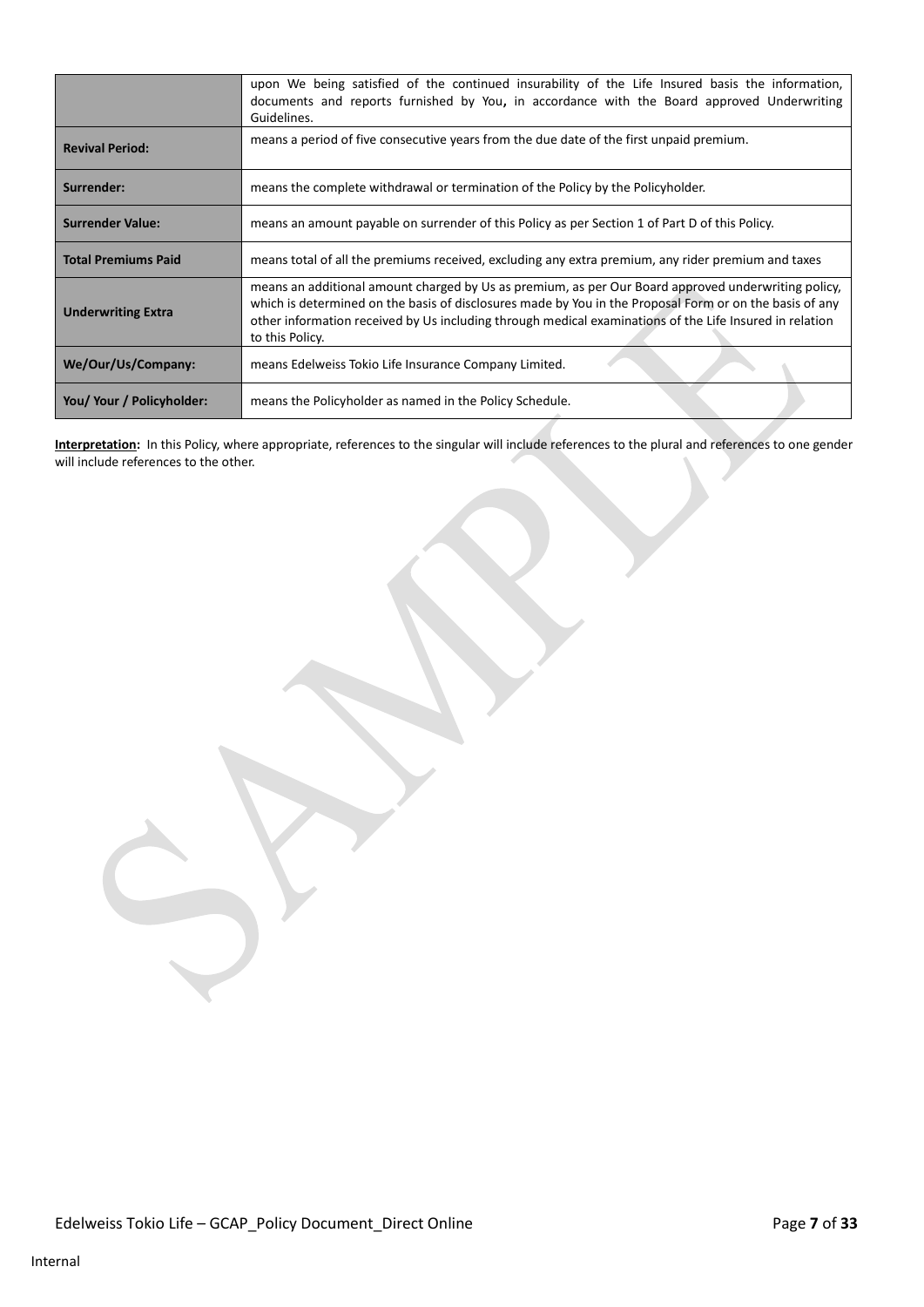|                            | upon We being satisfied of the continued insurability of the Life Insured basis the information,<br>documents and reports furnished by You, in accordance with the Board approved Underwriting<br>Guidelines.                                                                                                                                |
|----------------------------|----------------------------------------------------------------------------------------------------------------------------------------------------------------------------------------------------------------------------------------------------------------------------------------------------------------------------------------------|
| <b>Revival Period:</b>     | means a period of five consecutive years from the due date of the first unpaid premium.                                                                                                                                                                                                                                                      |
| Surrender:                 | means the complete withdrawal or termination of the Policy by the Policyholder.                                                                                                                                                                                                                                                              |
| <b>Surrender Value:</b>    | means an amount payable on surrender of this Policy as per Section 1 of Part D of this Policy.                                                                                                                                                                                                                                               |
| <b>Total Premiums Paid</b> | means total of all the premiums received, excluding any extra premium, any rider premium and taxes                                                                                                                                                                                                                                           |
| <b>Underwriting Extra</b>  | means an additional amount charged by Us as premium, as per Our Board approved underwriting policy,<br>which is determined on the basis of disclosures made by You in the Proposal Form or on the basis of any<br>other information received by Us including through medical examinations of the Life Insured in relation<br>to this Policy. |
| We/Our/Us/Company:         | means Edelweiss Tokio Life Insurance Company Limited.                                                                                                                                                                                                                                                                                        |
| You/ Your / Policyholder:  | means the Policyholder as named in the Policy Schedule.                                                                                                                                                                                                                                                                                      |

**Interpretation:** In this Policy, where appropriate, references to the singular will include references to the plural and references to one gender will include references to the other.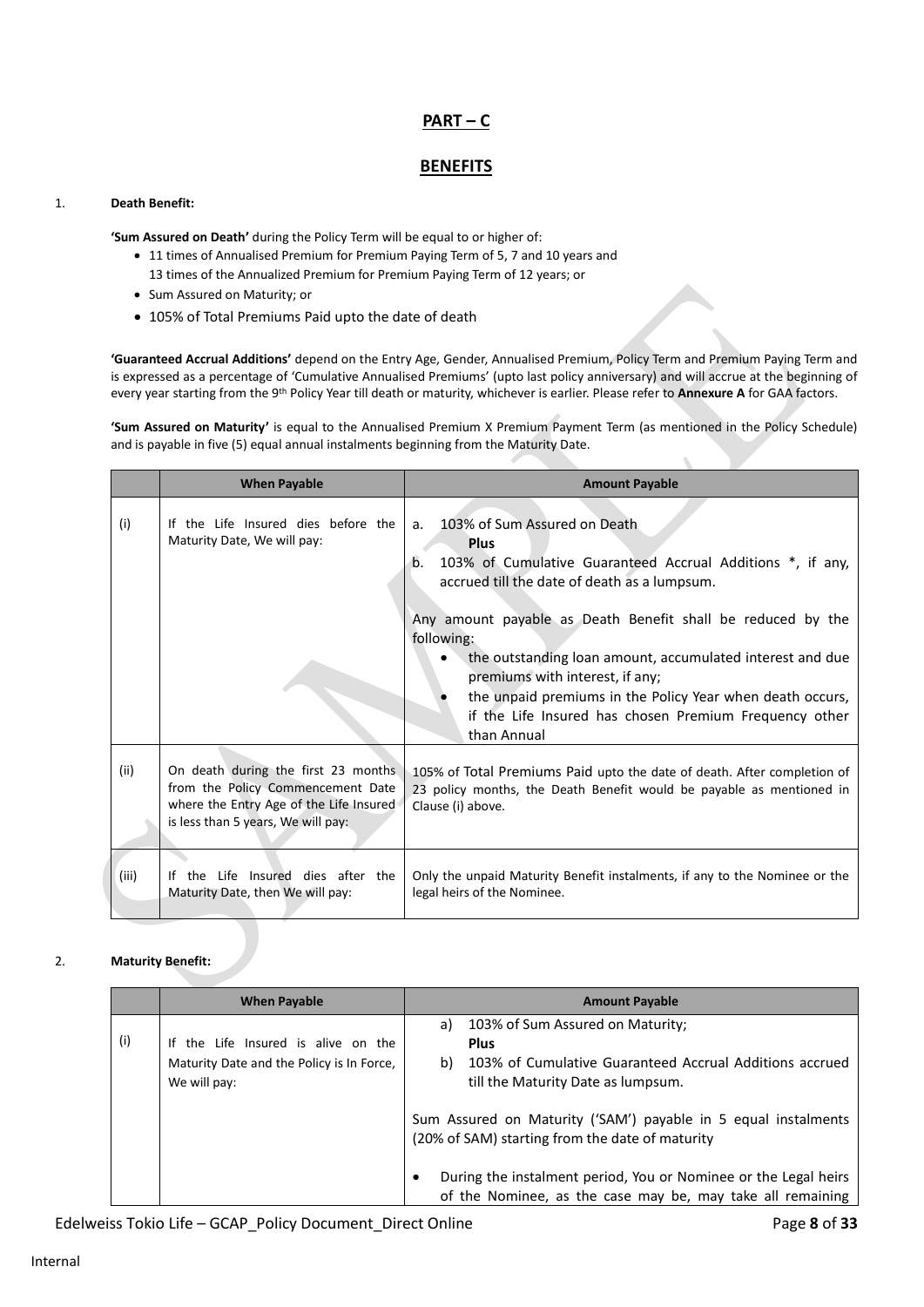# **PART – C**

## **BENEFITS**

#### 1. **Death Benefit:**

**'Sum Assured on Death'** during the Policy Term will be equal to or higher of:

- 11 times of Annualised Premium for Premium Paying Term of 5, 7 and 10 years and
	- 13 times of the Annualized Premium for Premium Paying Term of 12 years; or
- Sum Assured on Maturity; or
- 105% of Total Premiums Paid upto the date of death

**'Guaranteed Accrual Additions'** depend on the Entry Age, Gender, Annualised Premium, Policy Term and Premium Paying Term and is expressed as a percentage of 'Cumulative Annualised Premiums' (upto last policy anniversary) and will accrue at the beginning of every year starting from the 9th Policy Year till death or maturity, whichever is earlier. Please refer to **Annexure A** for GAA factors.

**'Sum Assured on Maturity'** is equal to the Annualised Premium X Premium Payment Term (as mentioned in the Policy Schedule) and is payable in five (5) equal annual instalments beginning from the Maturity Date.

|       | <b>When Payable</b>                                                                                                                                       | <b>Amount Payable</b>                                                                                                                                                                                                                                                                                                                                                                                                                                                                    |
|-------|-----------------------------------------------------------------------------------------------------------------------------------------------------------|------------------------------------------------------------------------------------------------------------------------------------------------------------------------------------------------------------------------------------------------------------------------------------------------------------------------------------------------------------------------------------------------------------------------------------------------------------------------------------------|
| (i)   | If the Life Insured dies before the<br>Maturity Date, We will pay:                                                                                        | 103% of Sum Assured on Death<br>a.<br><b>Plus</b><br>103% of Cumulative Guaranteed Accrual Additions *, if any,<br>b.<br>accrued till the date of death as a lumpsum.<br>Any amount payable as Death Benefit shall be reduced by the<br>following:<br>the outstanding loan amount, accumulated interest and due<br>premiums with interest, if any;<br>the unpaid premiums in the Policy Year when death occurs,<br>if the Life Insured has chosen Premium Frequency other<br>than Annual |
| (ii)  | On death during the first 23 months<br>from the Policy Commencement Date<br>where the Entry Age of the Life Insured<br>is less than 5 years, We will pay: | 105% of Total Premiums Paid upto the date of death. After completion of<br>23 policy months, the Death Benefit would be payable as mentioned in<br>Clause (i) above.                                                                                                                                                                                                                                                                                                                     |
| (iii) | If the Life Insured dies after the<br>Maturity Date, then We will pay:                                                                                    | Only the unpaid Maturity Benefit instalments, if any to the Nominee or the<br>legal heirs of the Nominee.                                                                                                                                                                                                                                                                                                                                                                                |

#### 2. **Maturity Benefit:**

|     | <b>When Payable</b>                       |           | <b>Amount Payable</b>                                                                                                         |
|-----|-------------------------------------------|-----------|-------------------------------------------------------------------------------------------------------------------------------|
|     |                                           | a)        | 103% of Sum Assured on Maturity;                                                                                              |
| (i) | If the Life Insured is alive on the       |           | <b>Plus</b>                                                                                                                   |
|     | Maturity Date and the Policy is In Force, | b)        | 103% of Cumulative Guaranteed Accrual Additions accrued                                                                       |
|     | We will pay:                              |           | till the Maturity Date as lumpsum.                                                                                            |
|     |                                           |           | Sum Assured on Maturity ('SAM') payable in 5 equal instalments<br>(20% of SAM) starting from the date of maturity             |
|     |                                           | $\bullet$ | During the instalment period, You or Nominee or the Legal heirs<br>of the Nominee, as the case may be, may take all remaining |

Edelweiss Tokio Life – GCAP\_Policy Document\_Direct Online **Page 8** of 33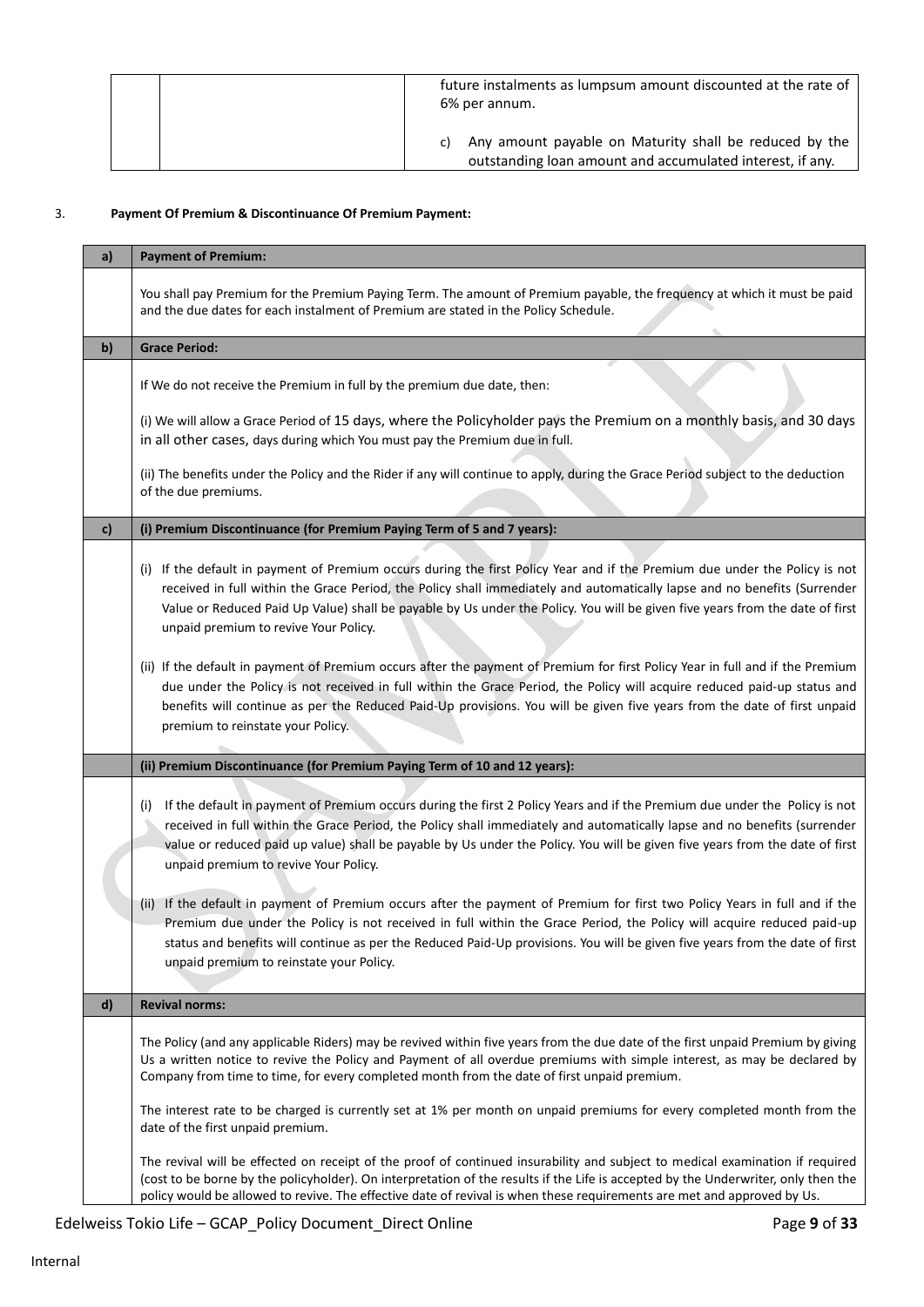|  | future instalments as lumpsum amount discounted at the rate of<br>6% per annum.                                           |
|--|---------------------------------------------------------------------------------------------------------------------------|
|  | Any amount payable on Maturity shall be reduced by the<br>C)<br>outstanding loan amount and accumulated interest, if any. |

## 3. **Payment Of Premium & Discontinuance Of Premium Payment:**

| a)           | <b>Payment of Premium:</b>                                                                                                                                                                                                                                                                                                                                                                                                                                                                                                                                                                                                                                                                         |
|--------------|----------------------------------------------------------------------------------------------------------------------------------------------------------------------------------------------------------------------------------------------------------------------------------------------------------------------------------------------------------------------------------------------------------------------------------------------------------------------------------------------------------------------------------------------------------------------------------------------------------------------------------------------------------------------------------------------------|
|              | You shall pay Premium for the Premium Paying Term. The amount of Premium payable, the frequency at which it must be paid<br>and the due dates for each instalment of Premium are stated in the Policy Schedule.                                                                                                                                                                                                                                                                                                                                                                                                                                                                                    |
| b)           | <b>Grace Period:</b>                                                                                                                                                                                                                                                                                                                                                                                                                                                                                                                                                                                                                                                                               |
|              | If We do not receive the Premium in full by the premium due date, then:                                                                                                                                                                                                                                                                                                                                                                                                                                                                                                                                                                                                                            |
|              | (i) We will allow a Grace Period of 15 days, where the Policyholder pays the Premium on a monthly basis, and 30 days<br>in all other cases, days during which You must pay the Premium due in full.                                                                                                                                                                                                                                                                                                                                                                                                                                                                                                |
|              | (ii) The benefits under the Policy and the Rider if any will continue to apply, during the Grace Period subject to the deduction<br>of the due premiums.                                                                                                                                                                                                                                                                                                                                                                                                                                                                                                                                           |
| c)           | (i) Premium Discontinuance (for Premium Paying Term of 5 and 7 years):                                                                                                                                                                                                                                                                                                                                                                                                                                                                                                                                                                                                                             |
|              | (i) If the default in payment of Premium occurs during the first Policy Year and if the Premium due under the Policy is not<br>received in full within the Grace Period, the Policy shall immediately and automatically lapse and no benefits (Surrender<br>Value or Reduced Paid Up Value) shall be payable by Us under the Policy. You will be given five years from the date of first<br>unpaid premium to revive Your Policy.                                                                                                                                                                                                                                                                  |
|              | (ii) If the default in payment of Premium occurs after the payment of Premium for first Policy Year in full and if the Premium<br>due under the Policy is not received in full within the Grace Period, the Policy will acquire reduced paid-up status and<br>benefits will continue as per the Reduced Paid-Up provisions. You will be given five years from the date of first unpaid<br>premium to reinstate your Policy.                                                                                                                                                                                                                                                                        |
|              | (ii) Premium Discontinuance (for Premium Paying Term of 10 and 12 years):                                                                                                                                                                                                                                                                                                                                                                                                                                                                                                                                                                                                                          |
|              | If the default in payment of Premium occurs during the first 2 Policy Years and if the Premium due under the Policy is not<br>(i)<br>received in full within the Grace Period, the Policy shall immediately and automatically lapse and no benefits (surrender<br>value or reduced paid up value) shall be payable by Us under the Policy. You will be given five years from the date of first<br>unpaid premium to revive Your Policy.<br>If the default in payment of Premium occurs after the payment of Premium for first two Policy Years in full and if the<br>(ii)<br>Premium due under the Policy is not received in full within the Grace Period, the Policy will acquire reduced paid-up |
|              | status and benefits will continue as per the Reduced Paid-Up provisions. You will be given five years from the date of first<br>unpaid premium to reinstate your Policy.                                                                                                                                                                                                                                                                                                                                                                                                                                                                                                                           |
| $\mathsf{d}$ | <b>Revival norms:</b>                                                                                                                                                                                                                                                                                                                                                                                                                                                                                                                                                                                                                                                                              |
|              | The Policy (and any applicable Riders) may be revived within five years from the due date of the first unpaid Premium by giving<br>Us a written notice to revive the Policy and Payment of all overdue premiums with simple interest, as may be declared by<br>Company from time to time, for every completed month from the date of first unpaid premium.                                                                                                                                                                                                                                                                                                                                         |
|              | The interest rate to be charged is currently set at 1% per month on unpaid premiums for every completed month from the<br>date of the first unpaid premium.                                                                                                                                                                                                                                                                                                                                                                                                                                                                                                                                        |
|              | The revival will be effected on receipt of the proof of continued insurability and subject to medical examination if required<br>(cost to be borne by the policyholder). On interpretation of the results if the Life is accepted by the Underwriter, only then the<br>policy would be allowed to revive. The effective date of revival is when these requirements are met and approved by Us.                                                                                                                                                                                                                                                                                                     |

Edelweiss Tokio Life – GCAP\_Policy Document\_Direct Online Page 9 of 33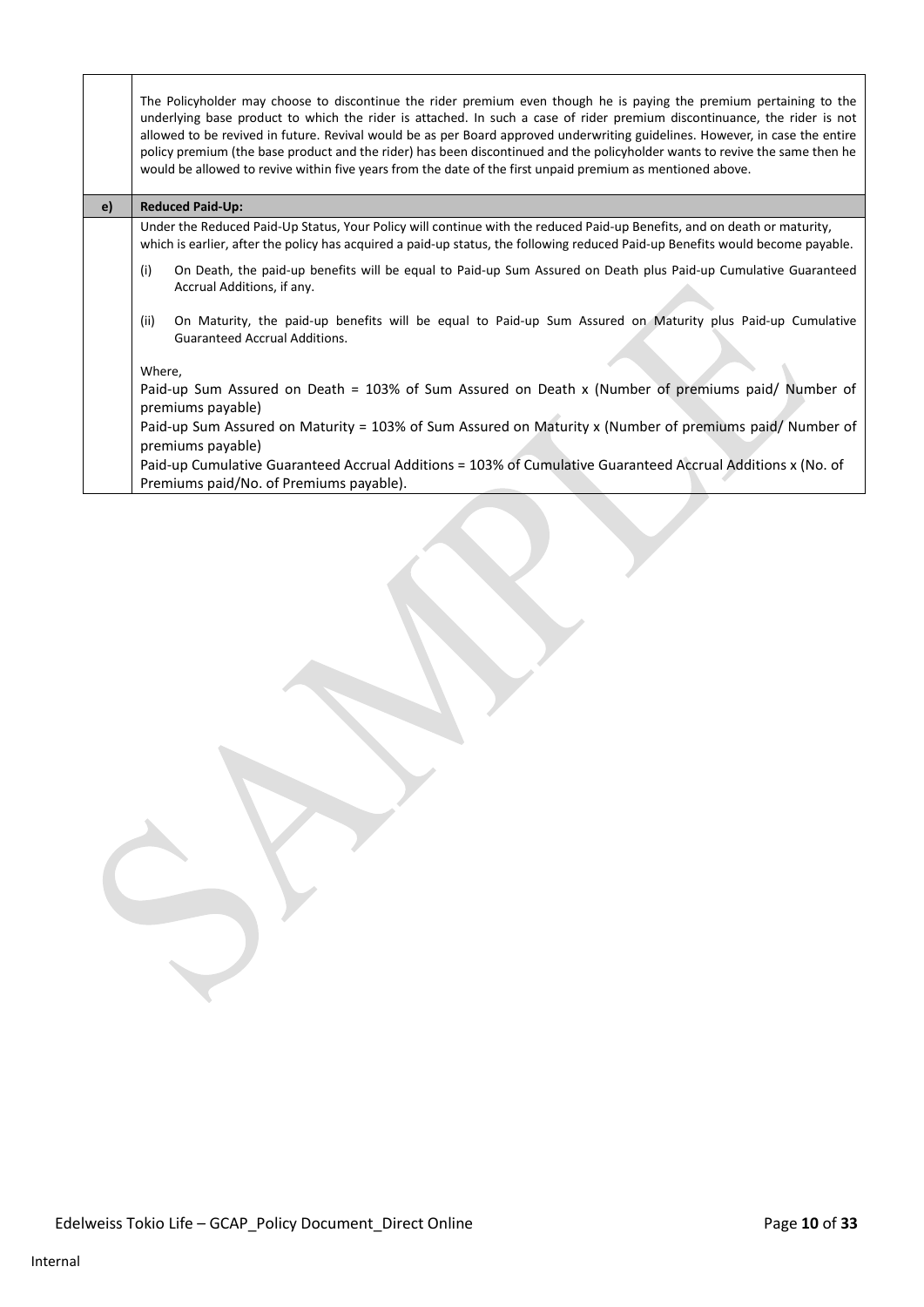|    | The Policyholder may choose to discontinue the rider premium even though he is paying the premium pertaining to the<br>underlying base product to which the rider is attached. In such a case of rider premium discontinuance, the rider is not<br>allowed to be revived in future. Revival would be as per Board approved underwriting guidelines. However, in case the entire<br>policy premium (the base product and the rider) has been discontinued and the policyholder wants to revive the same then he<br>would be allowed to revive within five years from the date of the first unpaid premium as mentioned above. |
|----|------------------------------------------------------------------------------------------------------------------------------------------------------------------------------------------------------------------------------------------------------------------------------------------------------------------------------------------------------------------------------------------------------------------------------------------------------------------------------------------------------------------------------------------------------------------------------------------------------------------------------|
| e) | <b>Reduced Paid-Up:</b>                                                                                                                                                                                                                                                                                                                                                                                                                                                                                                                                                                                                      |
|    | Under the Reduced Paid-Up Status, Your Policy will continue with the reduced Paid-up Benefits, and on death or maturity,<br>which is earlier, after the policy has acquired a paid-up status, the following reduced Paid-up Benefits would become payable.                                                                                                                                                                                                                                                                                                                                                                   |
|    | (i)<br>On Death, the paid-up benefits will be equal to Paid-up Sum Assured on Death plus Paid-up Cumulative Guaranteed<br>Accrual Additions, if any.                                                                                                                                                                                                                                                                                                                                                                                                                                                                         |
|    | (ii)<br>On Maturity, the paid-up benefits will be equal to Paid-up Sum Assured on Maturity plus Paid-up Cumulative<br><b>Guaranteed Accrual Additions.</b>                                                                                                                                                                                                                                                                                                                                                                                                                                                                   |
|    | Where,                                                                                                                                                                                                                                                                                                                                                                                                                                                                                                                                                                                                                       |
|    | Paid-up Sum Assured on Death = 103% of Sum Assured on Death x (Number of premiums paid/ Number of<br>premiums payable)                                                                                                                                                                                                                                                                                                                                                                                                                                                                                                       |
|    | Paid-up Sum Assured on Maturity = 103% of Sum Assured on Maturity x (Number of premiums paid/ Number of<br>premiums payable)                                                                                                                                                                                                                                                                                                                                                                                                                                                                                                 |
|    | Paid-up Cumulative Guaranteed Accrual Additions = 103% of Cumulative Guaranteed Accrual Additions x (No. of                                                                                                                                                                                                                                                                                                                                                                                                                                                                                                                  |
|    | Premiums paid/No. of Premiums payable).                                                                                                                                                                                                                                                                                                                                                                                                                                                                                                                                                                                      |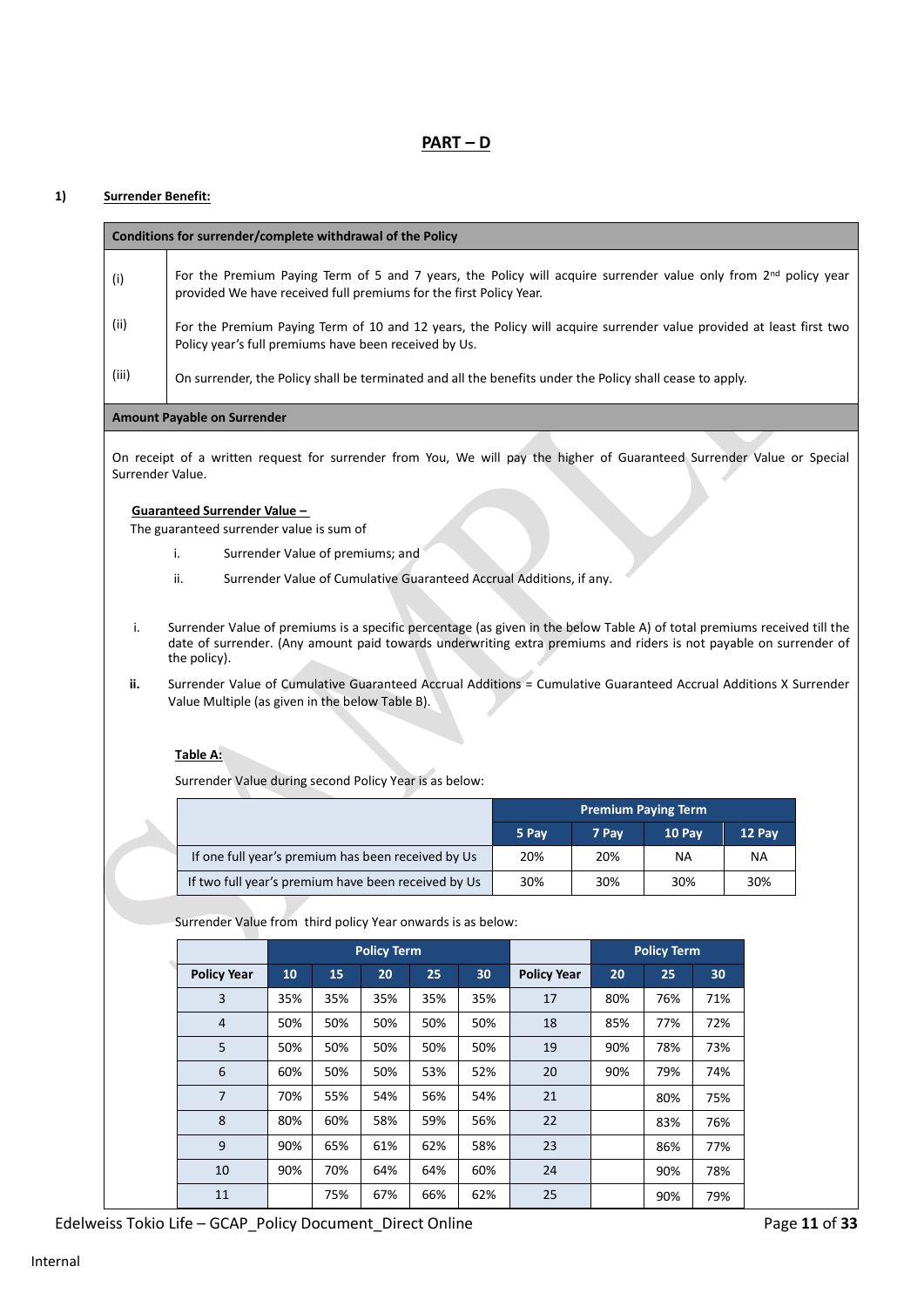# **PART – D**

## **1) Surrender Benefit:**

|                                                                                                                                                                                                                                                                     | Conditions for surrender/complete withdrawal of the Policy                                                                                                                                 |     |     |                    |     |     |                    |                            |                    |     |        |  |
|---------------------------------------------------------------------------------------------------------------------------------------------------------------------------------------------------------------------------------------------------------------------|--------------------------------------------------------------------------------------------------------------------------------------------------------------------------------------------|-----|-----|--------------------|-----|-----|--------------------|----------------------------|--------------------|-----|--------|--|
| (i)                                                                                                                                                                                                                                                                 | For the Premium Paying Term of 5 and 7 years, the Policy will acquire surrender value only from $2^{nd}$ policy year<br>provided We have received full premiums for the first Policy Year. |     |     |                    |     |     |                    |                            |                    |     |        |  |
| (ii)                                                                                                                                                                                                                                                                | For the Premium Paying Term of 10 and 12 years, the Policy will acquire surrender value provided at least first two<br>Policy year's full premiums have been received by Us.               |     |     |                    |     |     |                    |                            |                    |     |        |  |
| (iii)                                                                                                                                                                                                                                                               | On surrender, the Policy shall be terminated and all the benefits under the Policy shall cease to apply.                                                                                   |     |     |                    |     |     |                    |                            |                    |     |        |  |
| <b>Amount Payable on Surrender</b>                                                                                                                                                                                                                                  |                                                                                                                                                                                            |     |     |                    |     |     |                    |                            |                    |     |        |  |
| On receipt of a written request for surrender from You, We will pay the higher of Guaranteed Surrender Value or Special<br>Surrender Value.                                                                                                                         |                                                                                                                                                                                            |     |     |                    |     |     |                    |                            |                    |     |        |  |
| Guaranteed Surrender Value -                                                                                                                                                                                                                                        |                                                                                                                                                                                            |     |     |                    |     |     |                    |                            |                    |     |        |  |
|                                                                                                                                                                                                                                                                     | The guaranteed surrender value is sum of                                                                                                                                                   |     |     |                    |     |     |                    |                            |                    |     |        |  |
|                                                                                                                                                                                                                                                                     | Surrender Value of premiums; and<br>i.                                                                                                                                                     |     |     |                    |     |     |                    |                            |                    |     |        |  |
|                                                                                                                                                                                                                                                                     | ii.<br>Surrender Value of Cumulative Guaranteed Accrual Additions, if any.                                                                                                                 |     |     |                    |     |     |                    |                            |                    |     |        |  |
| Surrender Value of premiums is a specific percentage (as given in the below Table A) of total premiums received till the<br>i.<br>date of surrender. (Any amount paid towards underwriting extra premiums and riders is not payable on surrender of<br>the policy). |                                                                                                                                                                                            |     |     |                    |     |     |                    |                            |                    |     |        |  |
| ii.                                                                                                                                                                                                                                                                 | Surrender Value of Cumulative Guaranteed Accrual Additions = Cumulative Guaranteed Accrual Additions X Surrender<br>Value Multiple (as given in the below Table B).                        |     |     |                    |     |     |                    |                            |                    |     |        |  |
|                                                                                                                                                                                                                                                                     |                                                                                                                                                                                            |     |     |                    |     |     |                    |                            |                    |     |        |  |
|                                                                                                                                                                                                                                                                     |                                                                                                                                                                                            |     |     |                    |     |     |                    |                            |                    |     |        |  |
|                                                                                                                                                                                                                                                                     | Table A:                                                                                                                                                                                   |     |     |                    |     |     |                    |                            |                    |     |        |  |
|                                                                                                                                                                                                                                                                     | Surrender Value during second Policy Year is as below:                                                                                                                                     |     |     |                    |     |     |                    |                            |                    |     |        |  |
|                                                                                                                                                                                                                                                                     |                                                                                                                                                                                            |     |     |                    |     |     |                    | <b>Premium Paying Term</b> |                    |     |        |  |
|                                                                                                                                                                                                                                                                     |                                                                                                                                                                                            |     |     |                    |     |     | 5 Pay              | 7 Pay                      | 10 Pay             |     | 12 Pay |  |
|                                                                                                                                                                                                                                                                     | If one full year's premium has been received by Us                                                                                                                                         |     |     |                    |     |     | 20%                | 20%<br>30%                 | NA<br>30%          |     | NA     |  |
|                                                                                                                                                                                                                                                                     | If two full year's premium have been received by Us                                                                                                                                        |     |     |                    |     |     | 30%                |                            |                    |     | 30%    |  |
|                                                                                                                                                                                                                                                                     | Surrender Value from third policy Year onwards is as below:                                                                                                                                |     |     |                    |     |     |                    |                            |                    |     |        |  |
|                                                                                                                                                                                                                                                                     |                                                                                                                                                                                            |     |     | <b>Policy Term</b> |     |     |                    |                            | <b>Policy Term</b> |     |        |  |
|                                                                                                                                                                                                                                                                     | <b>Policy Year</b>                                                                                                                                                                         | 10  | 15  | 20                 | 25  | 30  | <b>Policy Year</b> | 20                         | 25                 | 30  |        |  |
|                                                                                                                                                                                                                                                                     | 3                                                                                                                                                                                          | 35% | 35% | 35%                | 35% | 35% | 17                 | 80%                        | 76%                | 71% |        |  |
|                                                                                                                                                                                                                                                                     | $\overline{4}$                                                                                                                                                                             | 50% | 50% | 50%                | 50% | 50% | 18                 | 85%                        | 77%                | 72% |        |  |
|                                                                                                                                                                                                                                                                     | 5                                                                                                                                                                                          | 50% | 50% | 50%                | 50% | 50% | 19                 | 90%                        | 78%                | 73% |        |  |
|                                                                                                                                                                                                                                                                     | 6                                                                                                                                                                                          | 60% | 50% | 50%                | 53% | 52% | 20                 | 90%                        | 79%                | 74% |        |  |
|                                                                                                                                                                                                                                                                     | $\overline{7}$                                                                                                                                                                             | 70% | 55% | 54%                | 56% | 54% | 21                 |                            | 80%                | 75% |        |  |
|                                                                                                                                                                                                                                                                     | $\bf 8$                                                                                                                                                                                    | 80% | 60% | 58%                | 59% | 56% | 22                 |                            | 83%                | 76% |        |  |
|                                                                                                                                                                                                                                                                     | 9                                                                                                                                                                                          | 90% | 65% | 61%                | 62% | 58% | 23                 |                            | 86%                | 77% |        |  |
|                                                                                                                                                                                                                                                                     | 10                                                                                                                                                                                         | 90% | 70% | 64%                | 64% | 60% | 24                 |                            | 90%                | 78% |        |  |
|                                                                                                                                                                                                                                                                     | $11\,$                                                                                                                                                                                     |     | 75% | 67%                | 66% | 62% | 25                 |                            | 90%                | 79% |        |  |

Edelweiss Tokio Life – GCAP\_Policy Document\_Direct Online Page 11 of 33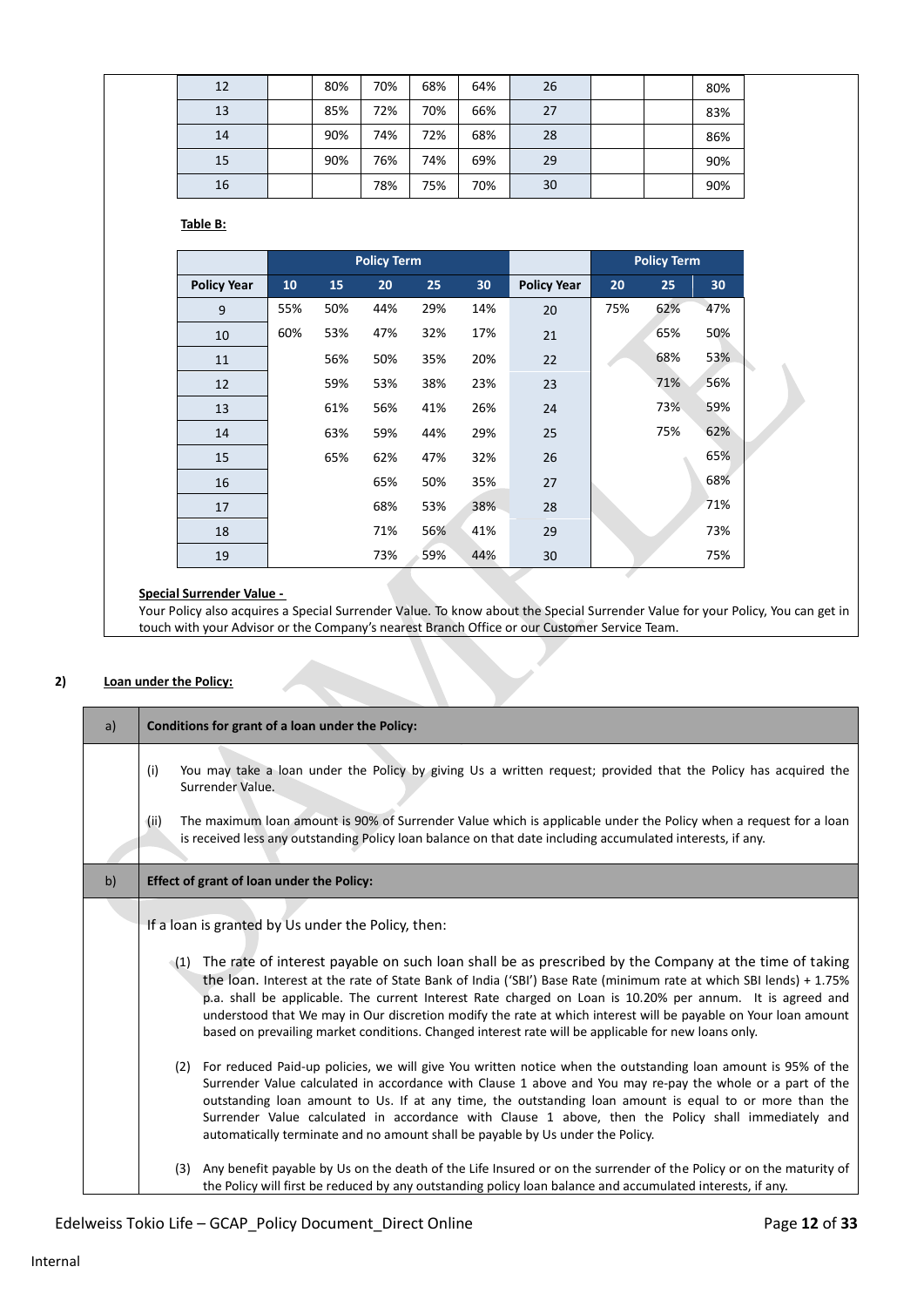| 12 | 80% | 70% | 68% | 64% | 26 |  | 80% |  |
|----|-----|-----|-----|-----|----|--|-----|--|
| 13 | 85% | 72% | 70% | 66% | 27 |  | 83% |  |
| 14 | 90% | 74% | 72% | 68% | 28 |  | 86% |  |
| 15 | 90% | 76% | 74% | 69% | 29 |  | 90% |  |
| 16 |     | 78% | 75% | 70% | 30 |  | 90% |  |

**Table B:**

|                    |     |     | <b>Policy Term</b> |     |     |                    |     | <b>Policy Term</b> |     |
|--------------------|-----|-----|--------------------|-----|-----|--------------------|-----|--------------------|-----|
| <b>Policy Year</b> | 10  | 15  | 20                 | 25  | 30  | <b>Policy Year</b> | 20  | 25                 | 30  |
| 9                  | 55% | 50% | 44%                | 29% | 14% | 20                 | 75% | 62%                | 47% |
| 10                 | 60% | 53% | 47%                | 32% | 17% | 21                 |     | 65%                | 50% |
| 11                 |     | 56% | 50%                | 35% | 20% | 22                 |     | 68%                | 53% |
| 12                 |     | 59% | 53%                | 38% | 23% | 23                 |     | 71%                | 56% |
| 13                 |     | 61% | 56%                | 41% | 26% | 24                 |     | 73%                | 59% |
| 14                 |     | 63% | 59%                | 44% | 29% | 25                 |     | 75%                | 62% |
| 15                 |     | 65% | 62%                | 47% | 32% | 26                 |     |                    | 65% |
| 16                 |     |     | 65%                | 50% | 35% | 27                 |     |                    | 68% |
| 17                 |     |     | 68%                | 53% | 38% | 28                 |     |                    | 71% |
| 18                 |     |     | 71%                | 56% | 41% | 29                 |     |                    | 73% |
| 19                 |     |     | 73%                | 59% | 44% | 30                 |     |                    | 75% |

## **Special Surrender Value -**

Your Policy also acquires a Special Surrender Value. To know about the Special Surrender Value for your Policy, You can get in touch with your Advisor or the Company's nearest Branch Office or our Customer Service Team.

## **2) Loan under the Policy:**

| a) | Conditions for grant of a loan under the Policy:                                                                                                                                                                                                                                                                                                                                                                                                                                                                                                                                                                                                                                                                                                                                                                                                                                                                                                                                                                                                                                                                                                                 |
|----|------------------------------------------------------------------------------------------------------------------------------------------------------------------------------------------------------------------------------------------------------------------------------------------------------------------------------------------------------------------------------------------------------------------------------------------------------------------------------------------------------------------------------------------------------------------------------------------------------------------------------------------------------------------------------------------------------------------------------------------------------------------------------------------------------------------------------------------------------------------------------------------------------------------------------------------------------------------------------------------------------------------------------------------------------------------------------------------------------------------------------------------------------------------|
|    | You may take a loan under the Policy by giving Us a written request; provided that the Policy has acquired the<br>(i)<br>Surrender Value.<br>The maximum loan amount is 90% of Surrender Value which is applicable under the Policy when a request for a loan<br>(ii)<br>is received less any outstanding Policy loan balance on that date including accumulated interests, if any.                                                                                                                                                                                                                                                                                                                                                                                                                                                                                                                                                                                                                                                                                                                                                                              |
| b) | Effect of grant of loan under the Policy:                                                                                                                                                                                                                                                                                                                                                                                                                                                                                                                                                                                                                                                                                                                                                                                                                                                                                                                                                                                                                                                                                                                        |
|    | If a loan is granted by Us under the Policy, then:<br>(1) The rate of interest payable on such loan shall be as prescribed by the Company at the time of taking<br>the loan. Interest at the rate of State Bank of India ('SBI') Base Rate (minimum rate at which SBI lends) + 1.75%<br>p.a. shall be applicable. The current Interest Rate charged on Loan is 10.20% per annum. It is agreed and<br>understood that We may in Our discretion modify the rate at which interest will be payable on Your loan amount<br>based on prevailing market conditions. Changed interest rate will be applicable for new loans only.<br>(2) For reduced Paid-up policies, we will give You written notice when the outstanding loan amount is 95% of the<br>Surrender Value calculated in accordance with Clause 1 above and You may re-pay the whole or a part of the<br>outstanding loan amount to Us. If at any time, the outstanding loan amount is equal to or more than the<br>Surrender Value calculated in accordance with Clause 1 above, then the Policy shall immediately and<br>automatically terminate and no amount shall be payable by Us under the Policy. |
|    | Any benefit payable by Us on the death of the Life Insured or on the surrender of the Policy or on the maturity of<br>(3)<br>the Policy will first be reduced by any outstanding policy loan balance and accumulated interests, if any.                                                                                                                                                                                                                                                                                                                                                                                                                                                                                                                                                                                                                                                                                                                                                                                                                                                                                                                          |

# Edelweiss Tokio Life – GCAP\_Policy Document\_Direct Online Page 12 of 33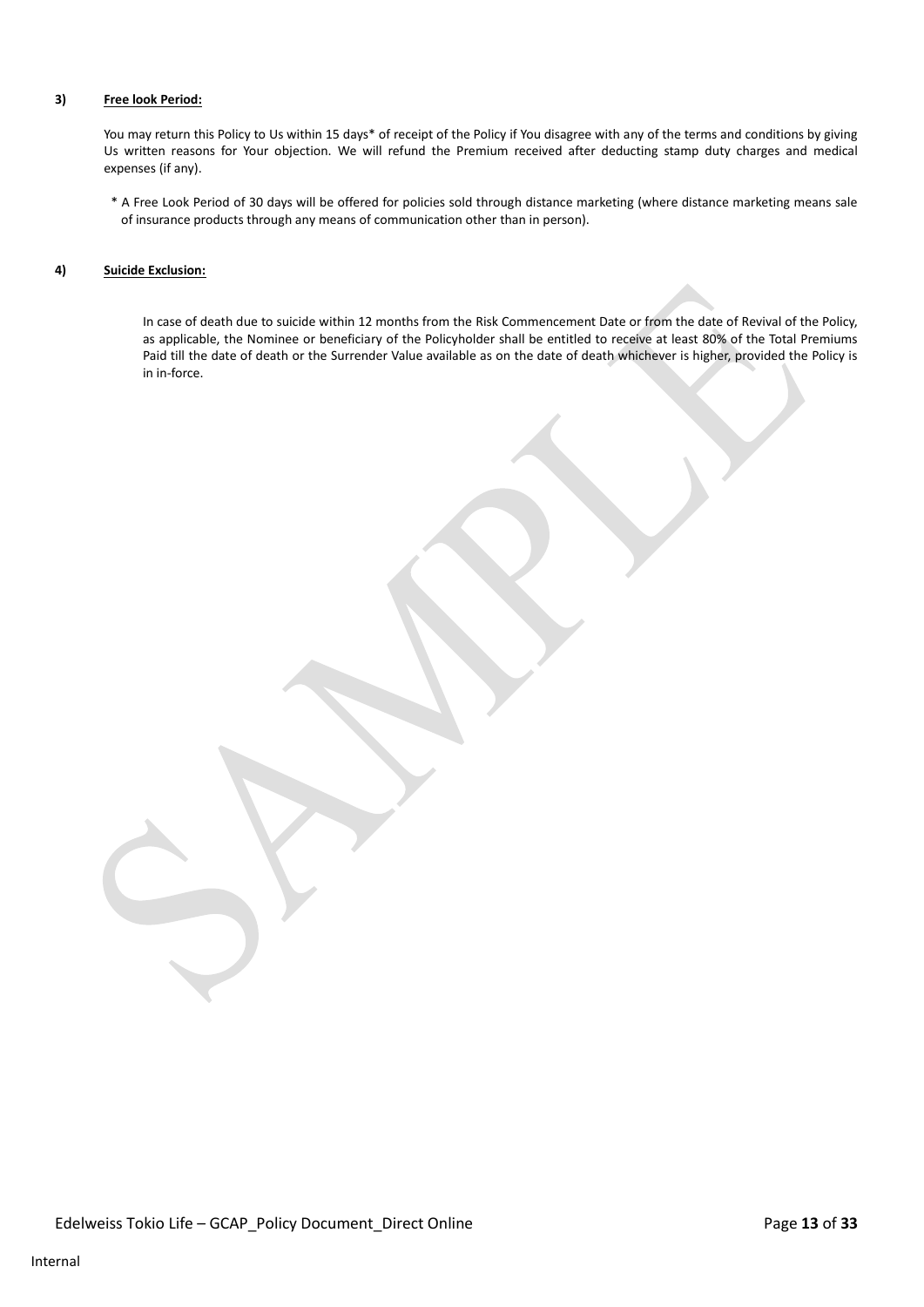#### **3) Free look Period:**

You may return this Policy to Us within 15 days\* of receipt of the Policy if You disagree with any of the terms and conditions by giving Us written reasons for Your objection. We will refund the Premium received after deducting stamp duty charges and medical expenses (if any).

\* A Free Look Period of 30 days will be offered for policies sold through distance marketing (where distance marketing means sale of insurance products through any means of communication other than in person).

#### **4) Suicide Exclusion:**

In case of death due to suicide within 12 months from the Risk Commencement Date or from the date of Revival of the Policy, as applicable, the Nominee or beneficiary of the Policyholder shall be entitled to receive at least 80% of the Total Premiums Paid till the date of death or the Surrender Value available as on the date of death whichever is higher, provided the Policy is in in-force.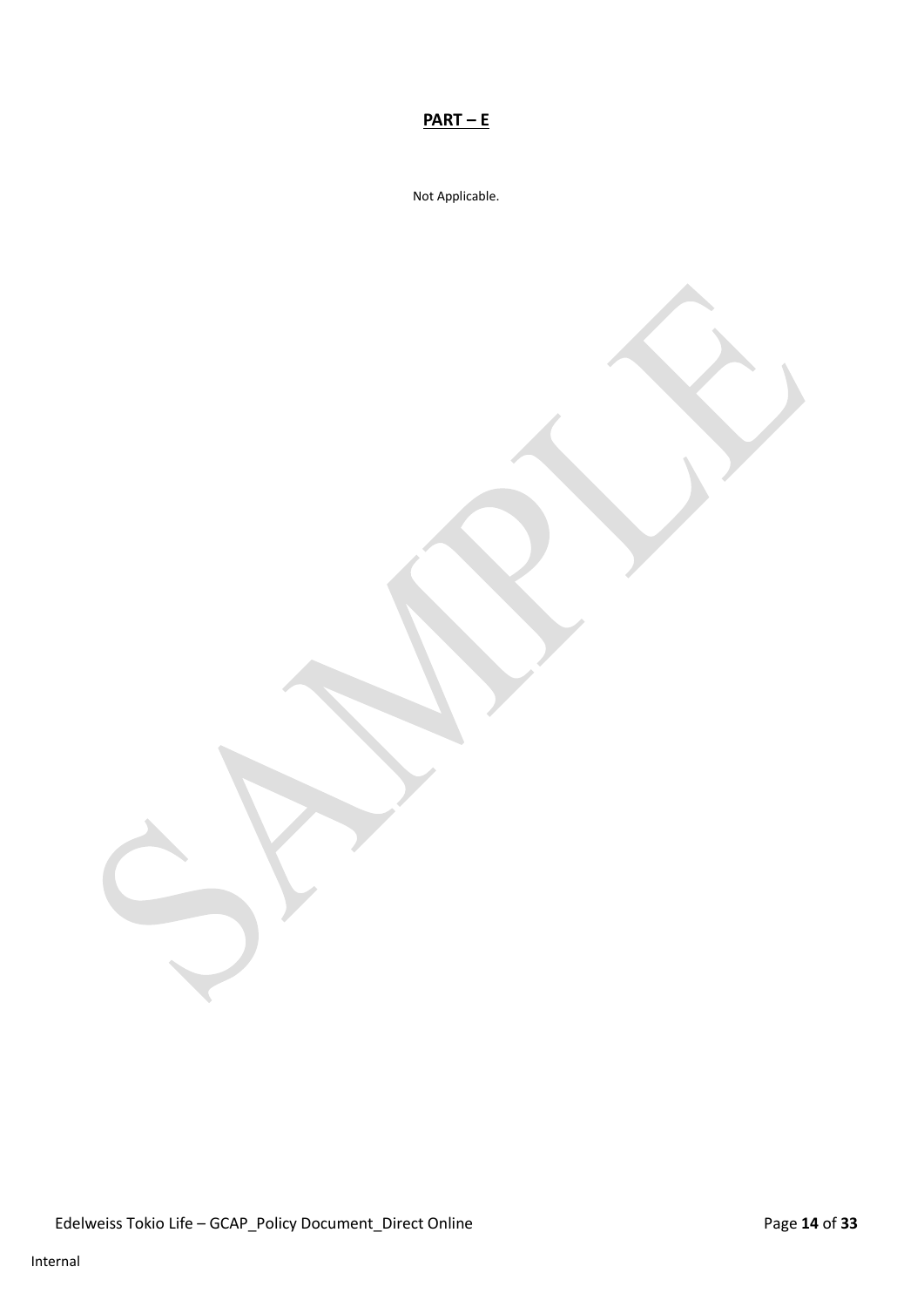# **PART – E**

Not Applicable.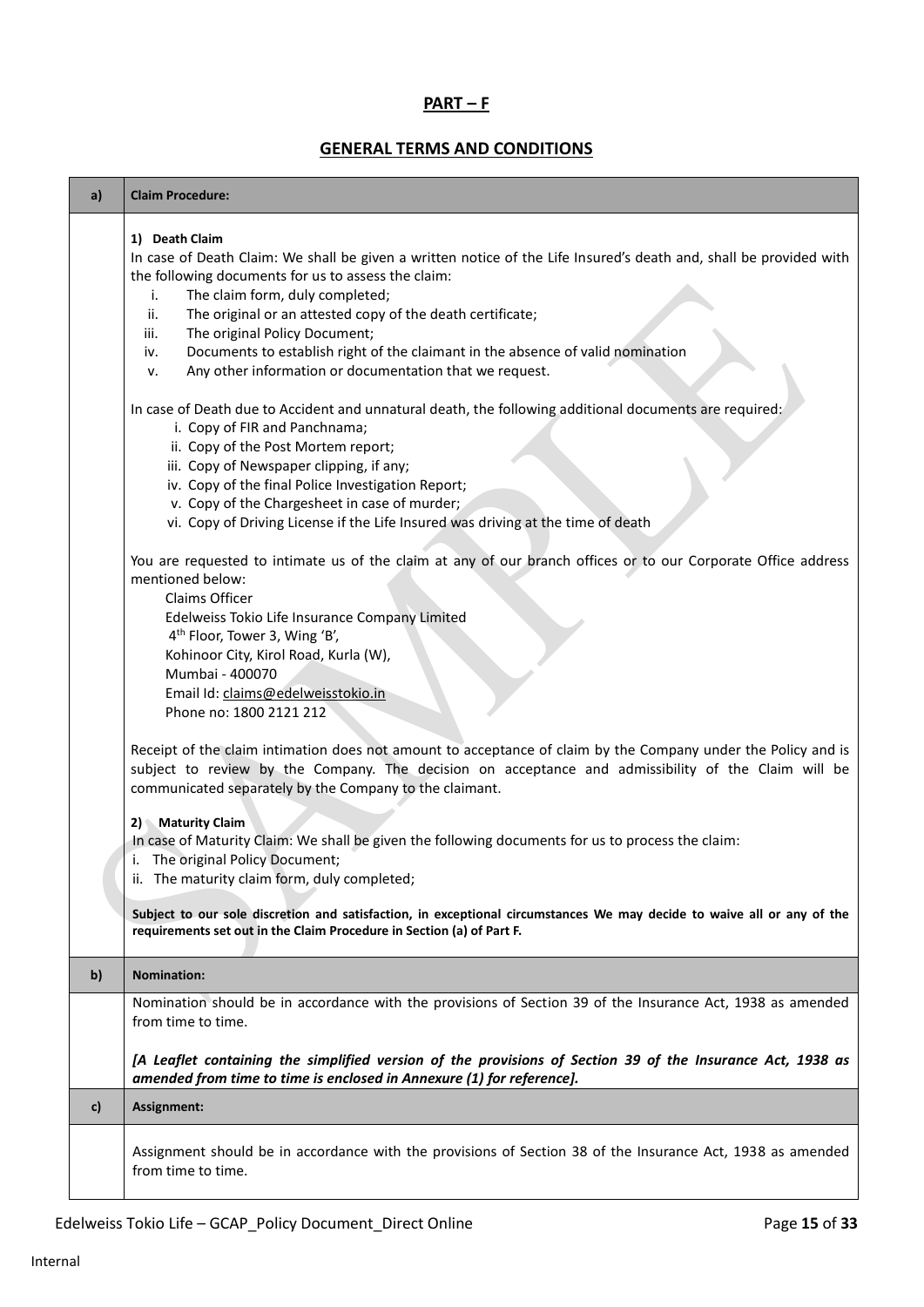# **PART – F**

# **GENERAL TERMS AND CONDITIONS**

| a)           | <b>Claim Procedure:</b>                                                                                                                                                                                                                                                                                                                                                                                                                                                                                       |
|--------------|---------------------------------------------------------------------------------------------------------------------------------------------------------------------------------------------------------------------------------------------------------------------------------------------------------------------------------------------------------------------------------------------------------------------------------------------------------------------------------------------------------------|
|              | 1) Death Claim<br>In case of Death Claim: We shall be given a written notice of the Life Insured's death and, shall be provided with<br>the following documents for us to assess the claim:<br>The claim form, duly completed;<br>i.<br>The original or an attested copy of the death certificate;<br>ii.<br>The original Policy Document;<br>iii.<br>Documents to establish right of the claimant in the absence of valid nomination<br>iv.<br>Any other information or documentation that we request.<br>ν. |
|              | In case of Death due to Accident and unnatural death, the following additional documents are required:<br>i. Copy of FIR and Panchnama;<br>ii. Copy of the Post Mortem report;<br>iii. Copy of Newspaper clipping, if any;<br>iv. Copy of the final Police Investigation Report;<br>v. Copy of the Chargesheet in case of murder;<br>vi. Copy of Driving License if the Life Insured was driving at the time of death                                                                                         |
|              | You are requested to intimate us of the claim at any of our branch offices or to our Corporate Office address<br>mentioned below:<br>Claims Officer<br>Edelweiss Tokio Life Insurance Company Limited<br>4 <sup>th</sup> Floor, Tower 3, Wing 'B',<br>Kohinoor City, Kirol Road, Kurla (W),<br>Mumbai - 400070<br>Email Id: claims@edelweisstokio.in<br>Phone no: 1800 2121 212                                                                                                                               |
|              | Receipt of the claim intimation does not amount to acceptance of claim by the Company under the Policy and is<br>subject to review by the Company. The decision on acceptance and admissibility of the Claim will be<br>communicated separately by the Company to the claimant.<br>2) Maturity Claim<br>In case of Maturity Claim: We shall be given the following documents for us to process the claim:<br>i. The original Policy Document;<br>ii. The maturity claim form, duly completed;                 |
|              | Subject to our sole discretion and satisfaction, in exceptional circumstances We may decide to waive all or any of the<br>requirements set out in the Claim Procedure in Section (a) of Part F.                                                                                                                                                                                                                                                                                                               |
| $\mathbf{b}$ | <b>Nomination:</b>                                                                                                                                                                                                                                                                                                                                                                                                                                                                                            |
|              | Nomination should be in accordance with the provisions of Section 39 of the Insurance Act, 1938 as amended<br>from time to time.<br>[A Leaflet containing the simplified version of the provisions of Section 39 of the Insurance Act, 1938 as                                                                                                                                                                                                                                                                |
| c)           | amended from time to time is enclosed in Annexure (1) for reference].<br>Assignment:                                                                                                                                                                                                                                                                                                                                                                                                                          |
|              | Assignment should be in accordance with the provisions of Section 38 of the Insurance Act, 1938 as amended<br>from time to time.                                                                                                                                                                                                                                                                                                                                                                              |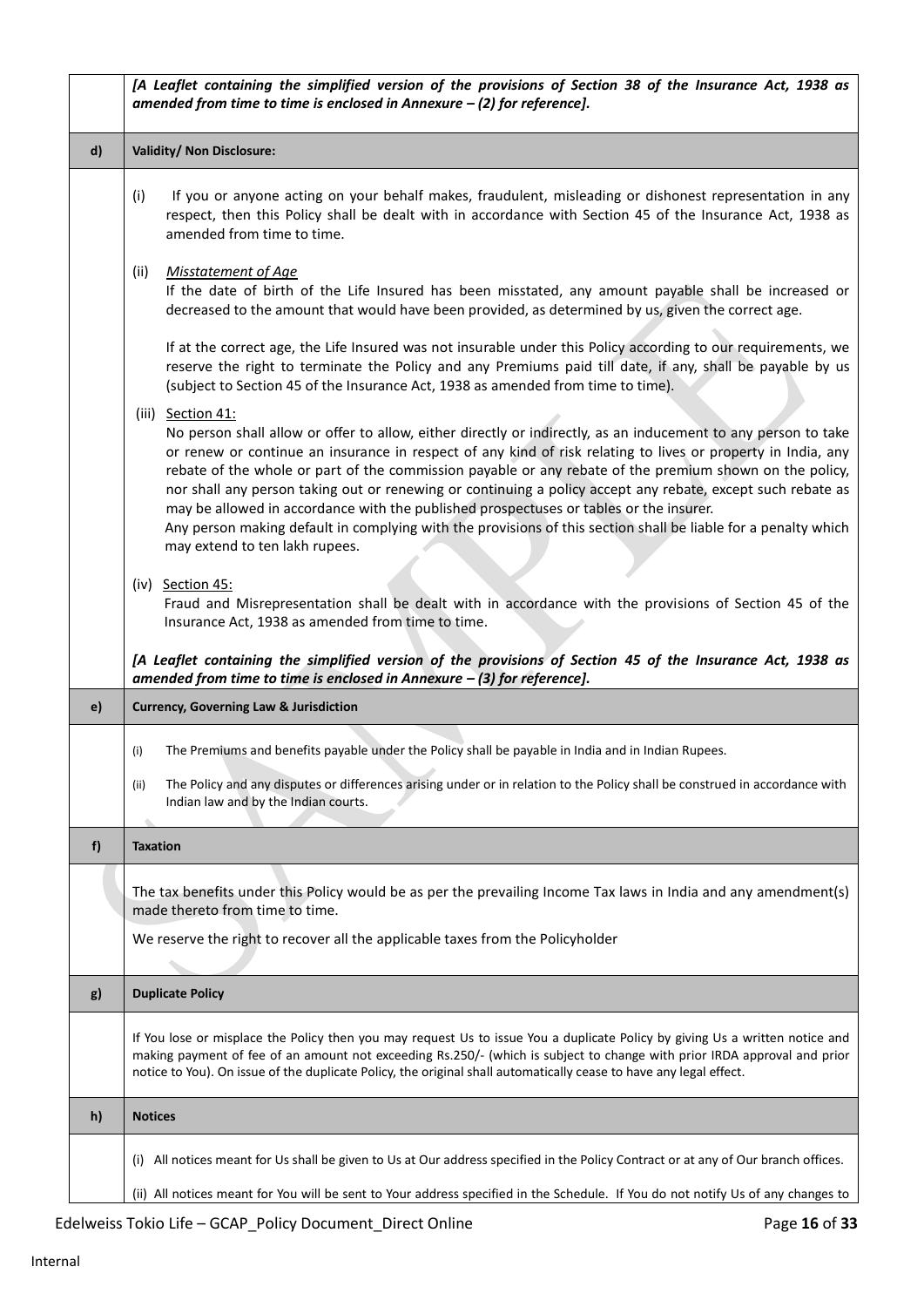|              | [A Leaflet containing the simplified version of the provisions of Section 38 of the Insurance Act, 1938 as<br>amended from time to time is enclosed in Annexure $-$ (2) for reference].                                                                                                                                                                                                                                                                                                                                                                                                                                                                                                                                     |
|--------------|-----------------------------------------------------------------------------------------------------------------------------------------------------------------------------------------------------------------------------------------------------------------------------------------------------------------------------------------------------------------------------------------------------------------------------------------------------------------------------------------------------------------------------------------------------------------------------------------------------------------------------------------------------------------------------------------------------------------------------|
| $\mathsf{d}$ | Validity/ Non Disclosure:                                                                                                                                                                                                                                                                                                                                                                                                                                                                                                                                                                                                                                                                                                   |
|              | If you or anyone acting on your behalf makes, fraudulent, misleading or dishonest representation in any<br>(i)<br>respect, then this Policy shall be dealt with in accordance with Section 45 of the Insurance Act, 1938 as<br>amended from time to time.                                                                                                                                                                                                                                                                                                                                                                                                                                                                   |
|              | (ii)<br><b>Misstatement of Age</b><br>If the date of birth of the Life Insured has been misstated, any amount payable shall be increased or<br>decreased to the amount that would have been provided, as determined by us, given the correct age.                                                                                                                                                                                                                                                                                                                                                                                                                                                                           |
|              | If at the correct age, the Life Insured was not insurable under this Policy according to our requirements, we<br>reserve the right to terminate the Policy and any Premiums paid till date, if any, shall be payable by us<br>(subject to Section 45 of the Insurance Act, 1938 as amended from time to time).                                                                                                                                                                                                                                                                                                                                                                                                              |
|              | (iii) Section 41:<br>No person shall allow or offer to allow, either directly or indirectly, as an inducement to any person to take<br>or renew or continue an insurance in respect of any kind of risk relating to lives or property in India, any<br>rebate of the whole or part of the commission payable or any rebate of the premium shown on the policy,<br>nor shall any person taking out or renewing or continuing a policy accept any rebate, except such rebate as<br>may be allowed in accordance with the published prospectuses or tables or the insurer.<br>Any person making default in complying with the provisions of this section shall be liable for a penalty which<br>may extend to ten lakh rupees. |
|              | (iv) Section 45:<br>Fraud and Misrepresentation shall be dealt with in accordance with the provisions of Section 45 of the<br>Insurance Act, 1938 as amended from time to time.<br>[A Leaflet containing the simplified version of the provisions of Section 45 of the Insurance Act, 1938 as<br>amended from time to time is enclosed in Annexure $-$ (3) for reference].                                                                                                                                                                                                                                                                                                                                                  |
| e)           | <b>Currency, Governing Law &amp; Jurisdiction</b>                                                                                                                                                                                                                                                                                                                                                                                                                                                                                                                                                                                                                                                                           |
|              | The Premiums and benefits payable under the Policy shall be payable in India and in Indian Rupees.<br>(i)                                                                                                                                                                                                                                                                                                                                                                                                                                                                                                                                                                                                                   |
|              | The Policy and any disputes or differences arising under or in relation to the Policy shall be construed in accordance with<br>(ii)<br>Indian law and by the Indian courts.                                                                                                                                                                                                                                                                                                                                                                                                                                                                                                                                                 |
| f            | <b>Taxation</b>                                                                                                                                                                                                                                                                                                                                                                                                                                                                                                                                                                                                                                                                                                             |
|              | The tax benefits under this Policy would be as per the prevailing Income Tax laws in India and any amendment(s)<br>made thereto from time to time.                                                                                                                                                                                                                                                                                                                                                                                                                                                                                                                                                                          |
|              | We reserve the right to recover all the applicable taxes from the Policyholder                                                                                                                                                                                                                                                                                                                                                                                                                                                                                                                                                                                                                                              |
| g)           | <b>Duplicate Policy</b>                                                                                                                                                                                                                                                                                                                                                                                                                                                                                                                                                                                                                                                                                                     |
|              | If You lose or misplace the Policy then you may request Us to issue You a duplicate Policy by giving Us a written notice and<br>making payment of fee of an amount not exceeding Rs.250/- (which is subject to change with prior IRDA approval and prior<br>notice to You). On issue of the duplicate Policy, the original shall automatically cease to have any legal effect.                                                                                                                                                                                                                                                                                                                                              |
| h)           | <b>Notices</b>                                                                                                                                                                                                                                                                                                                                                                                                                                                                                                                                                                                                                                                                                                              |
|              | (i) All notices meant for Us shall be given to Us at Our address specified in the Policy Contract or at any of Our branch offices.                                                                                                                                                                                                                                                                                                                                                                                                                                                                                                                                                                                          |
|              | (ii) All notices meant for You will be sent to Your address specified in the Schedule. If You do not notify Us of any changes to                                                                                                                                                                                                                                                                                                                                                                                                                                                                                                                                                                                            |

Edelweiss Tokio Life – GCAP\_Policy Document\_Direct Online Page 16 of 33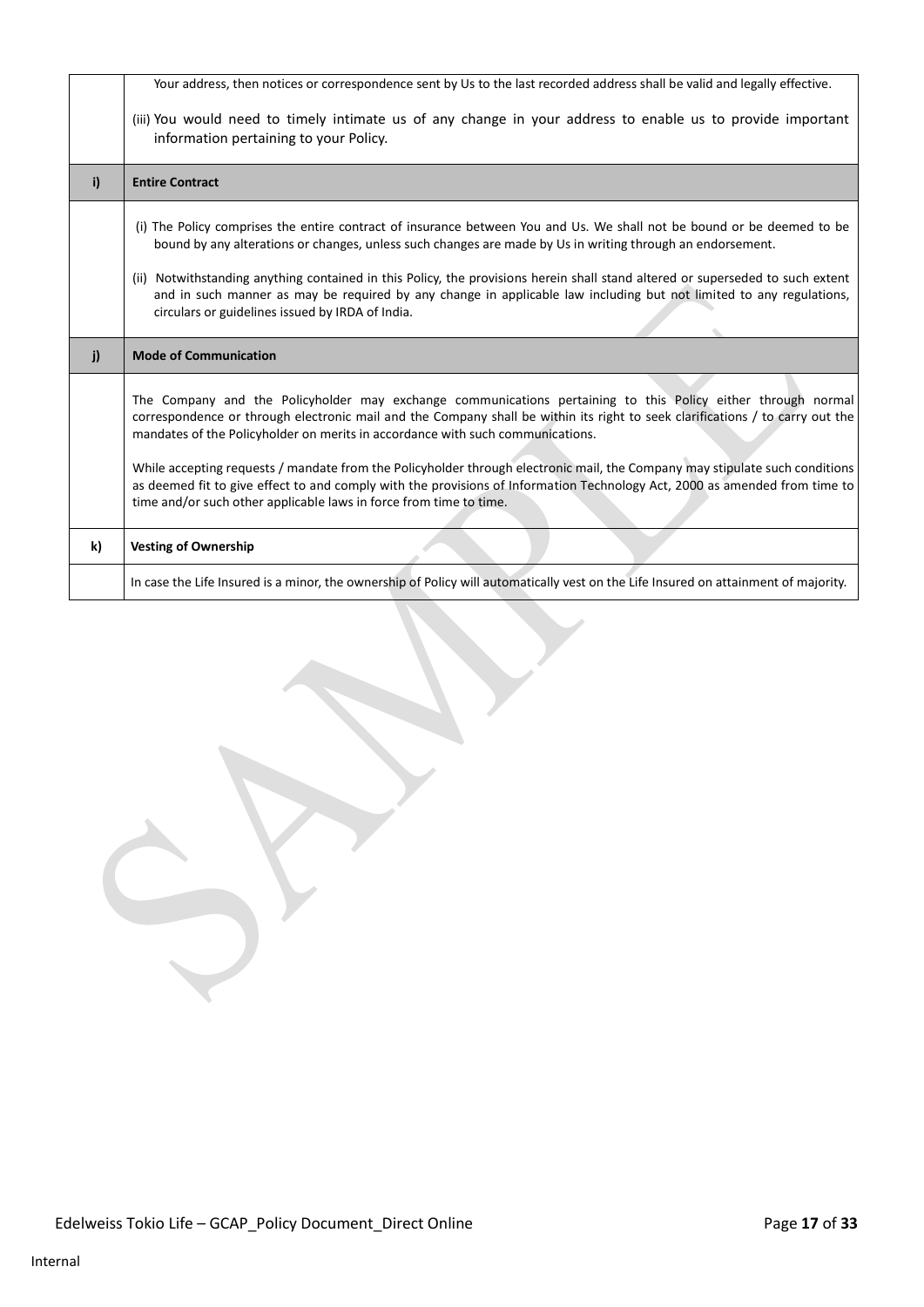|    | Your address, then notices or correspondence sent by Us to the last recorded address shall be valid and legally effective.                                                                                                                                                                                                                                             |
|----|------------------------------------------------------------------------------------------------------------------------------------------------------------------------------------------------------------------------------------------------------------------------------------------------------------------------------------------------------------------------|
|    |                                                                                                                                                                                                                                                                                                                                                                        |
|    | (iii) You would need to timely intimate us of any change in your address to enable us to provide important<br>information pertaining to your Policy.                                                                                                                                                                                                                   |
| i) | <b>Entire Contract</b>                                                                                                                                                                                                                                                                                                                                                 |
|    | (i) The Policy comprises the entire contract of insurance between You and Us. We shall not be bound or be deemed to be<br>bound by any alterations or changes, unless such changes are made by Us in writing through an endorsement.<br>(ii) Notwithstanding anything contained in this Policy, the provisions herein shall stand altered or superseded to such extent |
|    | and in such manner as may be required by any change in applicable law including but not limited to any regulations,<br>circulars or guidelines issued by IRDA of India.                                                                                                                                                                                                |
|    |                                                                                                                                                                                                                                                                                                                                                                        |
| i) | <b>Mode of Communication</b>                                                                                                                                                                                                                                                                                                                                           |
|    | The Company and the Policyholder may exchange communications pertaining to this Policy either through normal<br>correspondence or through electronic mail and the Company shall be within its right to seek clarifications / to carry out the<br>mandates of the Policyholder on merits in accordance with such communications.                                        |
|    | While accepting requests / mandate from the Policyholder through electronic mail, the Company may stipulate such conditions<br>as deemed fit to give effect to and comply with the provisions of Information Technology Act, 2000 as amended from time to<br>time and/or such other applicable laws in force from time to time.                                        |
| k) | <b>Vesting of Ownership</b>                                                                                                                                                                                                                                                                                                                                            |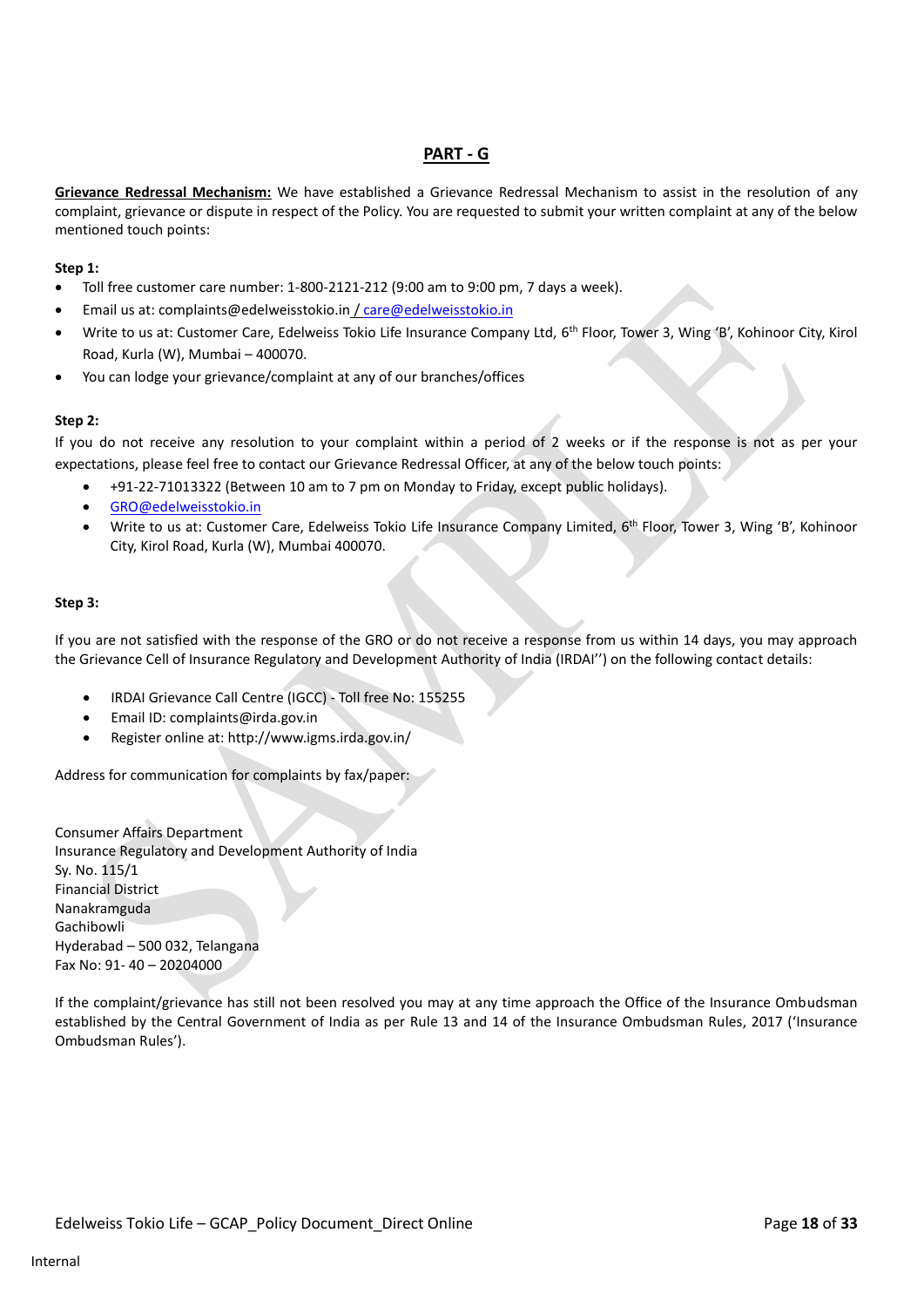# **PART - G**

**Grievance Redressal Mechanism:** We have established a Grievance Redressal Mechanism to assist in the resolution of any complaint, grievance or dispute in respect of the Policy. You are requested to submit your written complaint at any of the below mentioned touch points:

## **Step 1:**

- Toll free customer care number: 1-800-2121-212 (9:00 am to 9:00 pm, 7 days a week).
- Email us at: complaints@edelweisstokio.in [/ care@edelweisstokio.in](mailto:care@edelweisstokio.in)
- Write to us at: Customer Care, Edelweiss Tokio Life Insurance Company Ltd, 6<sup>th</sup> Floor, Tower 3, Wing 'B', Kohinoor City, Kirol Road, Kurla (W), Mumbai – 400070.
- You can lodge your grievance/complaint at any of our branches/offices

## **Step 2:**

If you do not receive any resolution to your complaint within a period of 2 weeks or if the response is not as per your expectations, please feel free to contact our Grievance Redressal Officer, at any of the below touch points:

- +91-22-71013322 (Between 10 am to 7 pm on Monday to Friday, except public holidays).
- [GRO@edelweisstokio.in](mailto:GRO@edelweisstokio.in)
- Write to us at: Customer Care, Edelweiss Tokio Life Insurance Company Limited, 6<sup>th</sup> Floor, Tower 3, Wing 'B', Kohinoor City, Kirol Road, Kurla (W), Mumbai 400070.

#### **Step 3:**

If you are not satisfied with the response of the GRO or do not receive a response from us within 14 days, you may approach the Grievance Cell of Insurance Regulatory and Development Authority of India (IRDAI'') on the following contact details:

- IRDAI Grievance Call Centre (IGCC) Toll free No: 155255
- Email ID: complaints@irda.gov.in
- Register online at: http://www.igms.irda.gov.in/

Address for communication for complaints by fax/paper:

Consumer Affairs Department Insurance Regulatory and Development Authority of India Sy. No. 115/1 Financial District Nanakramguda Gachibowli Hyderabad – 500 032, Telangana Fax No: 91- 40 – 20204000

If the complaint/grievance has still not been resolved you may at any time approach the Office of the Insurance Ombudsman established by the Central Government of India as per Rule 13 and 14 of the Insurance Ombudsman Rules, 2017 ('Insurance Ombudsman Rules').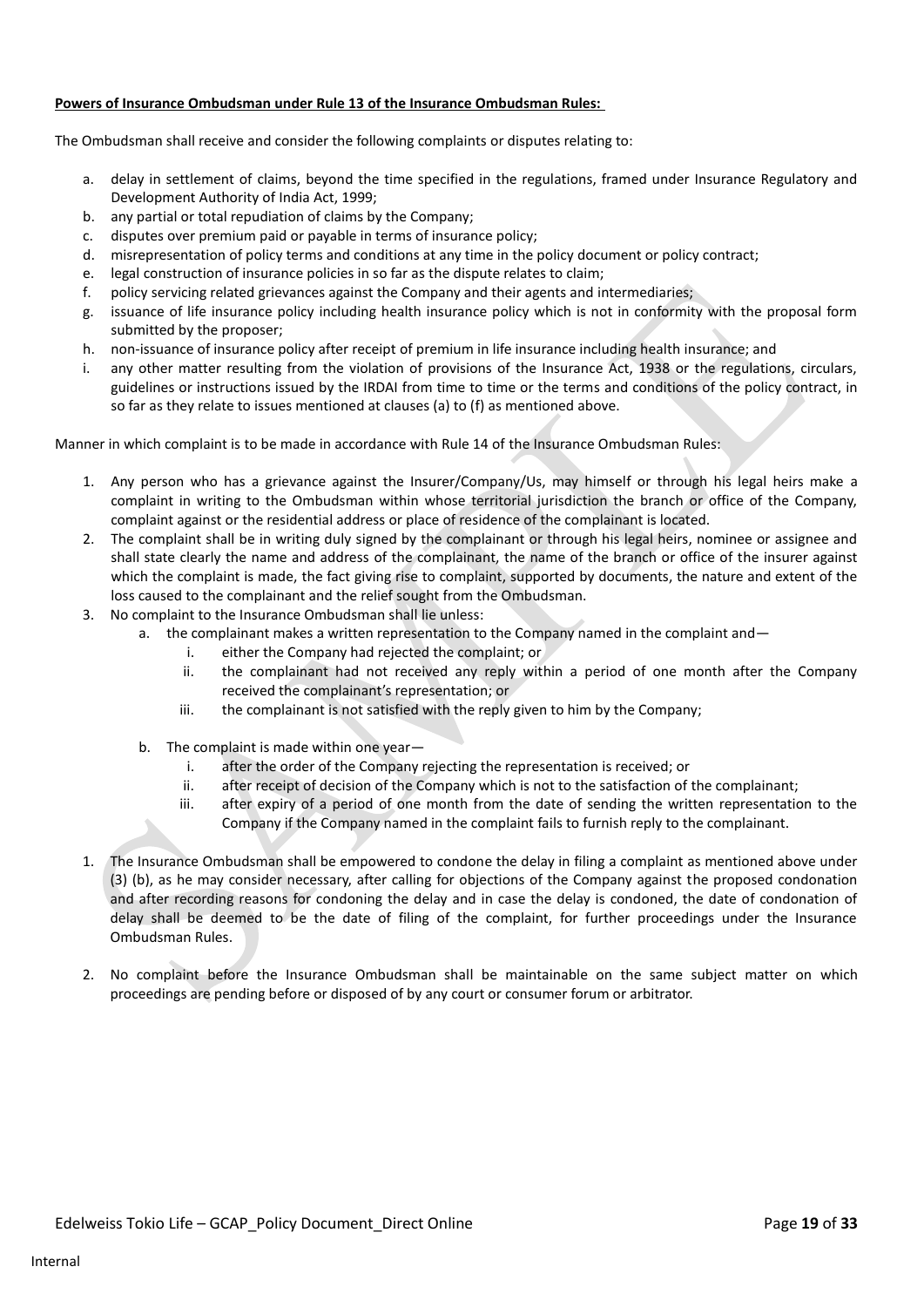### **Powers of Insurance Ombudsman under Rule 13 of the Insurance Ombudsman Rules:**

The Ombudsman shall receive and consider the following complaints or disputes relating to:

- a. delay in settlement of claims, beyond the time specified in the regulations, framed under Insurance Regulatory and Development Authority of India Act, 1999;
- b. any partial or total repudiation of claims by the Company;
- c. disputes over premium paid or payable in terms of insurance policy;
- d. misrepresentation of policy terms and conditions at any time in the policy document or policy contract;
- e. legal construction of insurance policies in so far as the dispute relates to claim;
- f. policy servicing related grievances against the Company and their agents and intermediaries;
- g. issuance of life insurance policy including health insurance policy which is not in conformity with the proposal form submitted by the proposer;
- h. non-issuance of insurance policy after receipt of premium in life insurance including health insurance; and
- i. any other matter resulting from the violation of provisions of the Insurance Act, 1938 or the regulations, circulars, guidelines or instructions issued by the IRDAI from time to time or the terms and conditions of the policy contract, in so far as they relate to issues mentioned at clauses (a) to (f) as mentioned above.

Manner in which complaint is to be made in accordance with Rule 14 of the Insurance Ombudsman Rules:

- 1. Any person who has a grievance against the Insurer/Company/Us, may himself or through his legal heirs make a complaint in writing to the Ombudsman within whose territorial jurisdiction the branch or office of the Company, complaint against or the residential address or place of residence of the complainant is located.
- 2. The complaint shall be in writing duly signed by the complainant or through his legal heirs, nominee or assignee and shall state clearly the name and address of the complainant, the name of the branch or office of the insurer against which the complaint is made, the fact giving rise to complaint, supported by documents, the nature and extent of the loss caused to the complainant and the relief sought from the Ombudsman.
- 3. No complaint to the Insurance Ombudsman shall lie unless:
	- a. the complainant makes a written representation to the Company named in the complaint and
		- i. either the Company had rejected the complaint; or
		- ii. the complainant had not received any reply within a period of one month after the Company received the complainant's representation; or
		- iii. the complainant is not satisfied with the reply given to him by the Company;
	- b. The complaint is made within one year
		- i. after the order of the Company rejecting the representation is received; or
		- ii. after receipt of decision of the Company which is not to the satisfaction of the complainant;
		- iii. after expiry of a period of one month from the date of sending the written representation to the Company if the Company named in the complaint fails to furnish reply to the complainant.
- 1. The Insurance Ombudsman shall be empowered to condone the delay in filing a complaint as mentioned above under (3) (b), as he may consider necessary, after calling for objections of the Company against the proposed condonation and after recording reasons for condoning the delay and in case the delay is condoned, the date of condonation of delay shall be deemed to be the date of filing of the complaint, for further proceedings under the Insurance Ombudsman Rules.
- 2. No complaint before the Insurance Ombudsman shall be maintainable on the same subject matter on which proceedings are pending before or disposed of by any court or consumer forum or arbitrator.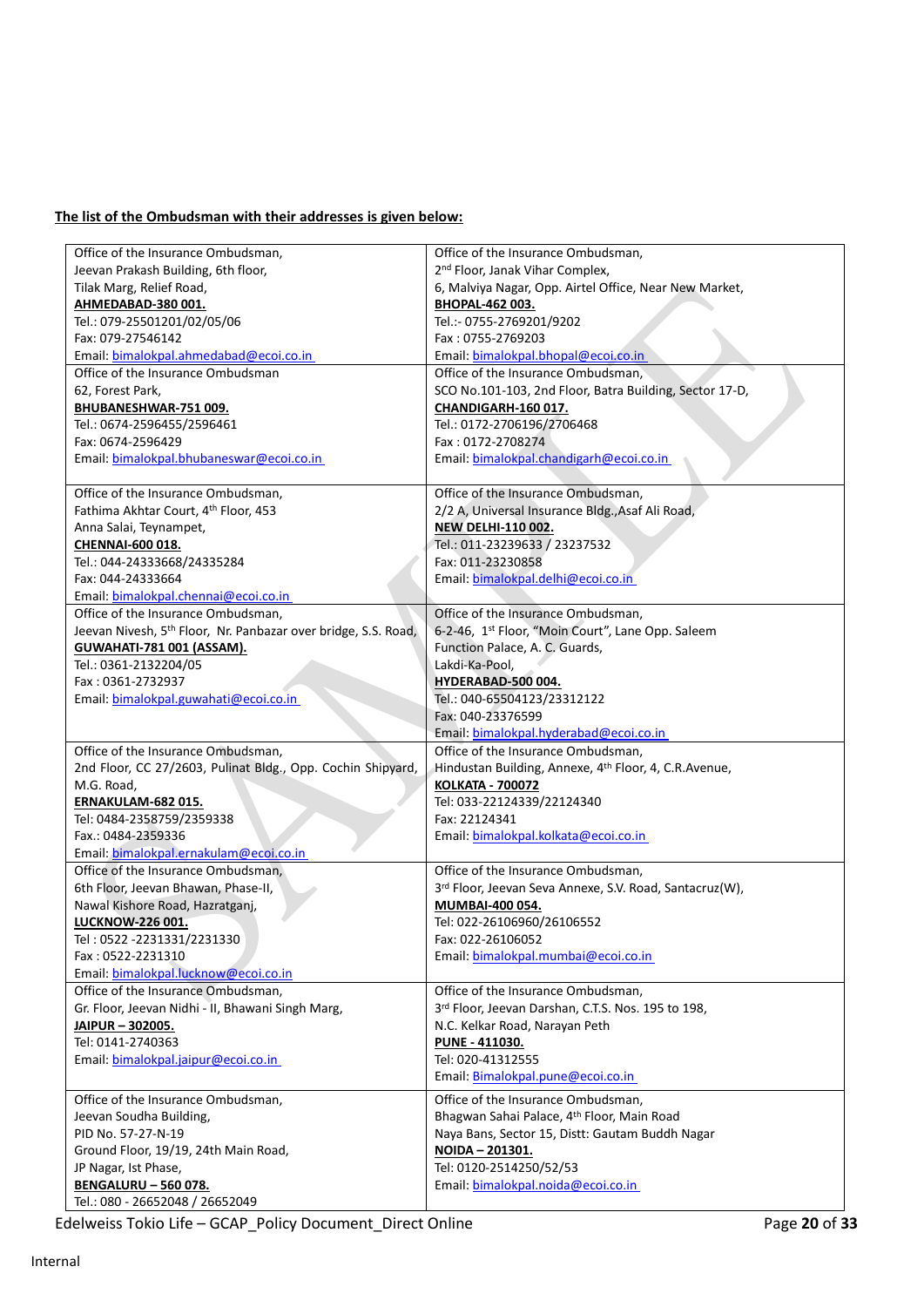# **The list of the Ombudsman with their addresses is given below:**

| Office of the Insurance Ombudsman,                                         | Office of the Insurance Ombudsman,                                |
|----------------------------------------------------------------------------|-------------------------------------------------------------------|
| Jeevan Prakash Building, 6th floor,                                        | 2 <sup>nd</sup> Floor, Janak Vihar Complex,                       |
| Tilak Marg, Relief Road,                                                   | 6, Malviya Nagar, Opp. Airtel Office, Near New Market,            |
| AHMEDABAD-380 001.                                                         | BHOPAL-462 003.                                                   |
| Tel.: 079-25501201/02/05/06                                                | Tel.:- 0755-2769201/9202                                          |
| Fax: 079-27546142                                                          | Fax: 0755-2769203                                                 |
| Email: bimalokpal.ahmedabad@ecoi.co.in                                     | Email: bimalokpal.bhopal@ecoi.co.in                               |
| Office of the Insurance Ombudsman                                          | Office of the Insurance Ombudsman,                                |
| 62, Forest Park,                                                           | SCO No.101-103, 2nd Floor, Batra Building, Sector 17-D,           |
| BHUBANESHWAR-751 009.                                                      | CHANDIGARH-160 017.                                               |
| Tel.: 0674-2596455/2596461                                                 | Tel.: 0172-2706196/2706468                                        |
| Fax: 0674-2596429                                                          | Fax: 0172-2708274                                                 |
| Email: bimalokpal.bhubaneswar@ecoi.co.in                                   | Email: bimalokpal.chandigarh@ecoi.co.in                           |
|                                                                            |                                                                   |
| Office of the Insurance Ombudsman,                                         | Office of the Insurance Ombudsman,                                |
| Fathima Akhtar Court, 4th Floor, 453                                       | 2/2 A, Universal Insurance Bldg., Asaf Ali Road,                  |
| Anna Salai, Teynampet,                                                     | <b>NEW DELHI-110 002.</b>                                         |
| <b>CHENNAI-600 018.</b>                                                    | Tel.: 011-23239633 / 23237532                                     |
| Tel.: 044-24333668/24335284                                                | Fax: 011-23230858                                                 |
| Fax: 044-24333664                                                          | Email: bimalokpal.delhi@ecoi.co.in                                |
| Email: bimalokpal.chennai@ecoi.co.in                                       |                                                                   |
| Office of the Insurance Ombudsman,                                         | Office of the Insurance Ombudsman,                                |
| Jeevan Nivesh, 5 <sup>th</sup> Floor, Nr. Panbazar over bridge, S.S. Road, | 6-2-46, 1st Floor, "Moin Court", Lane Opp. Saleem                 |
| <b>GUWAHATI-781 001 (ASSAM).</b>                                           | Function Palace, A. C. Guards,                                    |
| Tel.: 0361-2132204/05                                                      | Lakdi-Ka-Pool,                                                    |
| Fax: 0361-2732937                                                          | HYDERABAD-500 004.                                                |
| Email: bimalokpal.guwahati@ecoi.co.in                                      | Tel.: 040-65504123/23312122                                       |
|                                                                            | Fax: 040-23376599                                                 |
|                                                                            | Email: bimalokpal.hyderabad@ecoi.co.in                            |
| Office of the Insurance Ombudsman,                                         | Office of the Insurance Ombudsman,                                |
| 2nd Floor, CC 27/2603, Pulinat Bldg., Opp. Cochin Shipyard,                | Hindustan Building, Annexe, 4 <sup>th</sup> Floor, 4, C.R.Avenue, |
| M.G. Road,                                                                 | <b>KOLKATA - 700072</b>                                           |
| ERNAKULAM-682 015.                                                         | Tel: 033-22124339/22124340                                        |
| Tel: 0484-2358759/2359338                                                  | Fax: 22124341                                                     |
| Fax.: 0484-2359336                                                         | Email: bimalokpal.kolkata@ecoi.co.in                              |
| Email: bimalokpal.ernakulam@ecoi.co.in                                     |                                                                   |
| Office of the Insurance Ombudsman.                                         | Office of the Insurance Ombudsman.                                |
| 6th Floor, Jeevan Bhawan, Phase-II,                                        | 3rd Floor, Jeevan Seva Annexe, S.V. Road, Santacruz(W),           |
| Nawal Kishore Road, Hazratganj,                                            | MUMBAI-400 054.                                                   |
| <b>LUCKNOW-226 001.</b>                                                    | Tel: 022-26106960/26106552                                        |
| Tel: 0522 -2231331/2231330                                                 | Fax: 022-26106052                                                 |
| Fax: 0522-2231310                                                          | Email: bimalokpal.mumbai@ecoi.co.in                               |
| Email: bimalokpal.lucknow@ecoi.co.in                                       |                                                                   |
| Office of the Insurance Ombudsman,                                         | Office of the Insurance Ombudsman,                                |
| Gr. Floor, Jeevan Nidhi - II, Bhawani Singh Marg,                          | 3rd Floor, Jeevan Darshan, C.T.S. Nos. 195 to 198,                |
| JAIPUR-302005.                                                             | N.C. Kelkar Road, Narayan Peth                                    |
| Tel: 0141-2740363                                                          | PUNE - 411030.                                                    |
| Email: bimalokpal.jaipur@ecoi.co.in                                        | Tel: 020-41312555                                                 |
|                                                                            | Email: Bimalokpal.pune@ecoi.co.in                                 |
| Office of the Insurance Ombudsman,                                         | Office of the Insurance Ombudsman,                                |
| Jeevan Soudha Building,                                                    | Bhagwan Sahai Palace, 4th Floor, Main Road                        |
| PID No. 57-27-N-19                                                         | Naya Bans, Sector 15, Distt: Gautam Buddh Nagar                   |
| Ground Floor, 19/19, 24th Main Road,                                       | NOIDA - 201301.                                                   |
| JP Nagar, Ist Phase,                                                       | Tel: 0120-2514250/52/53                                           |
| <b>BENGALURU - 560 078.</b>                                                | Email: bimalokpal.noida@ecoi.co.in                                |
| Tel.: 080 - 26652048 / 26652049                                            |                                                                   |

Edelweiss Tokio Life – GCAP\_Policy Document\_Direct Online Page **20** of **33**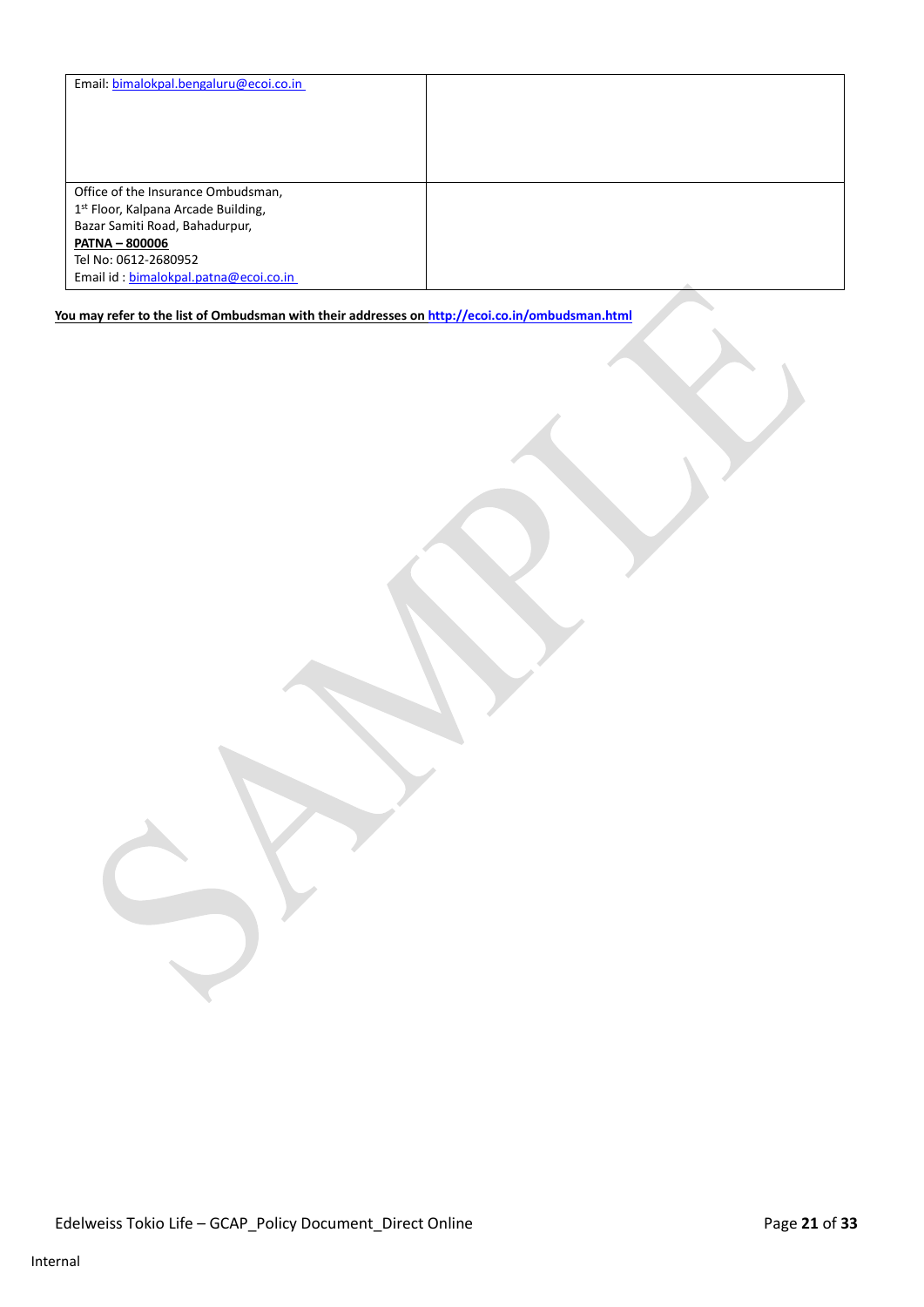| Email: bimalokpal.bengaluru@ecoi.co.in          |            |
|-------------------------------------------------|------------|
|                                                 |            |
|                                                 |            |
|                                                 |            |
|                                                 |            |
|                                                 |            |
| Office of the Insurance Ombudsman,              |            |
| 1 <sup>st</sup> Floor, Kalpana Arcade Building, |            |
| Bazar Samiti Road, Bahadurpur,                  |            |
| <b>PATNA - 800006</b>                           |            |
| Tel No: 0612-2680952                            |            |
| Email id: bimalokpal.patna@ecoi.co.in           | <b>AND</b> |

# **You may refer to the list of Ombudsman with their addresses on <http://ecoi.co.in/ombudsman.html>**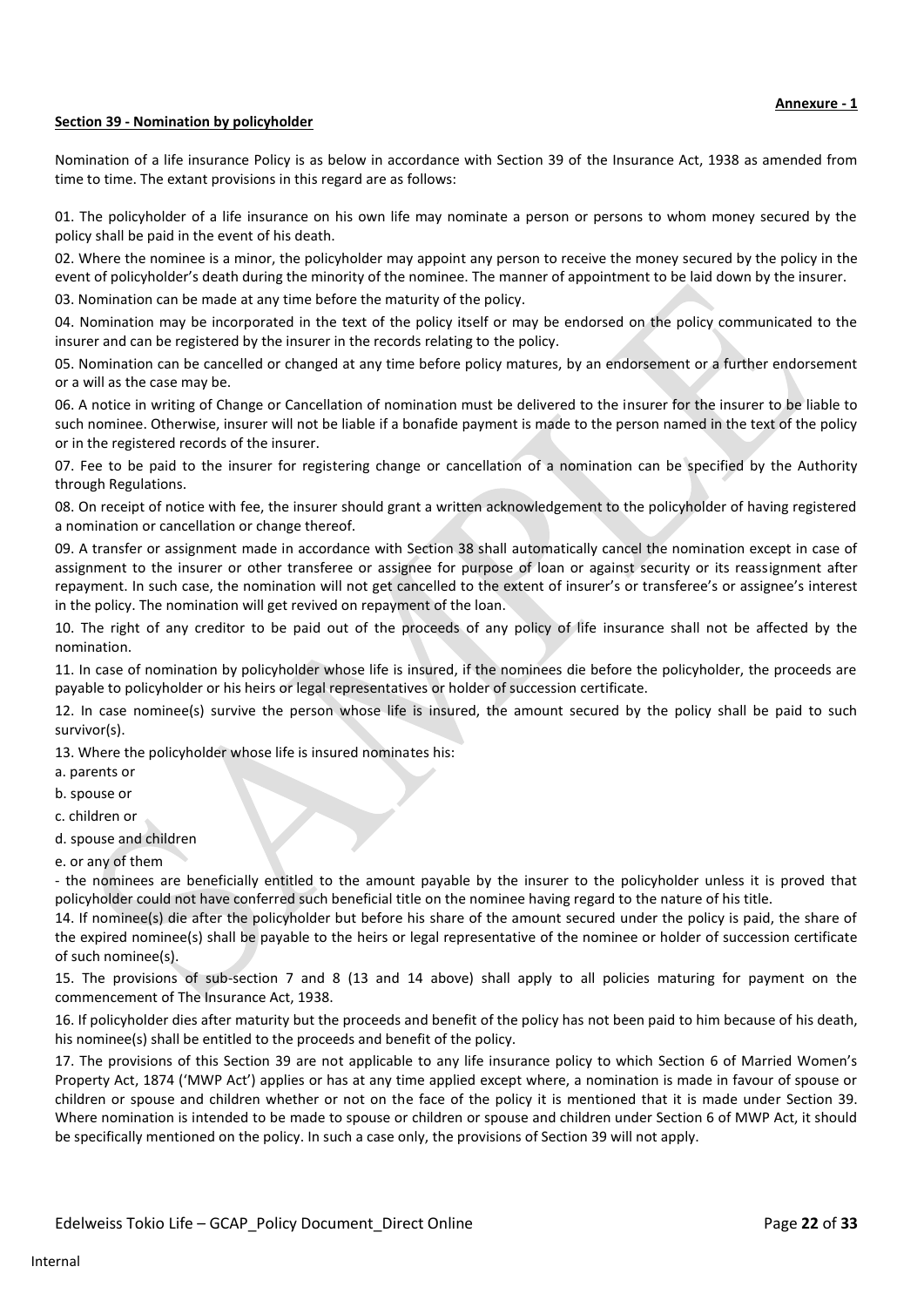## **Section 39 - Nomination by policyholder**

Nomination of a life insurance Policy is as below in accordance with Section 39 of the Insurance Act, 1938 as amended from time to time. The extant provisions in this regard are as follows:

01. The policyholder of a life insurance on his own life may nominate a person or persons to whom money secured by the policy shall be paid in the event of his death.

02. Where the nominee is a minor, the policyholder may appoint any person to receive the money secured by the policy in the event of policyholder's death during the minority of the nominee. The manner of appointment to be laid down by the insurer.

03. Nomination can be made at any time before the maturity of the policy.

04. Nomination may be incorporated in the text of the policy itself or may be endorsed on the policy communicated to the insurer and can be registered by the insurer in the records relating to the policy.

05. Nomination can be cancelled or changed at any time before policy matures, by an endorsement or a further endorsement or a will as the case may be.

06. A notice in writing of Change or Cancellation of nomination must be delivered to the insurer for the insurer to be liable to such nominee. Otherwise, insurer will not be liable if a bonafide payment is made to the person named in the text of the policy or in the registered records of the insurer.

07. Fee to be paid to the insurer for registering change or cancellation of a nomination can be specified by the Authority through Regulations.

08. On receipt of notice with fee, the insurer should grant a written acknowledgement to the policyholder of having registered a nomination or cancellation or change thereof.

09. A transfer or assignment made in accordance with Section 38 shall automatically cancel the nomination except in case of assignment to the insurer or other transferee or assignee for purpose of loan or against security or its reassignment after repayment. In such case, the nomination will not get cancelled to the extent of insurer's or transferee's or assignee's interest in the policy. The nomination will get revived on repayment of the loan.

10. The right of any creditor to be paid out of the proceeds of any policy of life insurance shall not be affected by the nomination.

11. In case of nomination by policyholder whose life is insured, if the nominees die before the policyholder, the proceeds are payable to policyholder or his heirs or legal representatives or holder of succession certificate.

12. In case nominee(s) survive the person whose life is insured, the amount secured by the policy shall be paid to such survivor(s).

13. Where the policyholder whose life is insured nominates his:

- a. parents or
- b. spouse or
- c. children or
- d. spouse and children
- e. or any of them

- the nominees are beneficially entitled to the amount payable by the insurer to the policyholder unless it is proved that policyholder could not have conferred such beneficial title on the nominee having regard to the nature of his title.

14. If nominee(s) die after the policyholder but before his share of the amount secured under the policy is paid, the share of the expired nominee(s) shall be payable to the heirs or legal representative of the nominee or holder of succession certificate of such nominee(s).

15. The provisions of sub-section 7 and 8 (13 and 14 above) shall apply to all policies maturing for payment on the commencement of The Insurance Act, 1938.

16. If policyholder dies after maturity but the proceeds and benefit of the policy has not been paid to him because of his death, his nominee(s) shall be entitled to the proceeds and benefit of the policy.

17. The provisions of this Section 39 are not applicable to any life insurance policy to which Section 6 of Married Women's Property Act, 1874 ('MWP Act') applies or has at any time applied except where, a nomination is made in favour of spouse or children or spouse and children whether or not on the face of the policy it is mentioned that it is made under Section 39. Where nomination is intended to be made to spouse or children or spouse and children under Section 6 of MWP Act, it should be specifically mentioned on the policy. In such a case only, the provisions of Section 39 will not apply.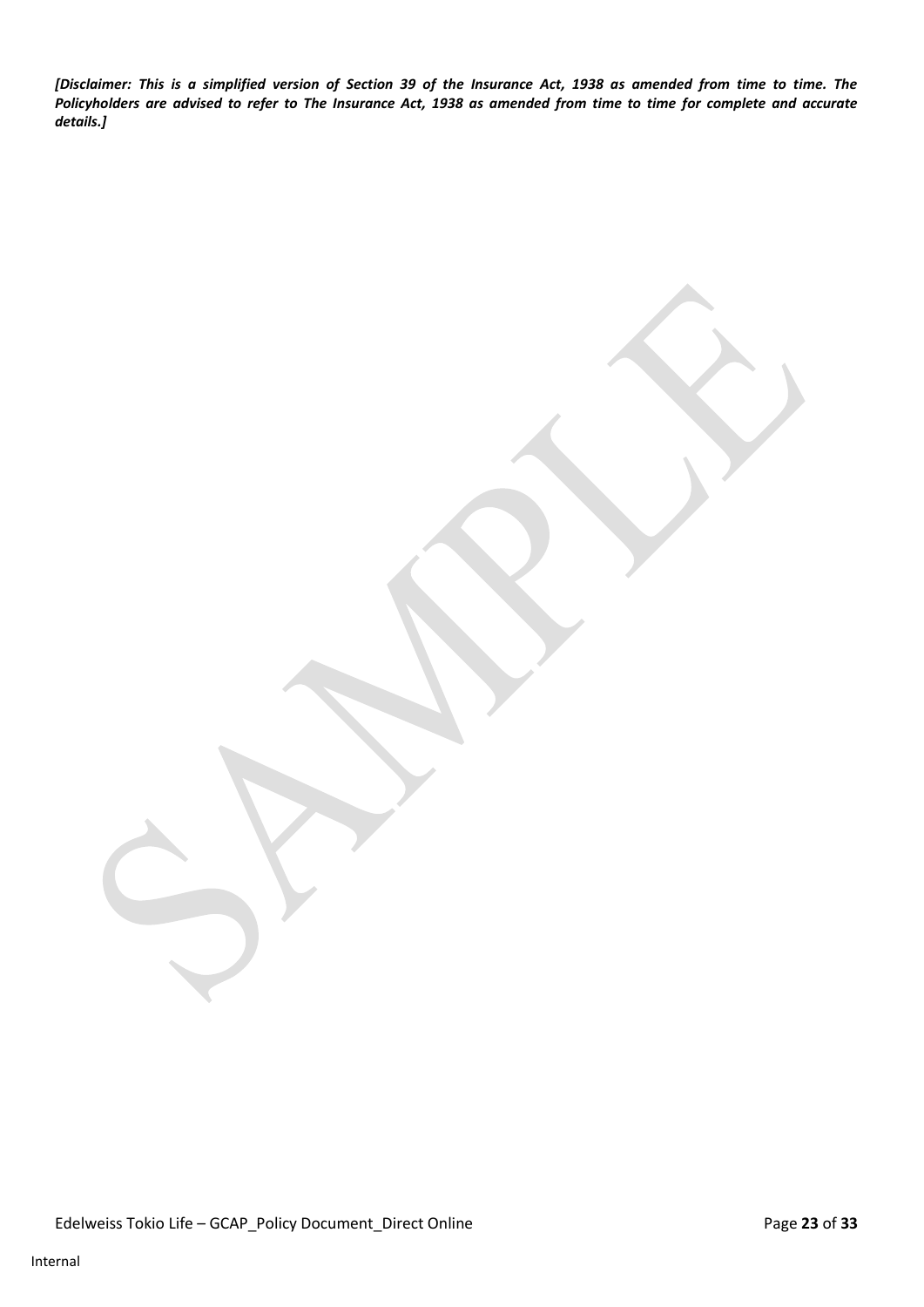*[Disclaimer: This is a simplified version of Section 39 of the Insurance Act, 1938 as amended from time to time. The Policyholders are advised to refer to The Insurance Act, 1938 as amended from time to time for complete and accurate details.]*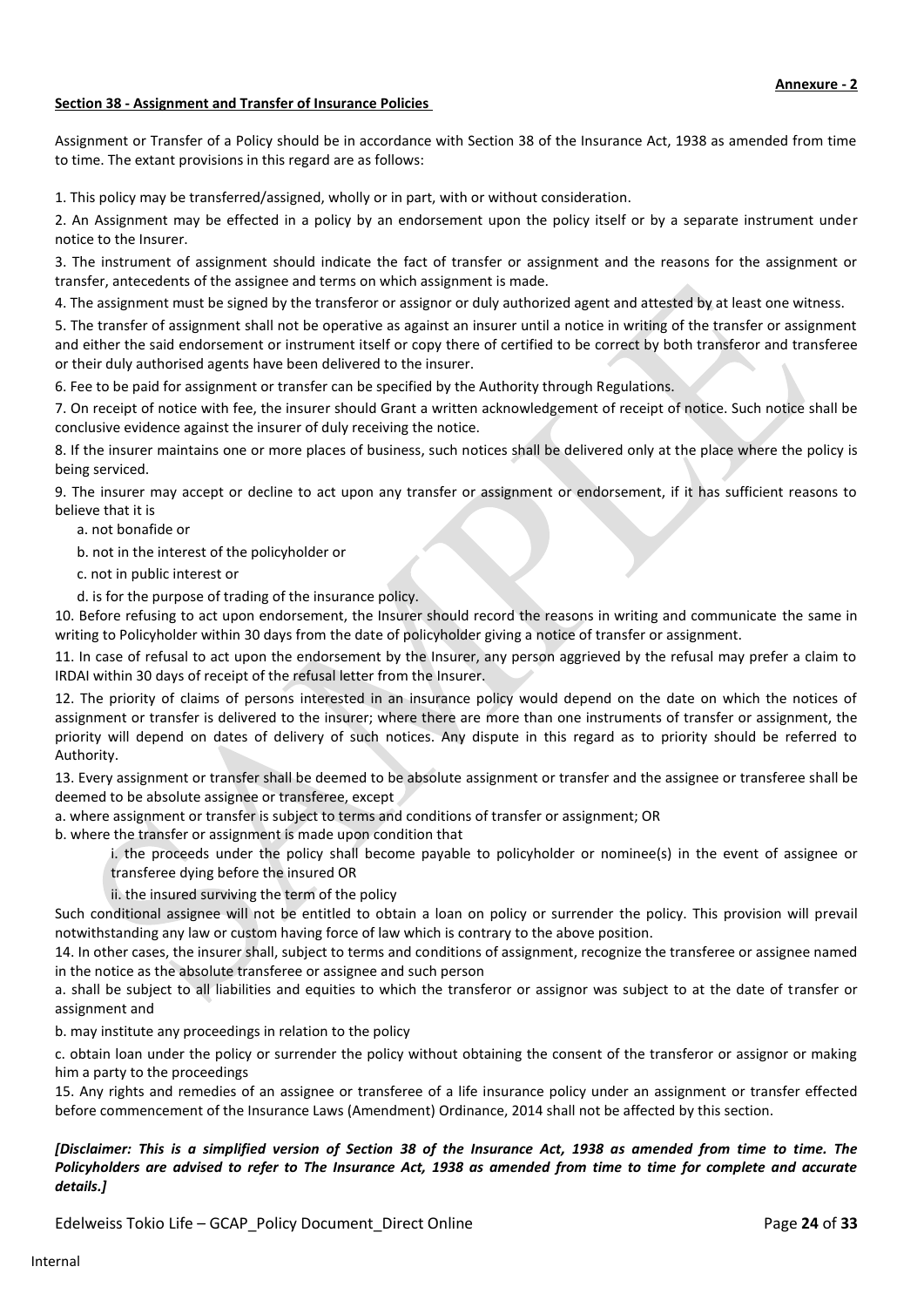## **Section 38 - Assignment and Transfer of Insurance Policies**

Assignment or Transfer of a Policy should be in accordance with Section 38 of the Insurance Act, 1938 as amended from time to time. The extant provisions in this regard are as follows:

1. This policy may be transferred/assigned, wholly or in part, with or without consideration.

2. An Assignment may be effected in a policy by an endorsement upon the policy itself or by a separate instrument under notice to the Insurer.

3. The instrument of assignment should indicate the fact of transfer or assignment and the reasons for the assignment or transfer, antecedents of the assignee and terms on which assignment is made.

4. The assignment must be signed by the transferor or assignor or duly authorized agent and attested by at least one witness.

5. The transfer of assignment shall not be operative as against an insurer until a notice in writing of the transfer or assignment and either the said endorsement or instrument itself or copy there of certified to be correct by both transferor and transferee or their duly authorised agents have been delivered to the insurer.

6. Fee to be paid for assignment or transfer can be specified by the Authority through Regulations.

7. On receipt of notice with fee, the insurer should Grant a written acknowledgement of receipt of notice. Such notice shall be conclusive evidence against the insurer of duly receiving the notice.

8. If the insurer maintains one or more places of business, such notices shall be delivered only at the place where the policy is being serviced.

9. The insurer may accept or decline to act upon any transfer or assignment or endorsement, if it has sufficient reasons to believe that it is

a. not bonafide or

b. not in the interest of the policyholder or

c. not in public interest or

d. is for the purpose of trading of the insurance policy.

10. Before refusing to act upon endorsement, the Insurer should record the reasons in writing and communicate the same in writing to Policyholder within 30 days from the date of policyholder giving a notice of transfer or assignment.

11. In case of refusal to act upon the endorsement by the Insurer, any person aggrieved by the refusal may prefer a claim to IRDAI within 30 days of receipt of the refusal letter from the Insurer.

12. The priority of claims of persons interested in an insurance policy would depend on the date on which the notices of assignment or transfer is delivered to the insurer; where there are more than one instruments of transfer or assignment, the priority will depend on dates of delivery of such notices. Any dispute in this regard as to priority should be referred to Authority.

13. Every assignment or transfer shall be deemed to be absolute assignment or transfer and the assignee or transferee shall be deemed to be absolute assignee or transferee, except

a. where assignment or transfer is subject to terms and conditions of transfer or assignment; OR

b. where the transfer or assignment is made upon condition that

i. the proceeds under the policy shall become payable to policyholder or nominee(s) in the event of assignee or transferee dying before the insured OR

ii. the insured surviving the term of the policy

Such conditional assignee will not be entitled to obtain a loan on policy or surrender the policy. This provision will prevail notwithstanding any law or custom having force of law which is contrary to the above position.

14. In other cases, the insurer shall, subject to terms and conditions of assignment, recognize the transferee or assignee named in the notice as the absolute transferee or assignee and such person

a. shall be subject to all liabilities and equities to which the transferor or assignor was subject to at the date of transfer or assignment and

b. may institute any proceedings in relation to the policy

c. obtain loan under the policy or surrender the policy without obtaining the consent of the transferor or assignor or making him a party to the proceedings

15. Any rights and remedies of an assignee or transferee of a life insurance policy under an assignment or transfer effected before commencement of the Insurance Laws (Amendment) Ordinance, 2014 shall not be affected by this section.

## *[Disclaimer: This is a simplified version of Section 38 of the Insurance Act, 1938 as amended from time to time. The Policyholders are advised to refer to The Insurance Act, 1938 as amended from time to time for complete and accurate details.]*

Edelweiss Tokio Life – GCAP\_Policy Document\_Direct Online Page **24** of **33**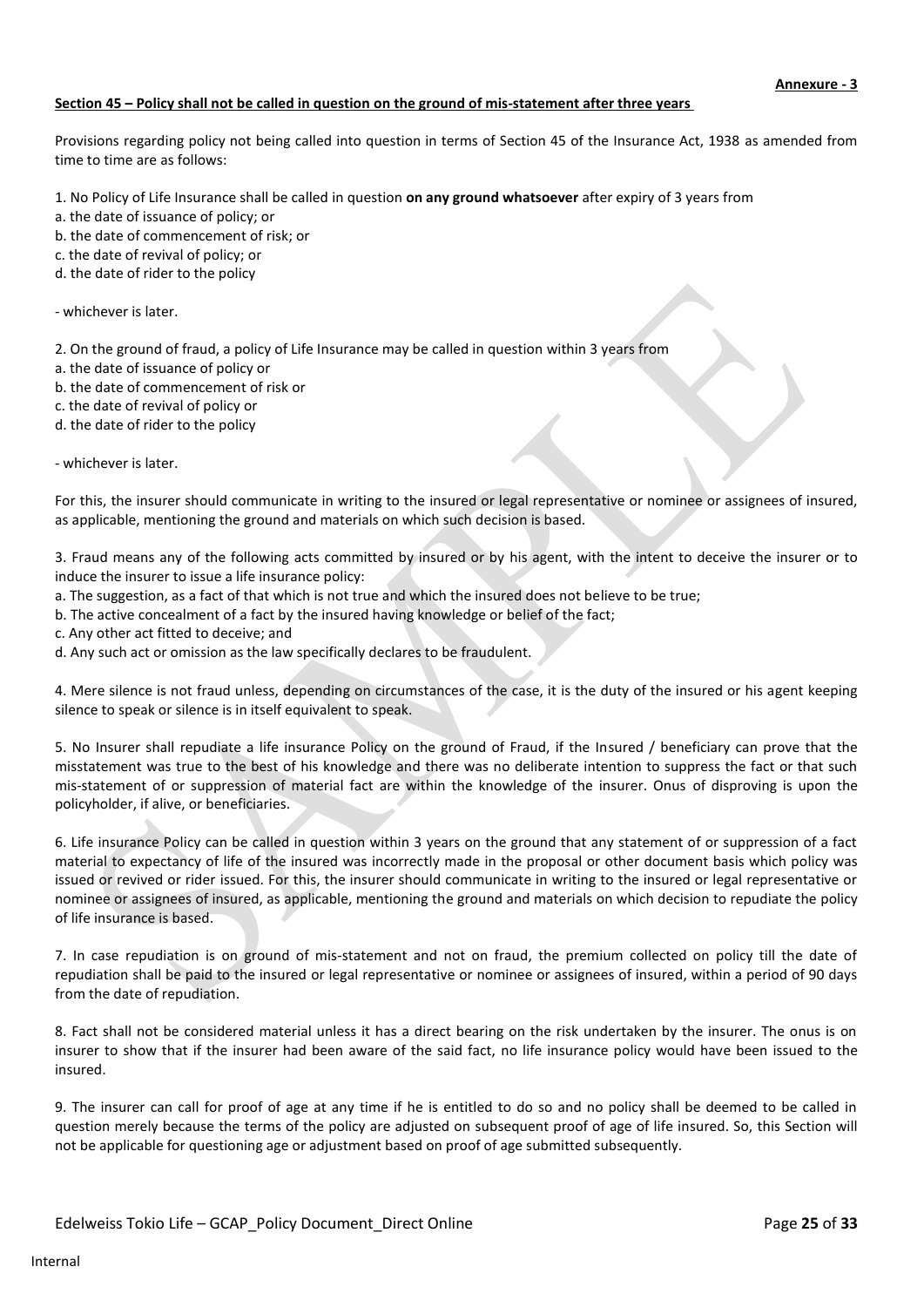## **Section 45 – Policy shall not be called in question on the ground of mis-statement after three years**

Provisions regarding policy not being called into question in terms of Section 45 of the Insurance Act, 1938 as amended from time to time are as follows:

- 1. No Policy of Life Insurance shall be called in question **on any ground whatsoever** after expiry of 3 years from
- a. the date of issuance of policy; or
- b. the date of commencement of risk; or
- c. the date of revival of policy; or
- d. the date of rider to the policy

#### - whichever is later.

2. On the ground of fraud, a policy of Life Insurance may be called in question within 3 years from

- a. the date of issuance of policy or
- b. the date of commencement of risk or
- c. the date of revival of policy or
- d. the date of rider to the policy

#### - whichever is later.

For this, the insurer should communicate in writing to the insured or legal representative or nominee or assignees of insured, as applicable, mentioning the ground and materials on which such decision is based.

3. Fraud means any of the following acts committed by insured or by his agent, with the intent to deceive the insurer or to induce the insurer to issue a life insurance policy:

- a. The suggestion, as a fact of that which is not true and which the insured does not believe to be true;
- b. The active concealment of a fact by the insured having knowledge or belief of the fact;
- c. Any other act fitted to deceive; and
- d. Any such act or omission as the law specifically declares to be fraudulent.

4. Mere silence is not fraud unless, depending on circumstances of the case, it is the duty of the insured or his agent keeping silence to speak or silence is in itself equivalent to speak.

5. No Insurer shall repudiate a life insurance Policy on the ground of Fraud, if the Insured / beneficiary can prove that the misstatement was true to the best of his knowledge and there was no deliberate intention to suppress the fact or that such mis-statement of or suppression of material fact are within the knowledge of the insurer. Onus of disproving is upon the policyholder, if alive, or beneficiaries.

6. Life insurance Policy can be called in question within 3 years on the ground that any statement of or suppression of a fact material to expectancy of life of the insured was incorrectly made in the proposal or other document basis which policy was issued or revived or rider issued. For this, the insurer should communicate in writing to the insured or legal representative or nominee or assignees of insured, as applicable, mentioning the ground and materials on which decision to repudiate the policy of life insurance is based.

7. In case repudiation is on ground of mis-statement and not on fraud, the premium collected on policy till the date of repudiation shall be paid to the insured or legal representative or nominee or assignees of insured, within a period of 90 days from the date of repudiation.

8. Fact shall not be considered material unless it has a direct bearing on the risk undertaken by the insurer. The onus is on insurer to show that if the insurer had been aware of the said fact, no life insurance policy would have been issued to the insured.

9. The insurer can call for proof of age at any time if he is entitled to do so and no policy shall be deemed to be called in question merely because the terms of the policy are adjusted on subsequent proof of age of life insured. So, this Section will not be applicable for questioning age or adjustment based on proof of age submitted subsequently.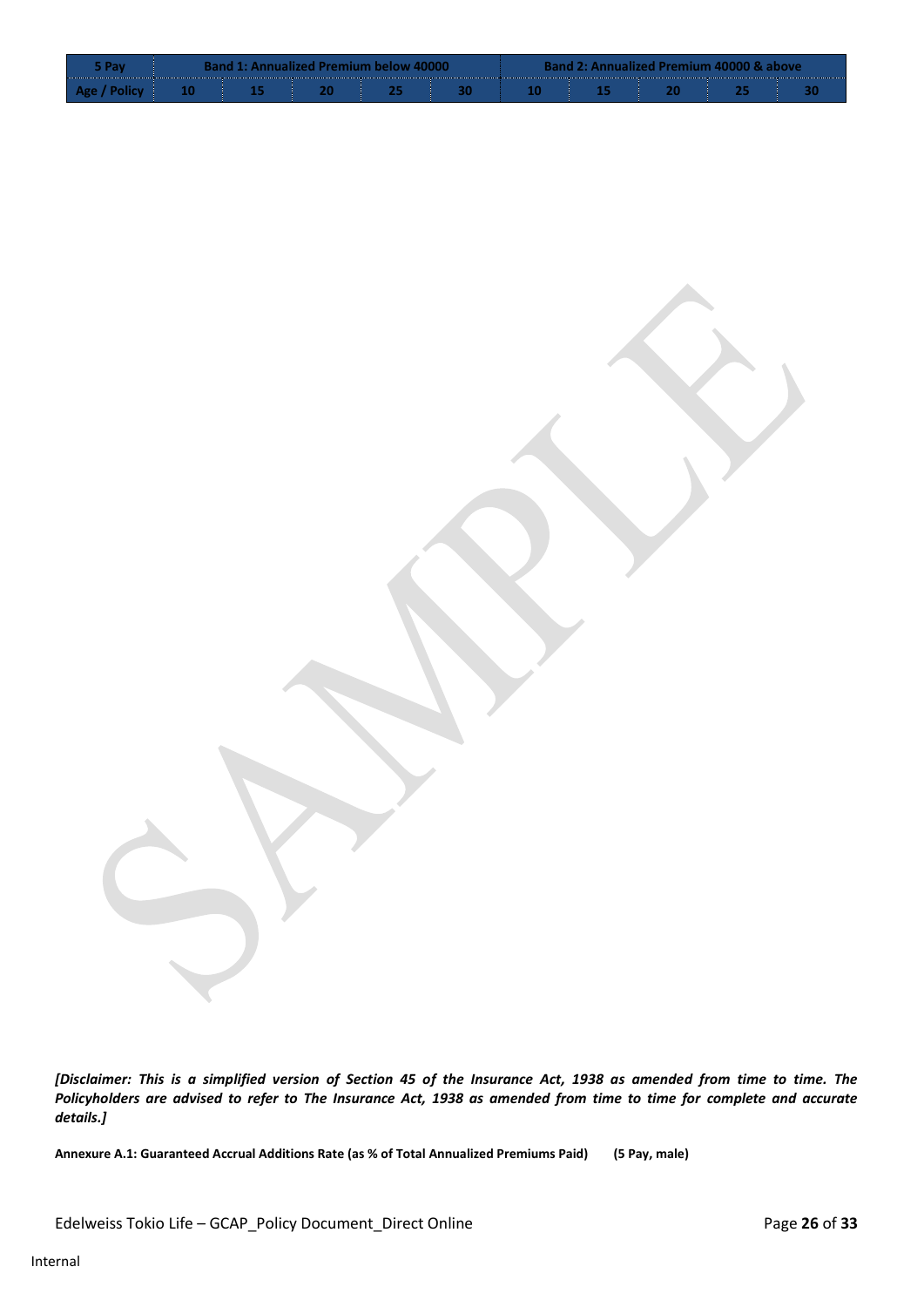|      | <b>Band 1: Annualized Premium below 40000</b> |  |  |  |  |  | <b>Band 2: Annualized Premium 40000 &amp; above</b> |  |  |  |  |  |
|------|-----------------------------------------------|--|--|--|--|--|-----------------------------------------------------|--|--|--|--|--|
| Δσρ. |                                               |  |  |  |  |  |                                                     |  |  |  |  |  |

*[Disclaimer: This is a simplified version of Section 45 of the Insurance Act, 1938 as amended from time to time. The Policyholders are advised to refer to The Insurance Act, 1938 as amended from time to time for complete and accurate details.]*

**Annexure A.1: Guaranteed Accrual Additions Rate (as % of Total Annualized Premiums Paid) (5 Pay, male)**

Edelweiss Tokio Life – GCAP\_Policy Document\_Direct Online Page 26 of 33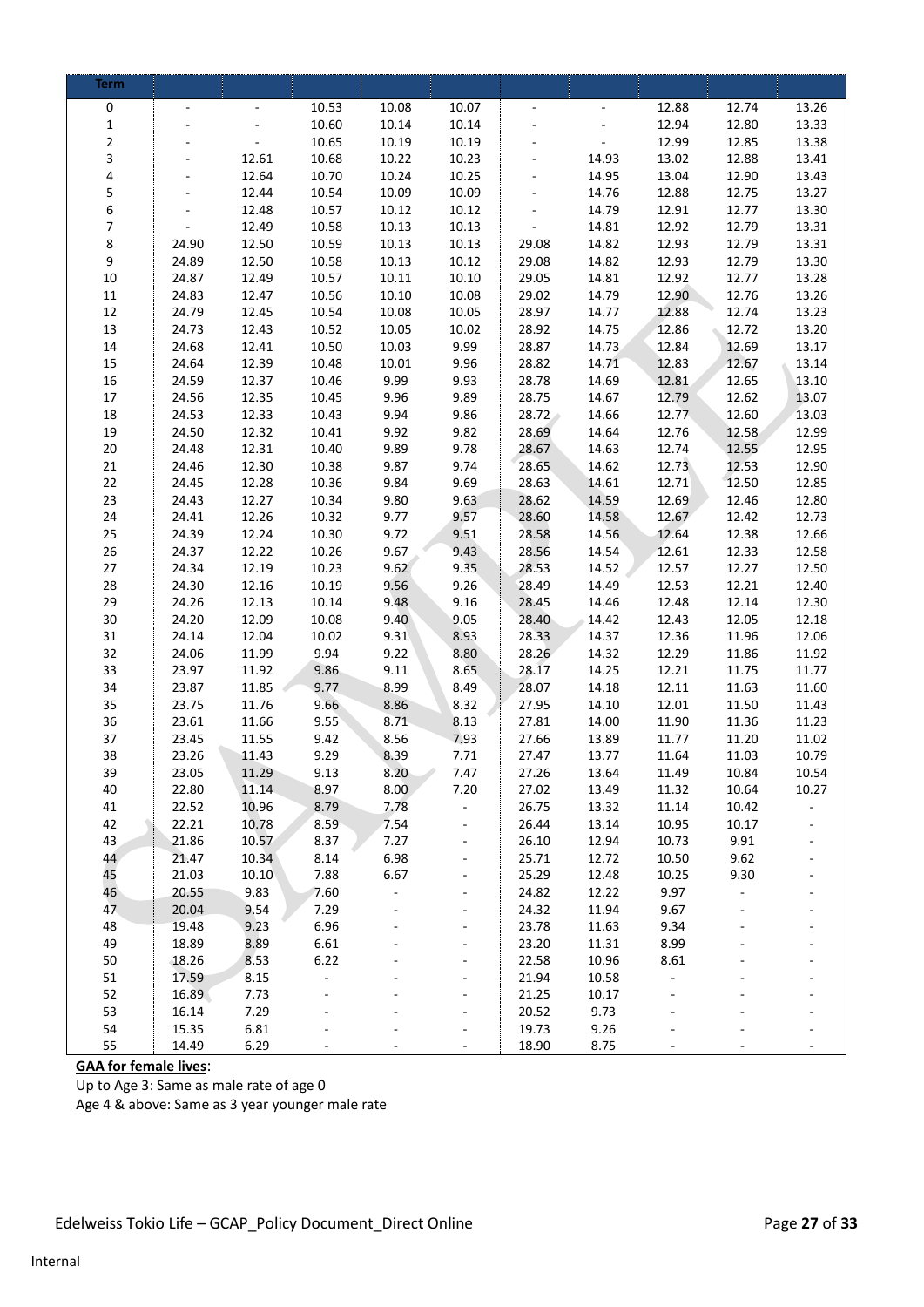| <b>Term</b>    |                |                |                          |              |                              |                |                |                |                |                |
|----------------|----------------|----------------|--------------------------|--------------|------------------------------|----------------|----------------|----------------|----------------|----------------|
| 0              |                |                | 10.53                    | 10.08        | 10.07                        |                |                | 12.88          | 12.74          | 13.26          |
| $\mathbf 1$    |                |                | 10.60                    | 10.14        | 10.14                        |                |                | 12.94          | 12.80          | 13.33          |
| $\overline{c}$ |                |                | 10.65                    | 10.19        | 10.19                        |                |                | 12.99          | 12.85          | 13.38          |
| 3              |                | 12.61          | 10.68                    | 10.22        | 10.23                        |                | 14.93          | 13.02          | 12.88          | 13.41          |
| 4              |                | 12.64          | 10.70                    | 10.24        | 10.25                        |                | 14.95          | 13.04          | 12.90          | 13.43          |
| 5              |                | 12.44          | 10.54                    | 10.09        | 10.09                        |                | 14.76          | 12.88          | 12.75          | 13.27          |
| 6              |                | 12.48          | 10.57                    | 10.12        | 10.12                        |                | 14.79          | 12.91          | 12.77          | 13.30          |
| $\overline{7}$ |                | 12.49          | 10.58                    | 10.13        | 10.13                        |                | 14.81          | 12.92          | 12.79          | 13.31          |
| 8              | 24.90          | 12.50          | 10.59                    | 10.13        | 10.13                        | 29.08          | 14.82          | 12.93          | 12.79          | 13.31          |
| 9              | 24.89          | 12.50          | 10.58                    | 10.13        | 10.12                        | 29.08          | 14.82          | 12.93          | 12.79          | 13.30          |
| 10             | 24.87          | 12.49          | 10.57                    | 10.11        | 10.10                        | 29.05          | 14.81          | 12.92          | 12.77          | 13.28          |
| $11\,$         | 24.83          | 12.47          | 10.56                    | 10.10        | 10.08                        | 29.02          | 14.79          | 12.90          | 12.76          | 13.26          |
| $12\,$         | 24.79          | 12.45          | 10.54                    | 10.08        | 10.05                        | 28.97          | 14.77          | 12.88          | 12.74          | 13.23          |
| 13             | 24.73          | 12.43          | 10.52                    | 10.05        | 10.02                        | 28.92          | 14.75          | 12.86          | 12.72          | 13.20          |
| 14             | 24.68          | 12.41          | 10.50                    | 10.03        | 9.99                         | 28.87          | 14.73          | 12.84          | 12.69          | 13.17          |
| 15             | 24.64          | 12.39          | 10.48                    | 10.01        | 9.96                         | 28.82          | 14.71          | 12.83          | 12.67          | 13.14          |
| 16             | 24.59          | 12.37          | 10.46                    | 9.99         | 9.93                         | 28.78          | 14.69          | 12.81          | 12.65          | 13.10          |
| $17\,$         | 24.56          | 12.35          | 10.45                    | 9.96         | 9.89                         | 28.75          | 14.67          | 12.79          | 12.62          | 13.07          |
| 18             | 24.53          | 12.33          | 10.43                    | 9.94         | 9.86                         | 28.72          | 14.66          | 12.77          | 12.60          | 13.03          |
| 19             | 24.50          | 12.32          | 10.41                    | 9.92         | 9.82                         | 28.69          | 14.64          | 12.76          | 12.58          | 12.99          |
| $20\,$         | 24.48          | 12.31          | 10.40                    | 9.89         | 9.78                         | 28.67          | 14.63          | 12.74          | 12.55          | 12.95<br>12.90 |
| 21<br>22       | 24.46          | 12.30          | 10.38<br>10.36           | 9.87<br>9.84 | 9.74<br>9.69                 | 28.65          | 14.62<br>14.61 | 12.73          | 12.53<br>12.50 | 12.85          |
| 23             | 24.45<br>24.43 | 12.28<br>12.27 | 10.34                    | 9.80         | 9.63                         | 28.63<br>28.62 | 14.59          | 12.71<br>12.69 | 12.46          | 12.80          |
| 24             | 24.41          | 12.26          | 10.32                    | 9.77         | 9.57                         | 28.60          | 14.58          | 12.67          | 12.42          | 12.73          |
| 25             | 24.39          | 12.24          | 10.30                    | 9.72         | 9.51                         | 28.58          | 14.56          | 12.64          | 12.38          | 12.66          |
| 26             | 24.37          | 12.22          | 10.26                    | 9.67         | 9.43                         | 28.56          | 14.54          | 12.61          | 12.33          | 12.58          |
| 27             | 24.34          | 12.19          | 10.23                    | 9.62         | 9.35                         | 28.53          | 14.52          | 12.57          | 12.27          | 12.50          |
| 28             | 24.30          | 12.16          | 10.19                    | 9.56         | 9.26                         | 28.49          | 14.49          | 12.53          | 12.21          | 12.40          |
| 29             | 24.26          | 12.13          | 10.14                    | 9.48         | 9.16                         | 28.45          | 14.46          | 12.48          | 12.14          | 12.30          |
| 30             | 24.20          | 12.09          | 10.08                    | 9.40         | 9.05                         | 28.40          | 14.42          | 12.43          | 12.05          | 12.18          |
| 31             | 24.14          | 12.04          | 10.02                    | 9.31         | 8.93                         | 28.33          | 14.37          | 12.36          | 11.96          | 12.06          |
| 32             | 24.06          | 11.99          | 9.94                     | 9.22         | 8,80                         | 28.26          | 14.32          | 12.29          | 11.86          | 11.92          |
| 33             | 23.97          | 11.92          | 9.86                     | 9.11         | 8.65                         | 28.17          | 14.25          | 12.21          | 11.75          | 11.77          |
| 34             | 23.87          | 11.85          | 9.77                     | 8.99         | 8.49                         | 28.07          | 14.18          | 12.11          | 11.63          | 11.60          |
| 35             | 23.75          | 11.76          | 9.66                     | 8.86         | 8.32                         | 27.95          | 14.10          | 12.01          | 11.50          | 11.43          |
| 36             | 23.61          | 11.66          | 9.55                     | 8.71         | 8.13                         | 27.81          | 14.00          | 11.90          | 11.36          | 11.23          |
| 37             | 23.45          | 11.55          | 9.42                     | 8.56         | 7.93                         | 27.66          | 13.89          | 11.77          | 11.20          | 11.02          |
| 38             | 23.26          | 11.43          | 9.29                     | 8.39         | 7.71                         | 27.47          | 13.77          | 11.64          | 11.03          | 10.79          |
| 39             | 23.05          | 11.29          | 9.13                     | 8.20         | 7.47                         | 27.26          | 13.64          | 11.49          | 10.84          | 10.54          |
| 40             | 22.80          | 11.14          | 8.97                     | 8.00         | 7.20                         | 27.02          | 13.49          | 11.32          | 10.64          | 10.27          |
| 41             | 22.52          | 10.96          | 8.79                     | 7.78         | ä,                           | 26.75          | 13.32          | 11.14          | 10.42          |                |
| 42             | 22.21          | 10.78          | 8.59                     | 7.54         |                              | 26.44          | 13.14          | 10.95          | 10.17          |                |
| 43             | 21.86          | 10.57          | 8.37                     | 7.27         | $\qquad \qquad \blacksquare$ | 26.10          | 12.94          | 10.73          | 9.91           |                |
| 44             | 21.47          | 10.34          | 8.14                     | 6.98         | $\blacksquare$               | 25.71          | 12.72          | 10.50          | 9.62           |                |
| 45             | 21.03          | 10.10          | 7.88                     | 6.67         | $\overline{\phantom{a}}$     | 25.29          | 12.48          | 10.25          | 9.30           |                |
| 46             | 20.55          | 9.83           | 7.60                     | ÷,           |                              | 24.82          | 12.22          | 9.97           | ÷,             |                |
| 47             | 20.04<br>19.48 | 9.54           | 7.29                     |              | $\overline{\phantom{a}}$     | 24.32          | 11.94          | 9.67           |                |                |
| 48             |                | 9.23           | 6.96                     |              | $\overline{\phantom{a}}$     | 23.78          | 11.63          | 9.34           |                |                |
| 49<br>50       | 18.89          | 8.89<br>8.53   | 6.61<br>6.22             |              | ÷,                           | 23.20<br>22.58 | 11.31<br>10.96 | 8.99<br>8.61   |                |                |
| 51             | 18.26<br>17.59 | 8.15           | $\overline{\phantom{0}}$ |              |                              | 21.94          | 10.58          | $\overline{a}$ |                |                |
| 52             | 16.89          | 7.73           |                          |              |                              | 21.25          | 10.17          |                |                |                |
| 53             | 16.14          | 7.29           |                          |              |                              | 20.52          | 9.73           |                |                |                |
| 54             | 15.35          | 6.81           |                          |              | ÷,                           | 19.73          | 9.26           |                |                |                |
| 55             | 14.49          | 6.29           |                          |              |                              | 18.90          | 8.75           |                |                |                |

# **GAA for female lives**:

Up to Age 3: Same as male rate of age 0

Age 4 & above: Same as 3 year younger male rate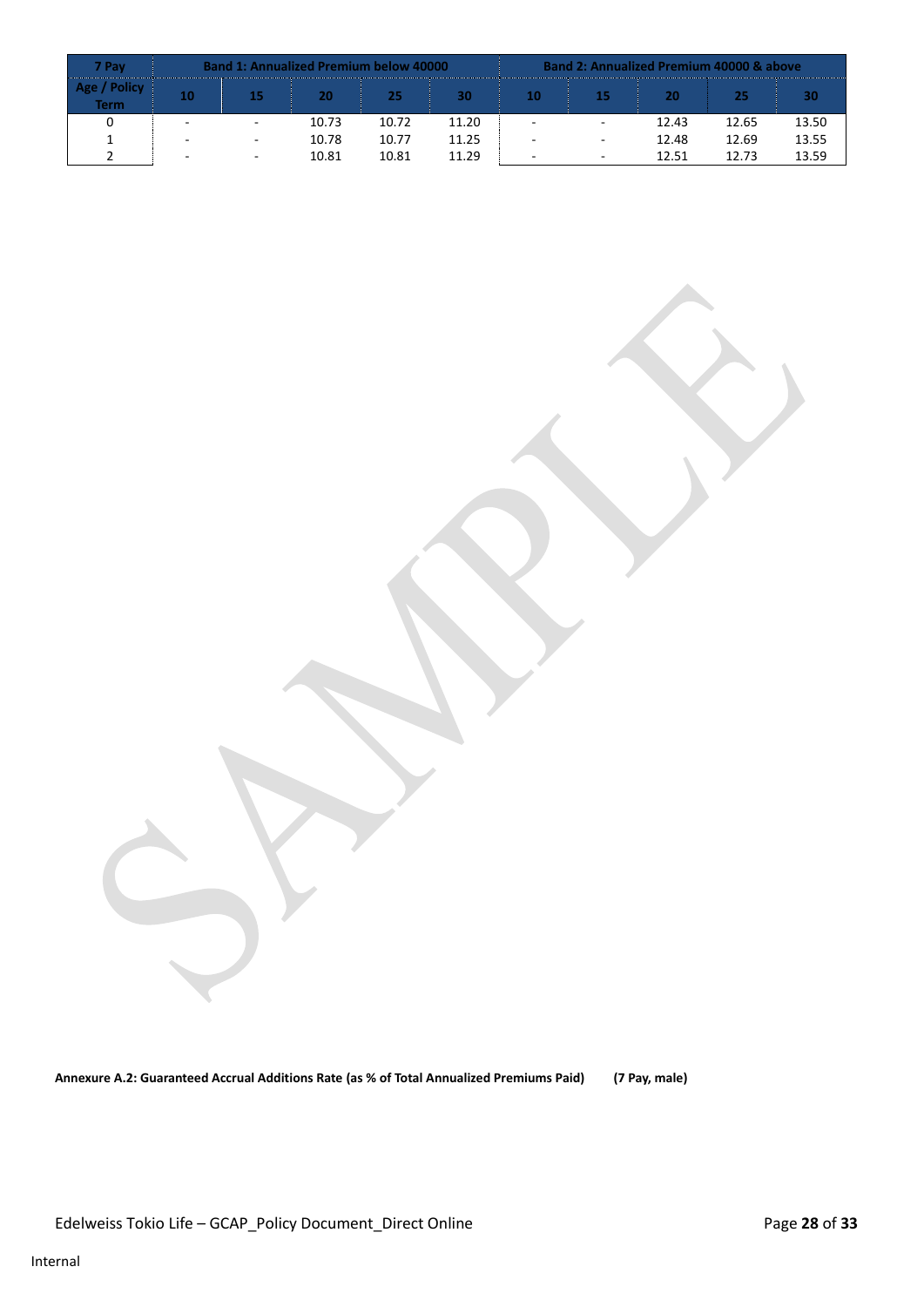| 7 Pav                        |    | <b>Band 1: Annualized Premium below 40000</b> |       |       | <b>Band 2: Annualized Premium 40000 &amp; above</b> |    |                          |       |       |       |  |
|------------------------------|----|-----------------------------------------------|-------|-------|-----------------------------------------------------|----|--------------------------|-------|-------|-------|--|
| <b>Policy</b><br><b>Term</b> | 10 | 15                                            | 20    | 25    | 30                                                  | 10 | 15                       | 20    | 25    | 30    |  |
|                              |    | $\overline{\phantom{a}}$                      | 10.73 | 10.72 | 11.20                                               |    | $\overline{a}$           | 12.43 | 12.65 | 13.50 |  |
|                              |    | $\overline{\phantom{a}}$                      | 10.78 | 10.77 | 11.25                                               |    | $\overline{a}$           | 12.48 | 12.69 | 13.55 |  |
|                              |    | $\sim$                                        | 10.81 | 10.81 | 11.29                                               | -  | $\overline{\phantom{a}}$ | 12.51 | 12.73 | 13.59 |  |

**Annexure A.2: Guaranteed Accrual Additions Rate (as % of Total Annualized Premiums Paid) (7 Pay, male)**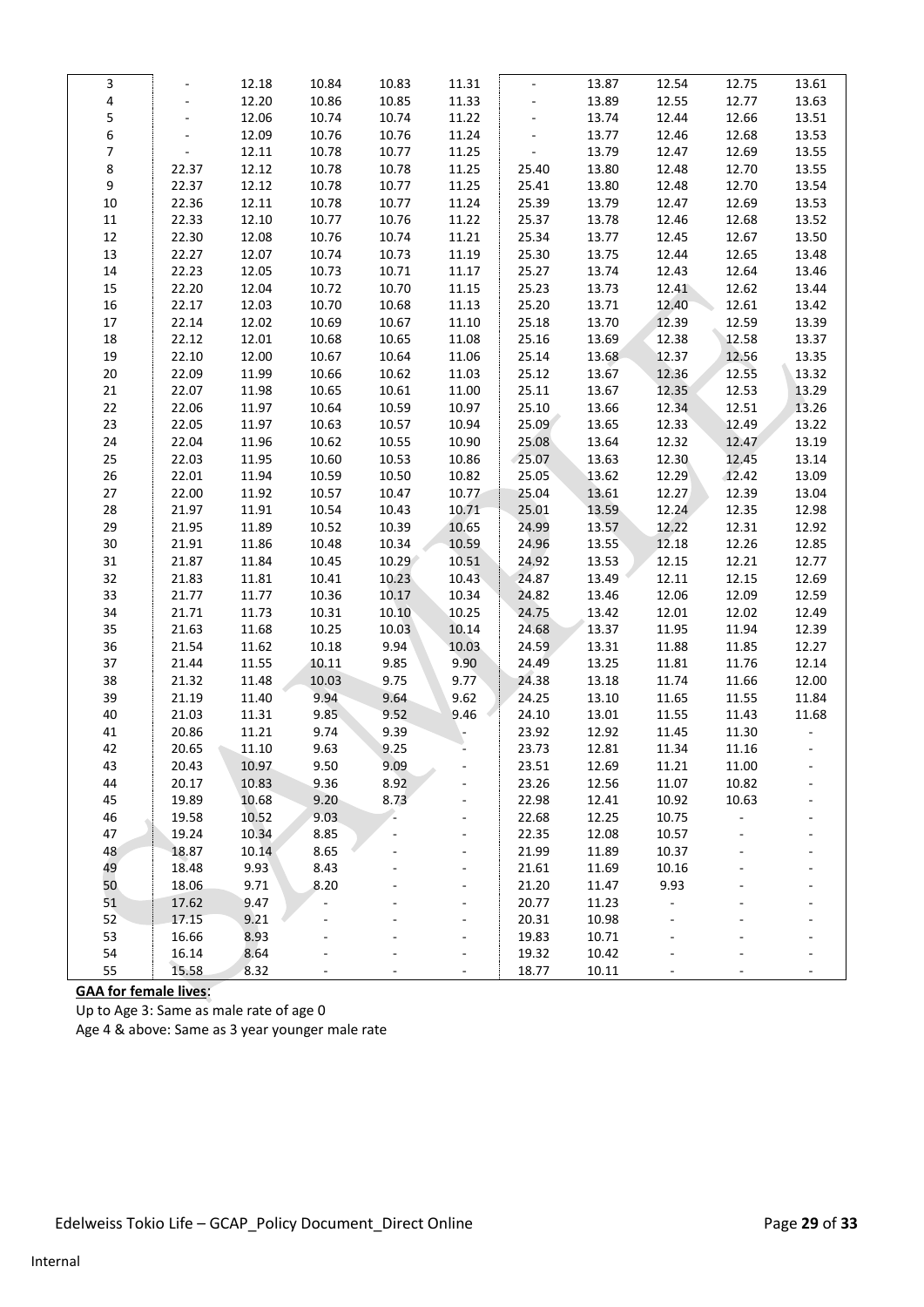| 3              |                | 12.18 | 10.84 | 10.83 | 11.31                    | $\overline{\phantom{a}}$ | 13.87 | 12.54 | 12.75  | 13.61 |
|----------------|----------------|-------|-------|-------|--------------------------|--------------------------|-------|-------|--------|-------|
| 4              | $\frac{1}{2}$  | 12.20 | 10.86 | 10.85 | 11.33                    | $\frac{1}{2}$            | 13.89 | 12.55 | 12.77  | 13.63 |
| 5              |                | 12.06 | 10.74 | 10.74 | 11.22                    | $\blacksquare$           | 13.74 | 12.44 | 12.66  | 13.51 |
| 6              | $\blacksquare$ | 12.09 | 10.76 | 10.76 | 11.24                    | $\Box$                   | 13.77 | 12.46 | 12.68  | 13.53 |
| $\overline{7}$ | $\Box$         | 12.11 | 10.78 | 10.77 | 11.25                    | $\blacksquare$           | 13.79 | 12.47 | 12.69  | 13.55 |
| 8              | 22.37          | 12.12 | 10.78 | 10.78 | 11.25                    | 25.40                    | 13.80 | 12.48 | 12.70  | 13.55 |
| 9              | 22.37          | 12.12 | 10.78 | 10.77 | 11.25                    | 25.41                    | 13.80 | 12.48 | 12.70  | 13.54 |
| $10\,$         | 22.36          | 12.11 | 10.78 | 10.77 | 11.24                    | 25.39                    | 13.79 | 12.47 | 12.69  | 13.53 |
| 11             | 22.33          | 12.10 | 10.77 | 10.76 | 11.22                    | 25.37                    | 13.78 | 12.46 | 12.68  | 13.52 |
| 12             | 22.30          | 12.08 | 10.76 | 10.74 | 11.21                    | 25.34                    | 13.77 | 12.45 | 12.67  | 13.50 |
| 13             | 22.27          | 12.07 | 10.74 | 10.73 | 11.19                    | 25.30                    | 13.75 | 12.44 | 12.65  | 13.48 |
| $14\,$         | 22.23          | 12.05 | 10.73 | 10.71 | 11.17                    | 25.27                    | 13.74 | 12.43 | 12.64  | 13.46 |
| 15             | 22.20          | 12.04 | 10.72 | 10.70 | 11.15                    | 25.23                    | 13.73 | 12.41 | 12.62  | 13.44 |
| $16\,$         | 22.17          | 12.03 | 10.70 | 10.68 | 11.13                    | 25.20                    | 13.71 | 12.40 | 12.61  | 13.42 |
| $17\,$         | 22.14          | 12.02 | 10.69 | 10.67 | 11.10                    | 25.18                    | 13.70 | 12.39 | 12.59  | 13.39 |
| $18\,$         | 22.12          | 12.01 | 10.68 | 10.65 | 11.08                    | 25.16                    | 13.69 | 12.38 | 12.58  | 13.37 |
| 19             | 22.10          | 12.00 | 10.67 | 10.64 | 11.06                    | 25.14                    | 13.68 | 12.37 | 12.56  | 13.35 |
| 20             | 22.09          | 11.99 | 10.66 | 10.62 | 11.03                    | 25.12                    | 13.67 | 12.36 | 12.55  | 13.32 |
| $21\,$         | 22.07          | 11.98 | 10.65 | 10.61 | 11.00                    | 25.11                    | 13.67 | 12.35 | 12.53  | 13.29 |
| 22             | 22.06          | 11.97 | 10.64 | 10.59 | 10.97                    | 25.10                    | 13.66 | 12.34 | 12.51  | 13.26 |
| 23             | 22.05          | 11.97 | 10.63 | 10.57 | 10.94                    | 25.09                    | 13.65 | 12.33 | 12.49  | 13.22 |
| 24             | 22.04          | 11.96 | 10.62 | 10.55 | 10.90                    | 25.08                    | 13.64 | 12.32 | 12.47  | 13.19 |
| 25             | 22.03          | 11.95 | 10.60 | 10.53 | 10.86                    | 25.07                    | 13.63 | 12.30 | 12.45  | 13.14 |
| 26             | 22.01          | 11.94 | 10.59 | 10.50 | 10.82                    | 25.05                    | 13.62 | 12.29 | 12.42  | 13.09 |
| 27             | 22.00          | 11.92 | 10.57 | 10.47 | 10.77                    | 25.04                    | 13.61 | 12.27 | 12.39  | 13.04 |
| 28             | 21.97          | 11.91 | 10.54 | 10.43 | 10.71                    | 25.01                    | 13.59 | 12.24 | 12.35  | 12.98 |
| 29             | 21.95          | 11.89 | 10.52 | 10.39 | 10.65                    | 24.99                    | 13.57 | 12.22 | 12.31  | 12.92 |
| $30\,$         | 21.91          | 11.86 | 10.48 | 10.34 | 10.59                    | 24.96                    | 13.55 | 12.18 | 12.26  | 12.85 |
| 31             | 21.87          | 11.84 | 10.45 | 10.29 | 10.51                    | 24.92                    | 13.53 | 12.15 | 12.21  | 12.77 |
| 32             | 21.83          | 11.81 | 10.41 | 10.23 | 10.43                    | 24.87                    | 13.49 | 12.11 | 12.15  | 12.69 |
| 33             | 21.77          | 11.77 | 10.36 | 10.17 | 10.34                    | 24.82                    | 13.46 | 12.06 | 12.09  | 12.59 |
| 34             | 21.71          | 11.73 | 10.31 | 10.10 | 10.25                    | 24.75                    | 13.42 | 12.01 | 12.02  | 12.49 |
| 35             | 21.63          | 11.68 | 10.25 | 10.03 | 10.14                    | 24.68                    | 13.37 | 11.95 | 11.94  | 12.39 |
| 36             | 21.54          | 11.62 | 10.18 | 9.94  | 10.03                    | 24.59                    | 13.31 | 11.88 | 11.85  | 12.27 |
| 37             | 21.44          | 11.55 | 10.11 | 9.85  | 9.90                     | 24.49                    | 13.25 | 11.81 | 11.76  | 12.14 |
| 38             | 21.32          | 11.48 | 10.03 | 9.75  | 9.77                     | 24.38                    | 13.18 | 11.74 | 11.66  | 12.00 |
| 39             | 21.19          | 11.40 | 9.94  | 9.64  | 9.62                     | 24.25                    | 13.10 | 11.65 | 11.55  | 11.84 |
| 40             | 21.03          | 11.31 | 9.85  | 9.52  | 9.46                     | 24.10                    | 13.01 | 11.55 | 11.43  | 11.68 |
| 41             | 20.86          | 11.21 | 9.74  | 9.39  |                          | 23.92                    | 12.92 | 11.45 | 11.30  |       |
| 42             | 20.65          | 11.10 | 9.63  | 9.25  | $\overline{\phantom{a}}$ | 23.73                    | 12.81 | 11.34 | 11.16  |       |
| 43             | 20.43          | 10.97 | 9.50  | 9.09  |                          | 23.51                    | 12.69 | 11.21 | 11.00  |       |
| 44             | 20.17          | 10.83 | 9.36  | 8.92  |                          | 23.26                    | 12.56 | 11.07 | 10.82  |       |
| 45             | 19.89          | 10.68 | 9.20  | 8.73  |                          | 22.98                    | 12.41 | 10.92 | 10.63  |       |
| 46             | 19.58          | 10.52 | 9.03  | Ξ     |                          | 22.68                    | 12.25 | 10.75 | $\Box$ |       |
| 47             | 19.24          | 10.34 | 8.85  |       |                          | 22.35                    | 12.08 | 10.57 |        |       |
| 48             | 18.87          | 10.14 | 8.65  |       |                          | 21.99                    | 11.89 | 10.37 |        |       |
| 49             | 18.48          | 9.93  | 8.43  |       |                          | 21.61                    | 11.69 | 10.16 |        |       |
| 50             | 18.06          | 9.71  | 8.20  |       |                          | 21.20                    | 11.47 | 9.93  |        |       |
| 51             | 17.62          | 9.47  |       |       |                          | 20.77                    | 11.23 |       |        |       |
| 52             | 17.15          | 9.21  |       |       |                          | 20.31                    | 10.98 |       |        |       |
| 53             | 16.66          | 8.93  |       |       |                          | 19.83                    | 10.71 |       |        |       |
| 54             | 16.14          | 8.64  |       |       |                          | 19.32                    | 10.42 |       |        |       |
| 55             | 15.58          | 8.32  |       |       |                          | 18.77                    | 10.11 |       |        |       |

**GAA for female lives**:

Up to Age 3: Same as male rate of age 0

Age 4 & above: Same as 3 year younger male rate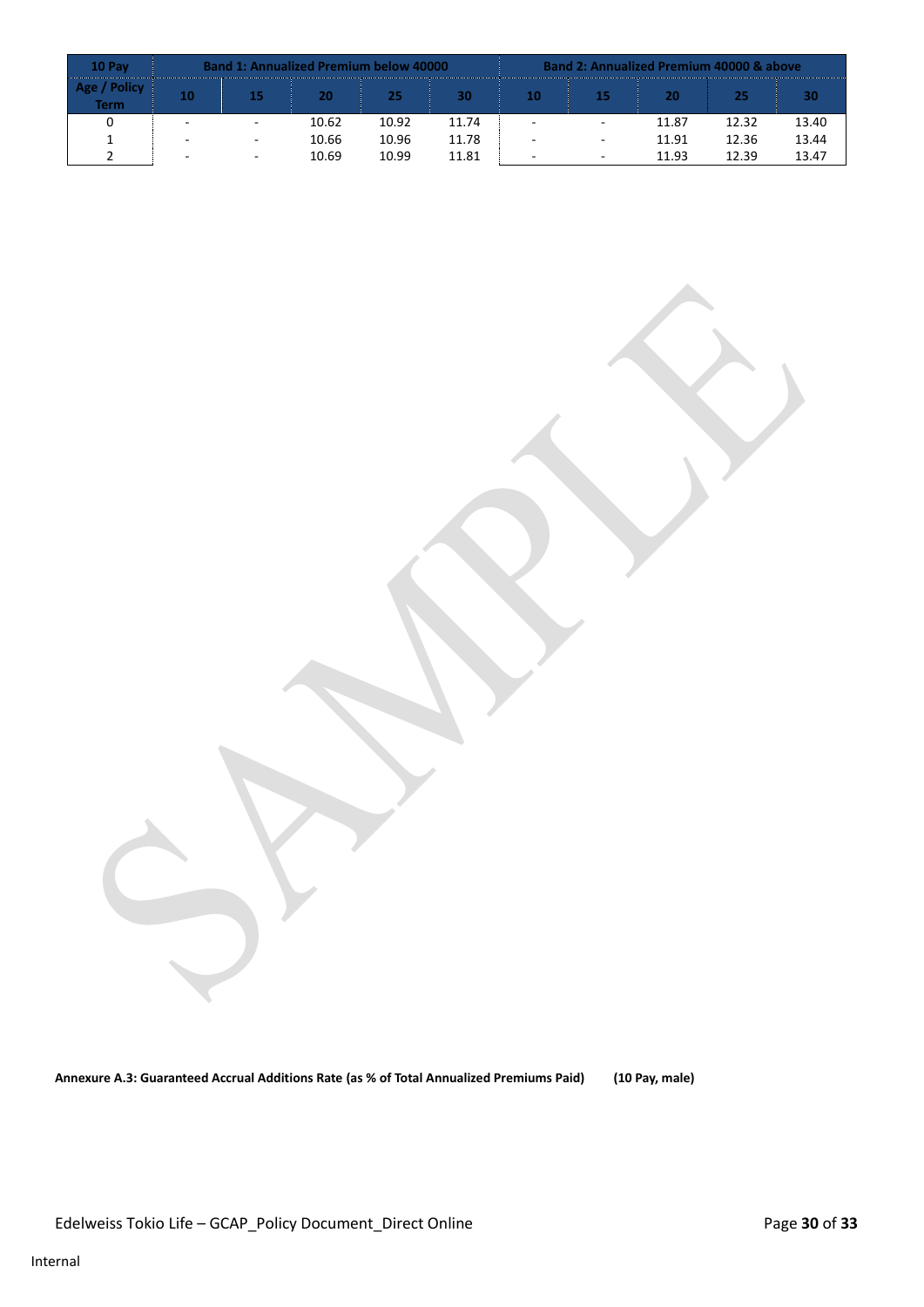| 10 Pay                       | <b>Band 1: Annualized Premium below 40000</b> |                          |       |       |       |                          | <b>Band 2: Annualized Premium 40000 &amp; above</b> |       |       |       |  |  |  |
|------------------------------|-----------------------------------------------|--------------------------|-------|-------|-------|--------------------------|-----------------------------------------------------|-------|-------|-------|--|--|--|
| <b>Policy</b><br><b>Term</b> | 10                                            | 15                       | 20    | 25    | 30    | 10                       | 15                                                  | 20    | 25    | 30    |  |  |  |
|                              |                                               | $\overline{\phantom{a}}$ | 10.62 | 10.92 | 11.74 |                          | $\overline{a}$                                      | 11.87 | 12.32 | 13.40 |  |  |  |
|                              |                                               | $\overline{\phantom{a}}$ | 10.66 | 10.96 | 11.78 |                          | $\overline{\phantom{a}}$                            | 11.91 | 12.36 | 13.44 |  |  |  |
|                              |                                               | $\sim$                   | 10.69 | 10.99 | 11.81 | $\overline{\phantom{a}}$ | $\overline{a}$                                      | 11.93 | 12.39 | 13.47 |  |  |  |

**Annexure A.3: Guaranteed Accrual Additions Rate (as % of Total Annualized Premiums Paid) (10 Pay, male)**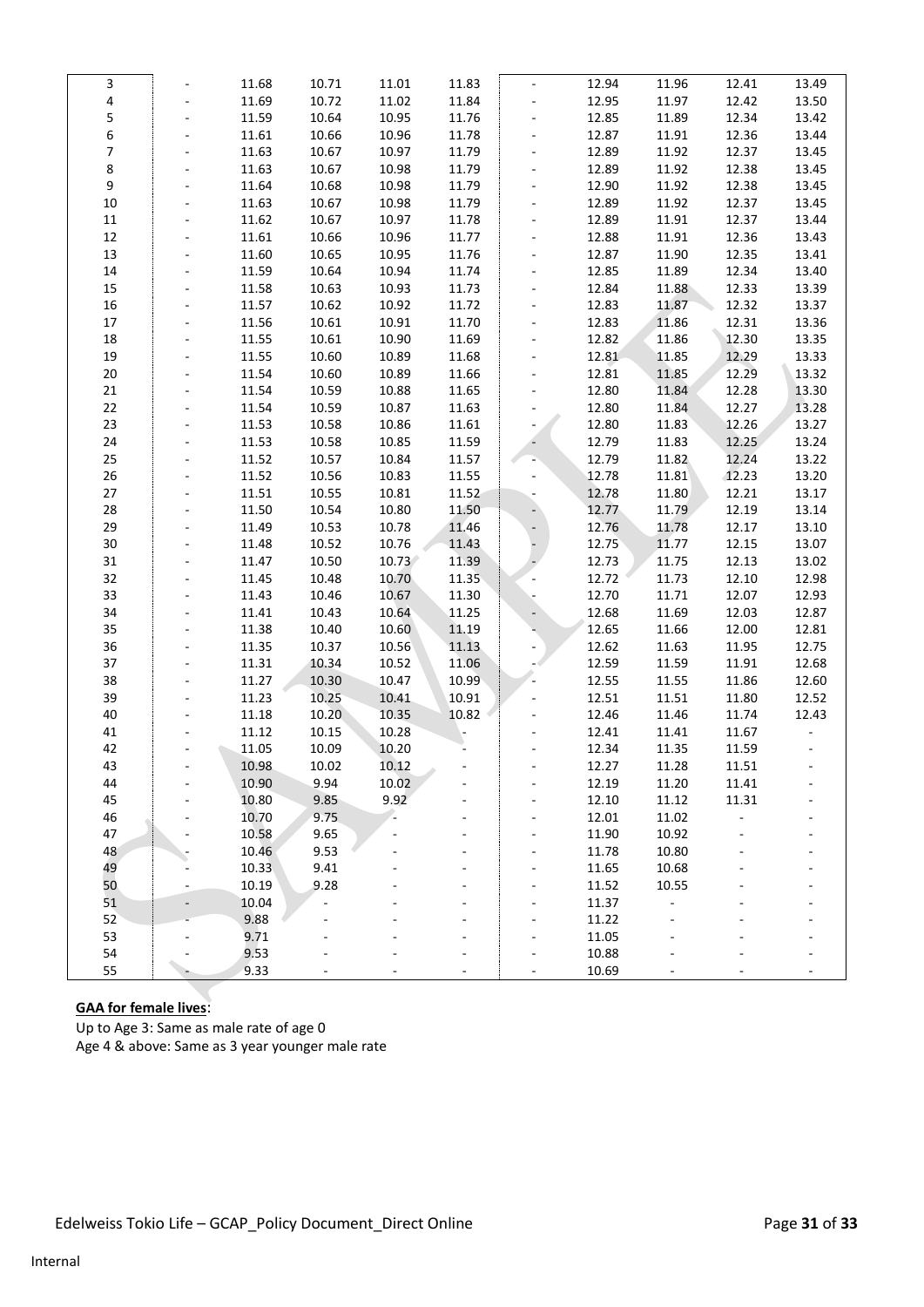| 3      |                          | 11.68 | 10.71 | 11.01 | 11.83 |                | 12.94 | 11.96 | 12.41          | 13.49 |
|--------|--------------------------|-------|-------|-------|-------|----------------|-------|-------|----------------|-------|
| 4      |                          | 11.69 | 10.72 | 11.02 | 11.84 |                | 12.95 | 11.97 | 12.42          | 13.50 |
| 5      |                          | 11.59 | 10.64 | 10.95 | 11.76 | $\blacksquare$ | 12.85 | 11.89 | 12.34          | 13.42 |
| 6      | $\overline{\phantom{a}}$ | 11.61 | 10.66 | 10.96 | 11.78 | $\frac{1}{2}$  | 12.87 | 11.91 | 12.36          | 13.44 |
| 7      |                          | 11.63 | 10.67 | 10.97 | 11.79 |                | 12.89 | 11.92 | 12.37          | 13.45 |
| 8      |                          | 11.63 | 10.67 | 10.98 | 11.79 |                | 12.89 | 11.92 | 12.38          | 13.45 |
| 9      |                          | 11.64 | 10.68 | 10.98 | 11.79 |                | 12.90 | 11.92 | 12.38          | 13.45 |
| 10     |                          | 11.63 | 10.67 | 10.98 | 11.79 |                | 12.89 | 11.92 | 12.37          | 13.45 |
| $11\,$ |                          | 11.62 | 10.67 | 10.97 | 11.78 | $\blacksquare$ | 12.89 | 11.91 | 12.37          | 13.44 |
| $12\,$ | $\overline{\phantom{a}}$ | 11.61 | 10.66 | 10.96 | 11.77 | $\blacksquare$ | 12.88 | 11.91 | 12.36          | 13.43 |
| 13     |                          | 11.60 | 10.65 | 10.95 | 11.76 |                | 12.87 | 11.90 | 12.35          | 13.41 |
| $14\,$ |                          | 11.59 | 10.64 | 10.94 | 11.74 |                | 12.85 | 11.89 | 12.34          | 13.40 |
| 15     |                          | 11.58 | 10.63 | 10.93 | 11.73 |                | 12.84 | 11.88 | 12.33          | 13.39 |
| 16     |                          | 11.57 | 10.62 | 10.92 | 11.72 |                | 12.83 | 11.87 | 12.32          | 13.37 |
| $17\,$ |                          | 11.56 | 10.61 | 10.91 | 11.70 | $\blacksquare$ | 12.83 | 11.86 | 12.31          | 13.36 |
| 18     | $\blacksquare$           | 11.55 | 10.61 | 10.90 | 11.69 |                | 12.82 | 11.86 | 12.30          | 13.35 |
| 19     |                          | 11.55 | 10.60 | 10.89 | 11.68 |                | 12.81 | 11.85 | 12.29          | 13.33 |
| $20\,$ |                          | 11.54 | 10.60 | 10.89 | 11.66 |                | 12.81 | 11.85 | 12.29          | 13.32 |
| $21\,$ |                          | 11.54 | 10.59 | 10.88 | 11.65 |                | 12.80 | 11.84 | 12.28          | 13.30 |
| 22     |                          | 11.54 | 10.59 | 10.87 | 11.63 |                | 12.80 | 11.84 | 12.27          | 13.28 |
| 23     |                          | 11.53 | 10.58 | 10.86 | 11.61 |                | 12.80 | 11.83 | 12.26          | 13.27 |
| 24     | $\overline{\phantom{a}}$ | 11.53 | 10.58 | 10.85 | 11.59 |                | 12.79 | 11.83 | 12.25          | 13.24 |
| 25     |                          | 11.52 | 10.57 | 10.84 | 11.57 |                | 12.79 | 11.82 | 12.24          | 13.22 |
| 26     |                          | 11.52 | 10.56 | 10.83 | 11.55 |                | 12.78 | 11.81 | 12.23          | 13.20 |
| $27\,$ |                          | 11.51 | 10.55 | 10.81 | 11.52 |                | 12.78 | 11.80 | 12.21          | 13.17 |
| 28     |                          | 11.50 | 10.54 | 10.80 | 11.50 |                | 12.77 | 11.79 | 12.19          | 13.14 |
| 29     |                          | 11.49 | 10.53 | 10.78 | 11.46 |                | 12.76 | 11.78 | 12.17          | 13.10 |
| 30     | $\blacksquare$           | 11.48 | 10.52 | 10.76 | 11.43 |                | 12.75 | 11.77 | 12.15          | 13.07 |
| 31     |                          | 11.47 | 10.50 | 10.73 | 11.39 |                | 12.73 | 11.75 | 12.13          | 13.02 |
| 32     |                          | 11.45 | 10.48 | 10.70 | 11.35 |                | 12.72 | 11.73 | 12.10          | 12.98 |
| 33     |                          | 11.43 | 10.46 | 10.67 | 11.30 |                | 12.70 | 11.71 | 12.07          | 12.93 |
| 34     |                          | 11.41 | 10.43 | 10.64 | 11.25 |                | 12.68 | 11.69 | 12.03          | 12.87 |
| 35     |                          | 11.38 | 10.40 | 10.60 | 11.19 |                | 12.65 | 11.66 | 12.00          | 12.81 |
| 36     | $\blacksquare$           | 11.35 | 10.37 | 10.56 | 11.13 |                | 12.62 | 11.63 | 11.95          | 12.75 |
| 37     |                          | 11.31 | 10.34 | 10.52 | 11.06 |                | 12.59 | 11.59 | 11.91          | 12.68 |
| 38     |                          | 11.27 | 10.30 | 10.47 | 10.99 |                | 12.55 | 11.55 | 11.86          | 12.60 |
| 39     |                          | 11.23 | 10.25 | 10.41 | 10.91 |                | 12.51 | 11.51 | 11.80          | 12.52 |
| 40     |                          | 11.18 | 10.20 | 10.35 | 10.82 |                | 12.46 | 11.46 | 11.74          | 12.43 |
| 41     |                          | 11.12 | 10.15 | 10.28 |       |                | 12.41 | 11.41 | 11.67          |       |
| 42     |                          | 11.05 | 10.09 | 10.20 |       |                | 12.34 | 11.35 | 11.59          |       |
| 43     |                          | 10.98 | 10.02 | 10.12 |       |                | 12.27 | 11.28 |                |       |
| 44     |                          | 10.90 | 9.94  | 10.02 |       |                | 12.19 | 11.20 | 11.51<br>11.41 |       |
| 45     |                          | 10.80 | 9.85  | 9.92  |       |                | 12.10 | 11.12 | 11.31          |       |
| 46     |                          | 10.70 | 9.75  |       |       |                | 12.01 | 11.02 | $\overline{a}$ |       |
| 47     |                          | 10.58 | 9.65  |       |       |                | 11.90 | 10.92 |                |       |
| 48     |                          | 10.46 | 9.53  |       |       |                | 11.78 | 10.80 |                |       |
| 49     |                          | 10.33 | 9.41  |       |       |                | 11.65 | 10.68 |                |       |
| 50     |                          | 10.19 | 9.28  |       |       |                | 11.52 | 10.55 |                |       |
| 51     |                          | 10.04 |       |       |       |                | 11.37 |       |                |       |
| 52     |                          | 9.88  |       |       |       |                | 11.22 |       |                |       |
| 53     |                          | 9.71  |       |       |       |                | 11.05 |       |                |       |
| 54     |                          | 9.53  |       |       |       |                | 10.88 |       |                |       |
| 55     |                          | 9.33  |       |       |       |                | 10.69 |       |                |       |
|        |                          |       |       |       |       |                |       |       |                |       |

# **GAA for female lives**:

Up to Age 3: Same as male rate of age 0 Age 4 & above: Same as 3 year younger male rate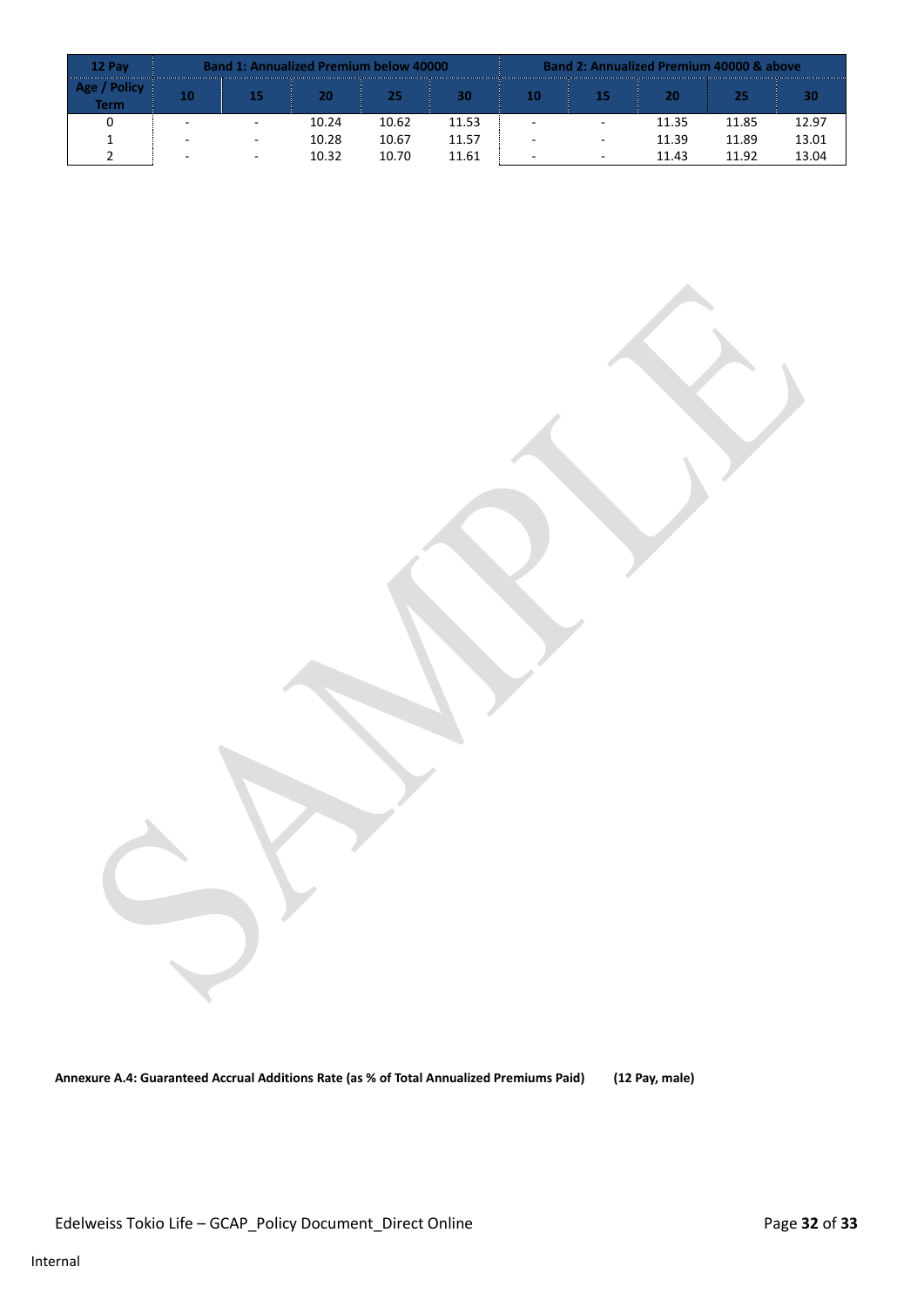| 12 Pay                       | <b>Band 1: Annualized Premium below 40000</b> |                          |       |       |       |                          | <b>Band 2: Annualized Premium 40000 &amp; above</b> |       |       |       |  |  |  |
|------------------------------|-----------------------------------------------|--------------------------|-------|-------|-------|--------------------------|-----------------------------------------------------|-------|-------|-------|--|--|--|
| <b>Policy</b><br><b>Term</b> | 10                                            | 15                       | 20    | 25    | 30    | 10                       | 15                                                  | 20    | 25    | 30    |  |  |  |
|                              |                                               | $\overline{\phantom{a}}$ | 10.24 | 10.62 | 11.53 |                          | $\overline{a}$                                      | 11.35 | 11.85 | 12.97 |  |  |  |
|                              |                                               | $\overline{\phantom{a}}$ | 10.28 | 10.67 | 11.57 |                          | $\overline{a}$                                      | 11.39 | 11.89 | 13.01 |  |  |  |
|                              |                                               | $\sim$                   | 10.32 | 10.70 | 11.61 | $\overline{\phantom{a}}$ | $\overline{a}$                                      | 11.43 | 11.92 | 13.04 |  |  |  |

**Annexure A.4: Guaranteed Accrual Additions Rate (as % of Total Annualized Premiums Paid) (12 Pay, male)**